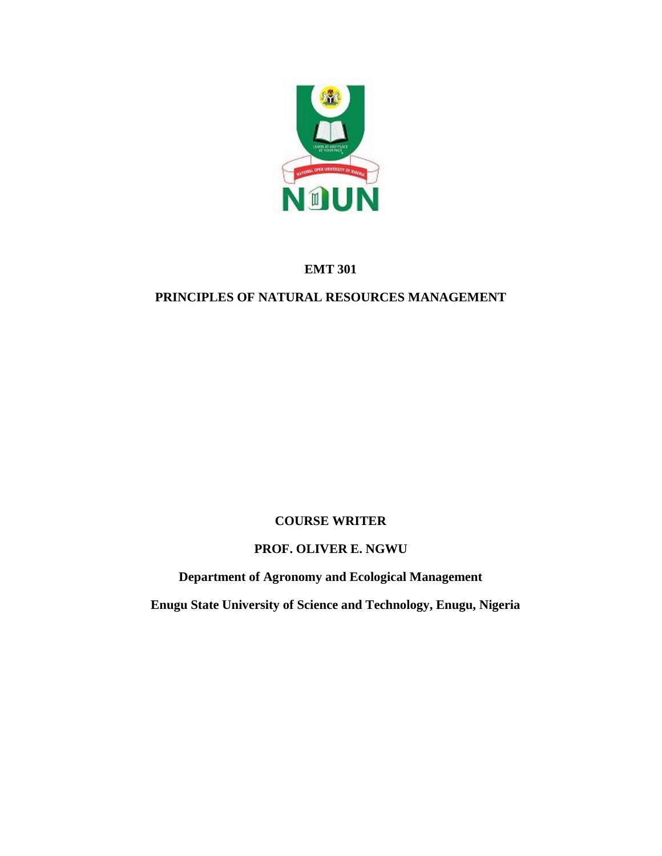

# **EMT 301**

# **PRINCIPLES OF NATURAL RESOURCES MANAGEMENT**

# **COURSE WRITER**

# **PROF. OLIVER E. NGWU**

**Department of Agronomy and Ecological Management**

 **Enugu State University of Science and Technology, Enugu, Nigeria**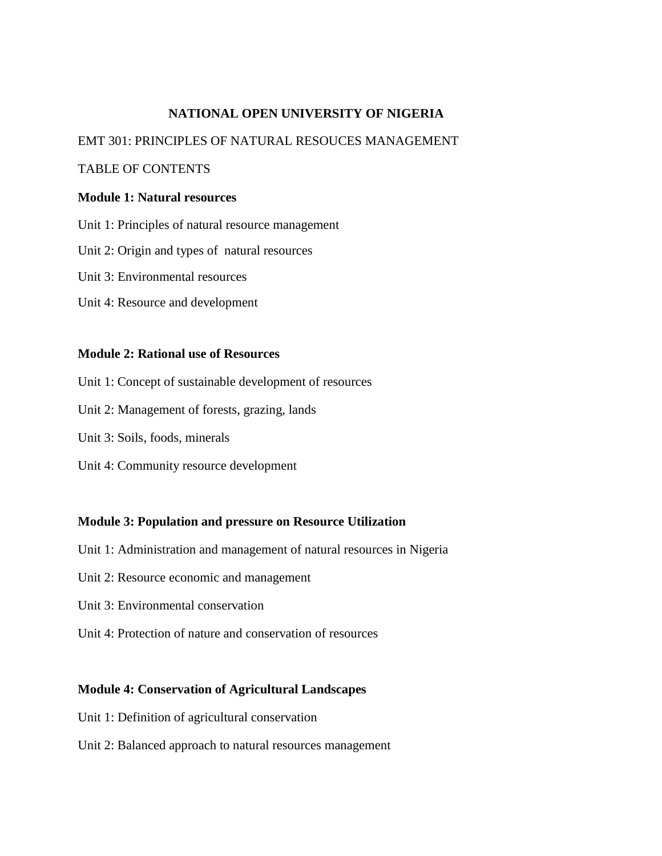### **NATIONAL OPEN UNIVERSITY OF NIGERIA**

#### EMT 301: PRINCIPLES OF NATURAL RESOUCES MANAGEMENT

#### TABLE OF CONTENTS

#### **Module 1: Natural resources**

- Unit 1: Principles of natural resource management
- Unit 2: Origin and types of natural resources
- Unit 3: Environmental resources
- Unit 4: Resource and development

#### **Module 2: Rational use of Resources**

- Unit 1: Concept of sustainable development of resources
- Unit 2: Management of forests, grazing, lands
- Unit 3: Soils, foods, minerals
- Unit 4: Community resource development

#### **Module 3: Population and pressure on Resource Utilization**

- Unit 1: Administration and management of natural resources in Nigeria
- Unit 2: Resource economic and management
- Unit 3: Environmental conservation
- Unit 4: Protection of nature and conservation of resources

#### **Module 4: Conservation of Agricultural Landscapes**

- Unit 1: Definition of agricultural conservation
- Unit 2: Balanced approach to natural resources management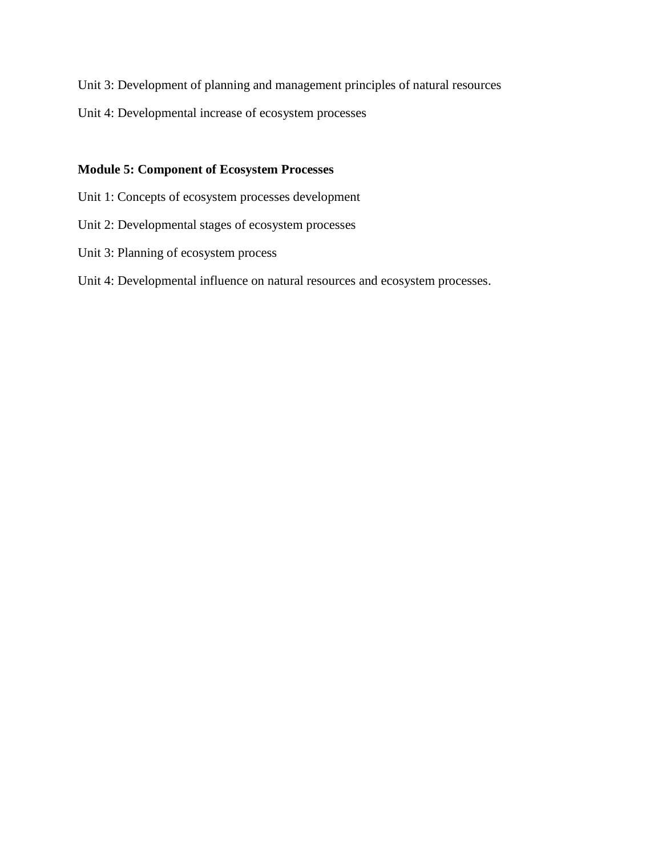Unit 3: Development of planning and management principles of natural resources

Unit 4: Developmental increase of ecosystem processes

### **Module 5: Component of Ecosystem Processes**

- Unit 1: Concepts of ecosystem processes development
- Unit 2: Developmental stages of ecosystem processes
- Unit 3: Planning of ecosystem process
- Unit 4: Developmental influence on natural resources and ecosystem processes.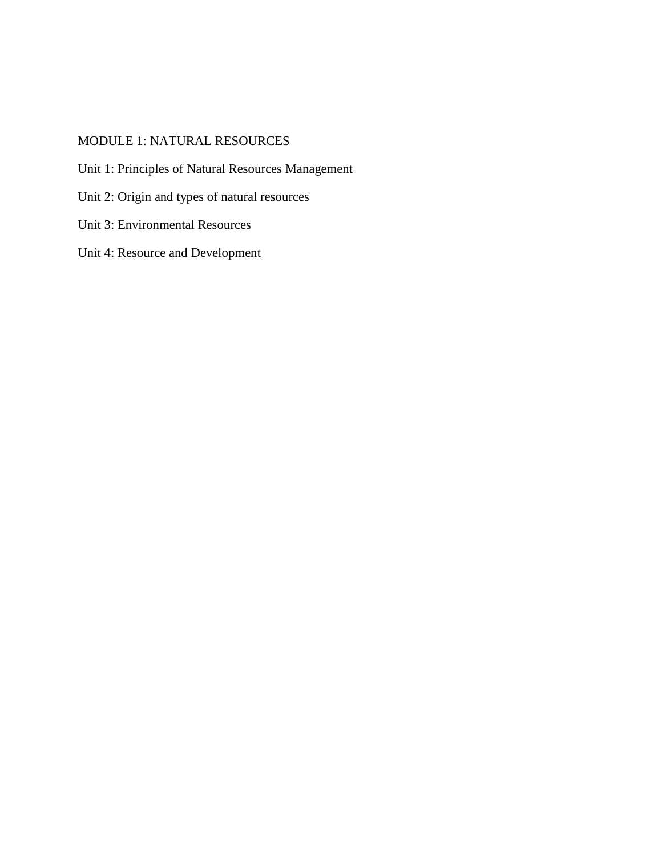# MODULE 1: NATURAL RESOURCES

- Unit 1: Principles of Natural Resources Management
- Unit 2: Origin and types of natural resources
- Unit 3: Environmental Resources
- Unit 4: Resource and Development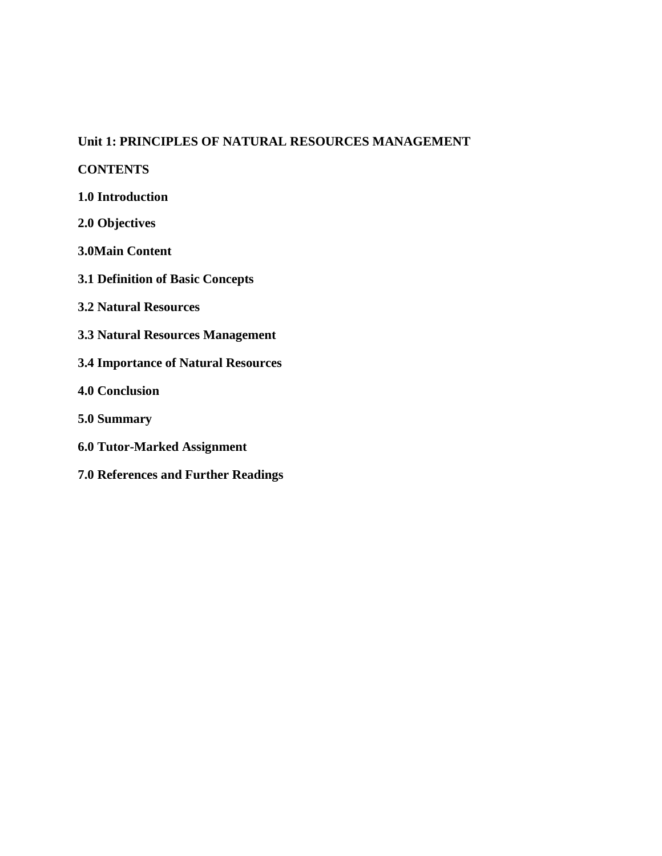#### **Unit 1: PRINCIPLES OF NATURAL RESOURCES MANAGEMENT**

**CONTENTS**

**1.0 Introduction**

**2.0 Objectives**

**3.0Main Content**

**3.1 Definition of Basic Concepts**

**3.2 Natural Resources**

**3.3 Natural Resources Management** 

**3.4 Importance of Natural Resources**

**4.0 Conclusion**

**5.0 Summary**

**6.0 Tutor-Marked Assignment**

**7.0 References and Further Readings**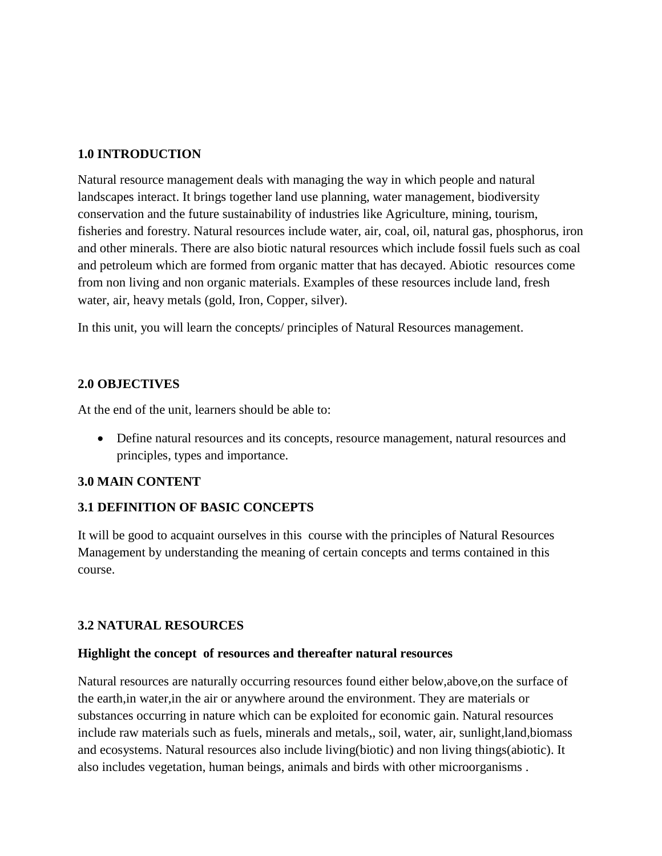# **1.0 INTRODUCTION**

Natural resource management deals with managing the way in which people and natural landscapes interact. It brings together land use planning, water management, biodiversity conservation and the future sustainability of industries like Agriculture, mining, tourism, fisheries and forestry. Natural resources include water, air, coal, oil, natural gas, phosphorus, iron and other minerals. There are also biotic natural resources which include fossil fuels such as coal and petroleum which are formed from organic matter that has decayed. Abiotic resources come from non living and non organic materials. Examples of these resources include land, fresh water, air, heavy metals (gold, Iron, Copper, silver).

In this unit, you will learn the concepts/ principles of Natural Resources management.

# **2.0 OBJECTIVES**

At the end of the unit, learners should be able to:

 Define natural resources and its concepts, resource management, natural resources and principles, types and importance.

# **3.0 MAIN CONTENT**

# **3.1 DEFINITION OF BASIC CONCEPTS**

It will be good to acquaint ourselves in this course with the principles of Natural Resources Management by understanding the meaning of certain concepts and terms contained in this course.

# **3.2 NATURAL RESOURCES**

# **Highlight the concept of resources and thereafter natural resources**

Natural resources are naturally occurring resources found either below,above,on the surface of the earth,in water,in the air or anywhere around the environment. They are materials or substances occurring in nature which can be exploited for economic gain. Natural resources include raw materials such as fuels, minerals and metals,, soil, water, air, sunlight,land,biomass and ecosystems. Natural resources also include living(biotic) and non living things(abiotic). It also includes vegetation, human beings, animals and birds with other microorganisms .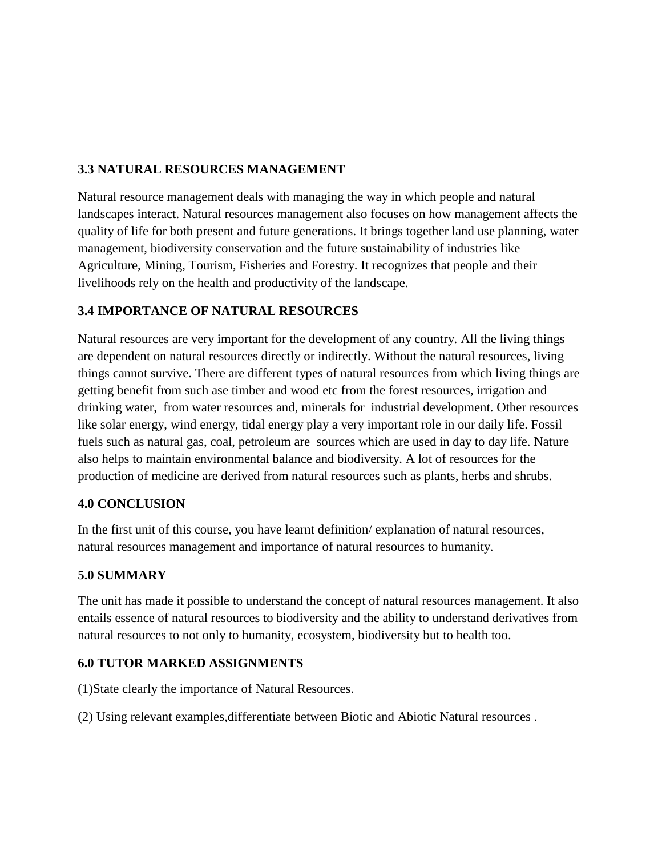# **3.3 NATURAL RESOURCES MANAGEMENT**

Natural resource management deals with managing the way in which people and natural landscapes interact. Natural resources management also focuses on how management affects the quality of life for both present and future generations. It brings together land use planning, water management, biodiversity conservation and the future sustainability of industries like Agriculture, Mining, Tourism, Fisheries and Forestry. It recognizes that people and their livelihoods rely on the health and productivity of the landscape.

# **3.4 IMPORTANCE OF NATURAL RESOURCES**

Natural resources are very important for the development of any country. All the living things are dependent on natural resources directly or indirectly. Without the natural resources, living things cannot survive. There are different types of natural resources from which living things are getting benefit from such ase timber and wood etc from the forest resources, irrigation and drinking water, from water resources and, minerals for industrial development. Other resources like solar energy, wind energy, tidal energy play a very important role in our daily life. Fossil fuels such as natural gas, coal, petroleum are sources which are used in day to day life. Nature also helps to maintain environmental balance and biodiversity. A lot of resources for the production of medicine are derived from natural resources such as plants, herbs and shrubs.

# **4.0 CONCLUSION**

In the first unit of this course, you have learnt definition/ explanation of natural resources, natural resources management and importance of natural resources to humanity.

# **5.0 SUMMARY**

The unit has made it possible to understand the concept of natural resources management. It also entails essence of natural resources to biodiversity and the ability to understand derivatives from natural resources to not only to humanity, ecosystem, biodiversity but to health too.

# **6.0 TUTOR MARKED ASSIGNMENTS**

(1)State clearly the importance of Natural Resources.

(2) Using relevant examples,differentiate between Biotic and Abiotic Natural resources .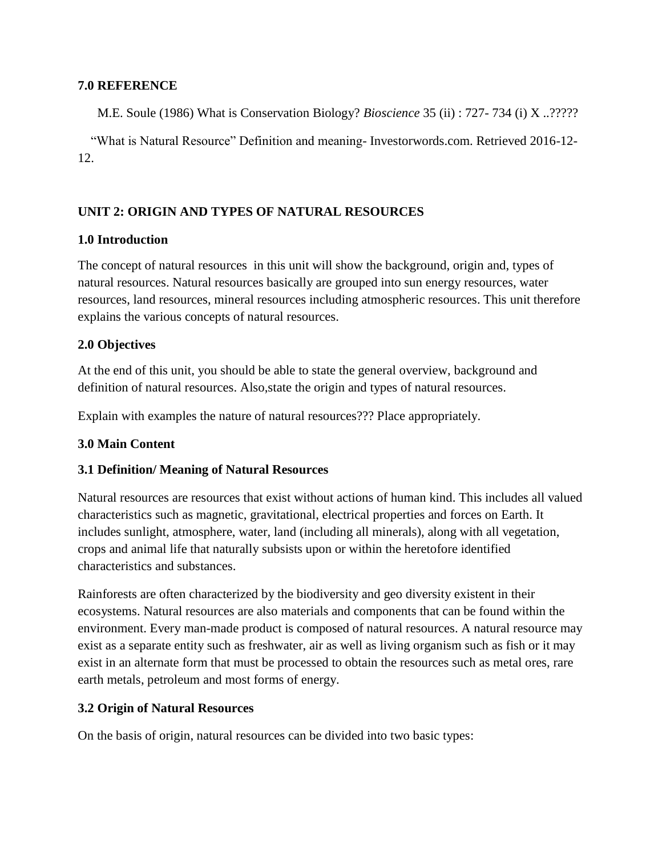#### **7.0 REFERENCE**

M.E. Soule (1986) What is Conservation Biology? *Bioscience* 35 (ii) : 727- 734 (i) X ..?????

 "What is Natural Resource" Definition and meaning- Investorwords.com. Retrieved 2016-12- 12.

### **UNIT 2: ORIGIN AND TYPES OF NATURAL RESOURCES**

#### **1.0 Introduction**

The concept of natural resources in this unit will show the background, origin and, types of natural resources. Natural resources basically are grouped into sun energy resources, water resources, land resources, mineral resources including atmospheric resources. This unit therefore explains the various concepts of natural resources.

### **2.0 Objectives**

At the end of this unit, you should be able to state the general overview, background and definition of natural resources. Also,state the origin and types of natural resources.

Explain with examples the nature of natural resources??? Place appropriately.

#### **3.0 Main Content**

# **3.1 Definition/ Meaning of Natural Resources**

Natural resources are resources that exist without actions of human kind. This includes all valued characteristics such as magnetic, gravitational, electrical properties and forces on Earth. It includes sunlight, atmosphere, water, land (including all minerals), along with all vegetation, crops and animal life that naturally subsists upon or within the heretofore identified characteristics and substances.

Rainforests are often characterized by the biodiversity and geo diversity existent in their ecosystems. Natural resources are also materials and components that can be found within the environment. Every man-made product is composed of natural resources. A natural resource may exist as a separate entity such as freshwater, air as well as living organism such as fish or it may exist in an alternate form that must be processed to obtain the resources such as metal ores, rare earth metals, petroleum and most forms of energy.

# **3.2 Origin of Natural Resources**

On the basis of origin, natural resources can be divided into two basic types: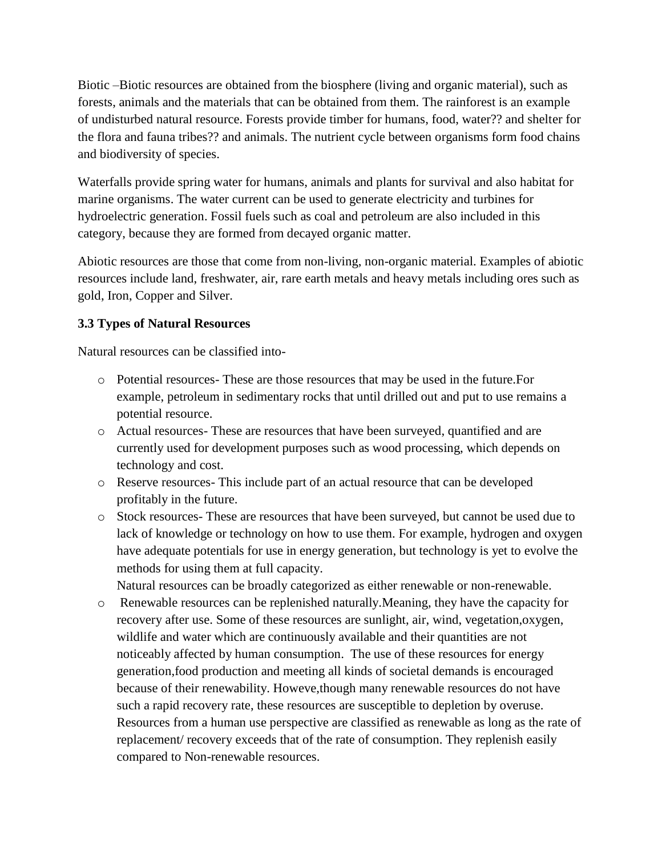Biotic –Biotic resources are obtained from the biosphere (living and organic material), such as forests, animals and the materials that can be obtained from them. The rainforest is an example of undisturbed natural resource. Forests provide timber for humans, food, water?? and shelter for the flora and fauna tribes?? and animals. The nutrient cycle between organisms form food chains and biodiversity of species.

Waterfalls provide spring water for humans, animals and plants for survival and also habitat for marine organisms. The water current can be used to generate electricity and turbines for hydroelectric generation. Fossil fuels such as coal and petroleum are also included in this category, because they are formed from decayed organic matter.

Abiotic resources are those that come from non-living, non-organic material. Examples of abiotic resources include land, freshwater, air, rare earth metals and heavy metals including ores such as gold, Iron, Copper and Silver.

# **3.3 Types of Natural Resources**

Natural resources can be classified into-

- o Potential resources- These are those resources that may be used in the future.For example, petroleum in sedimentary rocks that until drilled out and put to use remains a potential resource.
- o Actual resources- These are resources that have been surveyed, quantified and are currently used for development purposes such as wood processing, which depends on technology and cost.
- o Reserve resources- This include part of an actual resource that can be developed profitably in the future.
- o Stock resources- These are resources that have been surveyed, but cannot be used due to lack of knowledge or technology on how to use them. For example, hydrogen and oxygen have adequate potentials for use in energy generation, but technology is yet to evolve the methods for using them at full capacity.

Natural resources can be broadly categorized as either renewable or non-renewable.

o Renewable resources can be replenished naturally.Meaning, they have the capacity for recovery after use. Some of these resources are sunlight, air, wind, vegetation,oxygen, wildlife and water which are continuously available and their quantities are not noticeably affected by human consumption. The use of these resources for energy generation,food production and meeting all kinds of societal demands is encouraged because of their renewability. Howeve,though many renewable resources do not have such a rapid recovery rate, these resources are susceptible to depletion by overuse. Resources from a human use perspective are classified as renewable as long as the rate of replacement/ recovery exceeds that of the rate of consumption. They replenish easily compared to Non-renewable resources.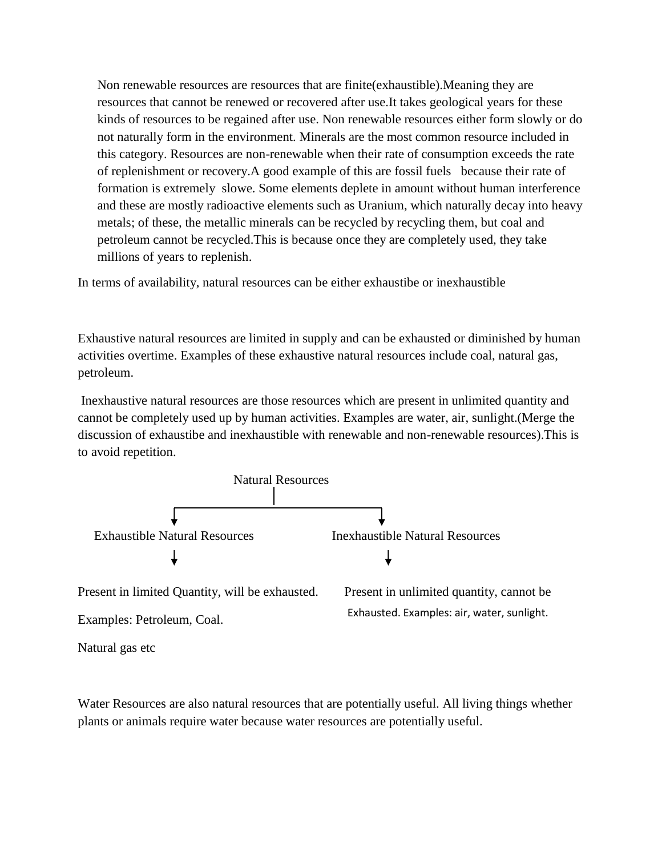Non renewable resources are resources that are finite(exhaustible).Meaning they are resources that cannot be renewed or recovered after use.It takes geological years for these kinds of resources to be regained after use. Non renewable resources either form slowly or do not naturally form in the environment. Minerals are the most common resource included in this category. Resources are non-renewable when their rate of consumption exceeds the rate of replenishment or recovery.A good example of this are fossil fuels because their rate of formation is extremely slowe. Some elements deplete in amount without human interference and these are mostly radioactive elements such as Uranium, which naturally decay into heavy metals; of these, the metallic minerals can be recycled by recycling them, but coal and petroleum cannot be recycled.This is because once they are completely used, they take millions of years to replenish.

In terms of availability, natural resources can be either exhaustibe or inexhaustible

Exhaustive natural resources are limited in supply and can be exhausted or diminished by human activities overtime. Examples of these exhaustive natural resources include coal, natural gas, petroleum.

Inexhaustive natural resources are those resources which are present in unlimited quantity and cannot be completely used up by human activities. Examples are water, air, sunlight.(Merge the discussion of exhaustibe and inexhaustible with renewable and non-renewable resources).This is to avoid repetition.



Present in limited Quantity, will be exhausted. Present in unlimited quantity, cannot be

Examples: Petroleum, Coal.

Exhausted. Examples: air, water, sunlight.

Natural gas etc

Water Resources are also natural resources that are potentially useful. All living things whether plants or animals require water because water resources are potentially useful.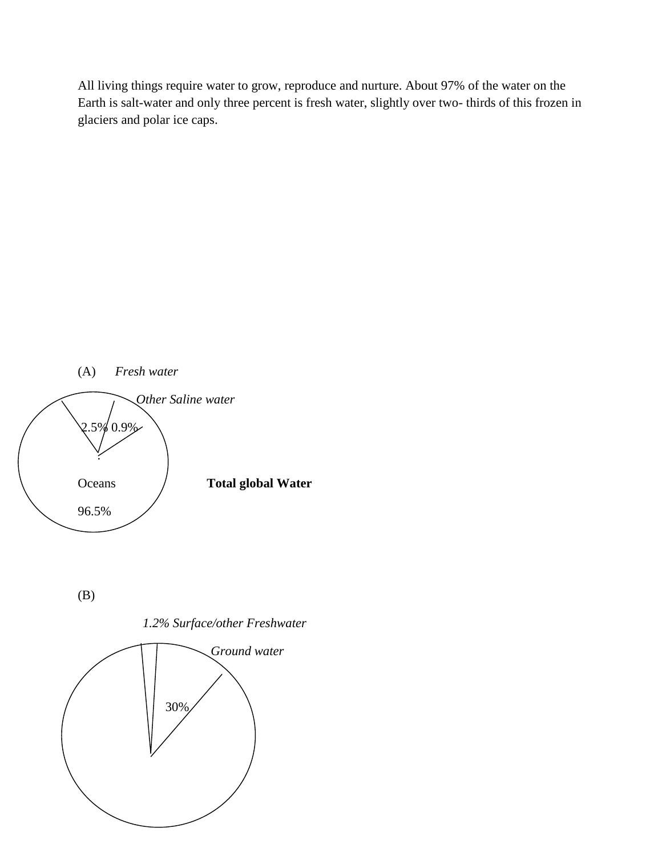All living things require water to grow, reproduce and nurture. About 97% of the water on the Earth is salt-water and only three percent is fresh water, slightly over two- thirds of this frozen in glaciers and polar ice caps.



(B)

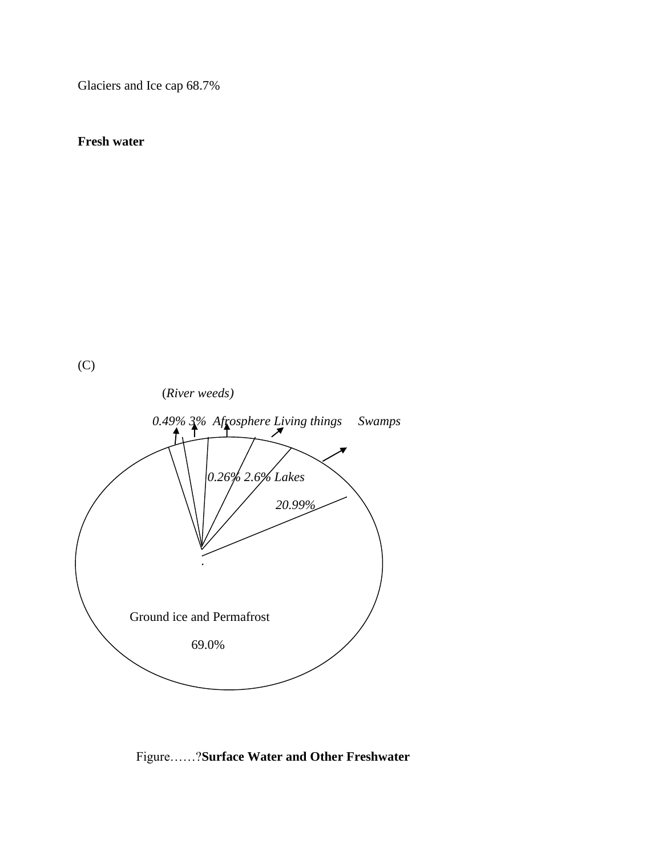Glaciers and Ice cap 68.7%

**Fresh water**

(C)



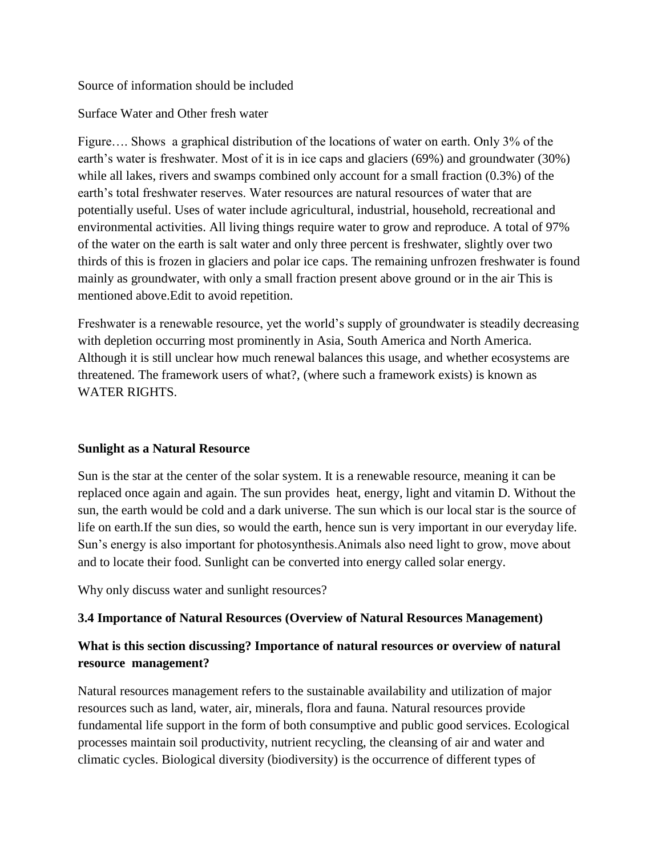### Source of information should be included

# Surface Water and Other fresh water

Figure…. Shows a graphical distribution of the locations of water on earth. Only 3% of the earth's water is freshwater. Most of it is in ice caps and glaciers (69%) and groundwater (30%) while all lakes, rivers and swamps combined only account for a small fraction (0.3%) of the earth's total freshwater reserves. Water resources are natural resources of water that are potentially useful. Uses of water include agricultural, industrial, household, recreational and environmental activities. All living things require water to grow and reproduce. A total of 97% of the water on the earth is salt water and only three percent is freshwater, slightly over two thirds of this is frozen in glaciers and polar ice caps. The remaining unfrozen freshwater is found mainly as groundwater, with only a small fraction present above ground or in the air This is mentioned above.Edit to avoid repetition.

Freshwater is a renewable resource, yet the world's supply of groundwater is steadily decreasing with depletion occurring most prominently in Asia, South America and North America. Although it is still unclear how much renewal balances this usage, and whether ecosystems are threatened. The framework users of what?, (where such a framework exists) is known as WATER RIGHTS.

# **Sunlight as a Natural Resource**

Sun is the star at the center of the solar system. It is a renewable resource, meaning it can be replaced once again and again. The sun provides heat, energy, light and vitamin D. Without the sun, the earth would be cold and a dark universe. The sun which is our local star is the source of life on earth.If the sun dies, so would the earth, hence sun is very important in our everyday life. Sun's energy is also important for photosynthesis.Animals also need light to grow, move about and to locate their food. Sunlight can be converted into energy called solar energy.

Why only discuss water and sunlight resources?

#### **3.4 Importance of Natural Resources (Overview of Natural Resources Management)**

# **What is this section discussing? Importance of natural resources or overview of natural resource management?**

Natural resources management refers to the sustainable availability and utilization of major resources such as land, water, air, minerals, flora and fauna. Natural resources provide fundamental life support in the form of both consumptive and public good services. Ecological processes maintain soil productivity, nutrient recycling, the cleansing of air and water and climatic cycles. Biological diversity (biodiversity) is the occurrence of different types of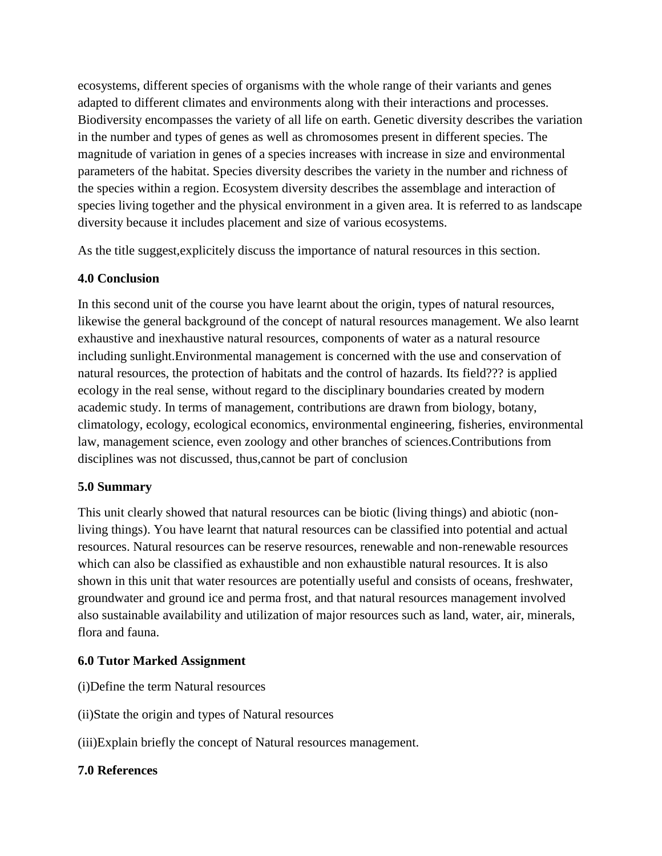ecosystems, different species of organisms with the whole range of their variants and genes adapted to different climates and environments along with their interactions and processes. Biodiversity encompasses the variety of all life on earth. Genetic diversity describes the variation in the number and types of genes as well as chromosomes present in different species. The magnitude of variation in genes of a species increases with increase in size and environmental parameters of the habitat. Species diversity describes the variety in the number and richness of the species within a region. Ecosystem diversity describes the assemblage and interaction of species living together and the physical environment in a given area. It is referred to as landscape diversity because it includes placement and size of various ecosystems.

As the title suggest,explicitely discuss the importance of natural resources in this section.

# **4.0 Conclusion**

In this second unit of the course you have learnt about the origin, types of natural resources, likewise the general background of the concept of natural resources management. We also learnt exhaustive and inexhaustive natural resources, components of water as a natural resource including sunlight.Environmental management is concerned with the use and conservation of natural resources, the protection of habitats and the control of hazards. Its field??? is applied ecology in the real sense, without regard to the disciplinary boundaries created by modern academic study. In terms of management, contributions are drawn from biology, botany, climatology, ecology, ecological economics, environmental engineering, fisheries, environmental law, management science, even zoology and other branches of sciences.Contributions from disciplines was not discussed, thus,cannot be part of conclusion

# **5.0 Summary**

This unit clearly showed that natural resources can be biotic (living things) and abiotic (nonliving things). You have learnt that natural resources can be classified into potential and actual resources. Natural resources can be reserve resources, renewable and non-renewable resources which can also be classified as exhaustible and non exhaustible natural resources. It is also shown in this unit that water resources are potentially useful and consists of oceans, freshwater, groundwater and ground ice and perma frost, and that natural resources management involved also sustainable availability and utilization of major resources such as land, water, air, minerals, flora and fauna.

# **6.0 Tutor Marked Assignment**

- (i)Define the term Natural resources
- (ii)State the origin and types of Natural resources
- (iii)Explain briefly the concept of Natural resources management.

# **7.0 References**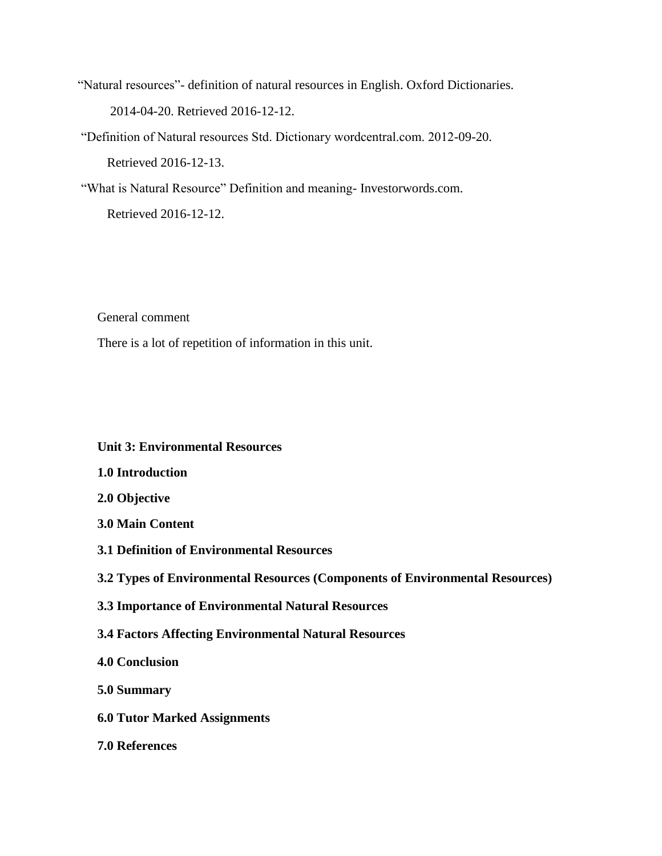"Natural resources"- definition of natural resources in English. Oxford Dictionaries. 2014-04-20. Retrieved 2016-12-12.

"Definition of Natural resources Std. Dictionary wordcentral.com. 2012-09-20. Retrieved 2016-12-13.

"What is Natural Resource" Definition and meaning- Investorwords.com. Retrieved 2016-12-12.

General comment

There is a lot of repetition of information in this unit.

### **Unit 3: Environmental Resources**

- **1.0 Introduction**
- **2.0 Objective**
- **3.0 Main Content**
- **3.1 Definition of Environmental Resources**

# **3.2 Types of Environmental Resources (Components of Environmental Resources)**

- **3.3 Importance of Environmental Natural Resources**
- **3.4 Factors Affecting Environmental Natural Resources**
- **4.0 Conclusion**
- **5.0 Summary**
- **6.0 Tutor Marked Assignments**
- **7.0 References**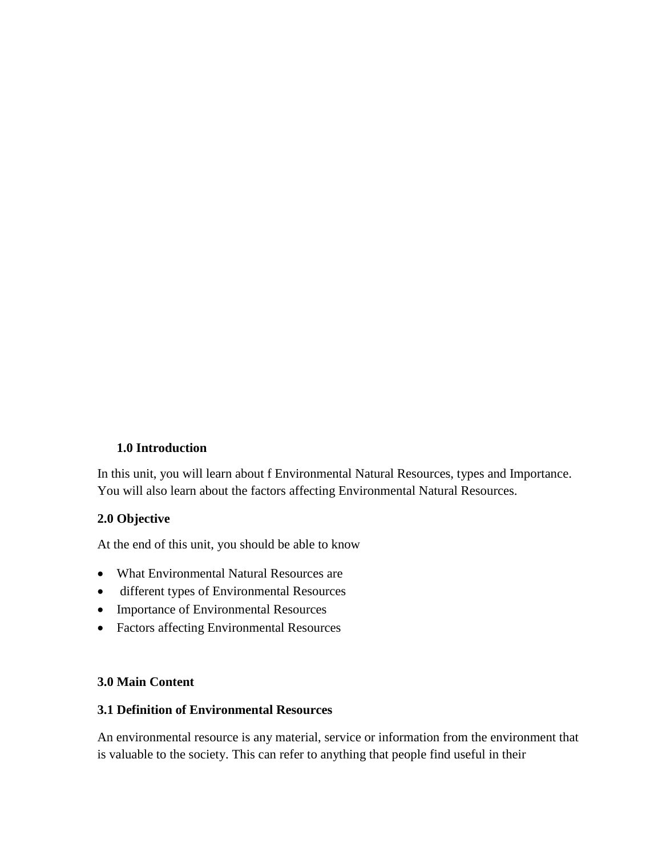# **1.0 Introduction**

In this unit, you will learn about f Environmental Natural Resources, types and Importance. You will also learn about the factors affecting Environmental Natural Resources.

# **2.0 Objective**

At the end of this unit, you should be able to know

- What Environmental Natural Resources are
- different types of Environmental Resources
- Importance of Environmental Resources
- Factors affecting Environmental Resources

# **3.0 Main Content**

# **3.1 Definition of Environmental Resources**

An environmental resource is any material, service or information from the environment that is valuable to the society. This can refer to anything that people find useful in their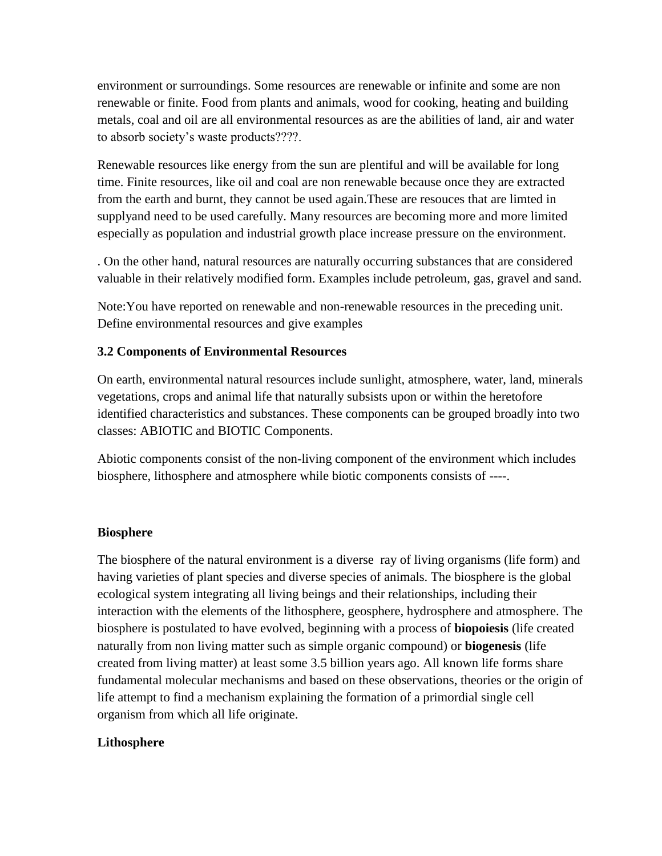environment or surroundings. Some resources are renewable or infinite and some are non renewable or finite. Food from plants and animals, wood for cooking, heating and building metals, coal and oil are all environmental resources as are the abilities of land, air and water to absorb society's waste products????.

Renewable resources like energy from the sun are plentiful and will be available for long time. Finite resources, like oil and coal are non renewable because once they are extracted from the earth and burnt, they cannot be used again.These are resouces that are limted in supplyand need to be used carefully. Many resources are becoming more and more limited especially as population and industrial growth place increase pressure on the environment.

. On the other hand, natural resources are naturally occurring substances that are considered valuable in their relatively modified form. Examples include petroleum, gas, gravel and sand.

Note:You have reported on renewable and non-renewable resources in the preceding unit. Define environmental resources and give examples

# **3.2 Components of Environmental Resources**

On earth, environmental natural resources include sunlight, atmosphere, water, land, minerals vegetations, crops and animal life that naturally subsists upon or within the heretofore identified characteristics and substances. These components can be grouped broadly into two classes: ABIOTIC and BIOTIC Components.

Abiotic components consist of the non-living component of the environment which includes biosphere, lithosphere and atmosphere while biotic components consists of ----.

# **Biosphere**

The biosphere of the natural environment is a diverse ray of living organisms (life form) and having varieties of plant species and diverse species of animals. The biosphere is the global ecological system integrating all living beings and their relationships, including their interaction with the elements of the lithosphere, geosphere, hydrosphere and atmosphere. The biosphere is postulated to have evolved, beginning with a process of **biopoiesis** (life created naturally from non living matter such as simple organic compound) or **biogenesis** (life created from living matter) at least some 3.5 billion years ago. All known life forms share fundamental molecular mechanisms and based on these observations, theories or the origin of life attempt to find a mechanism explaining the formation of a primordial single cell organism from which all life originate.

# **Lithosphere**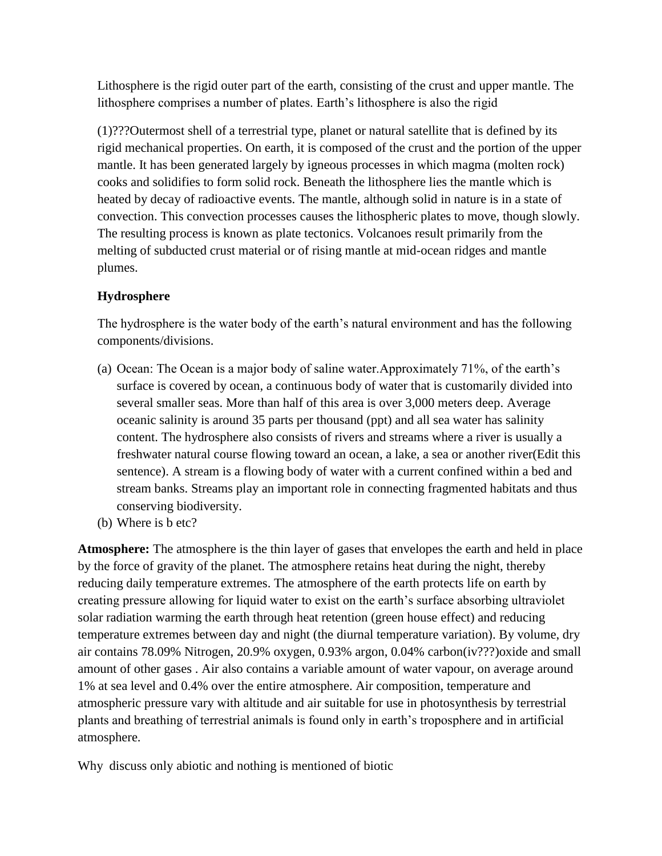Lithosphere is the rigid outer part of the earth, consisting of the crust and upper mantle. The lithosphere comprises a number of plates. Earth's lithosphere is also the rigid

(1)???Outermost shell of a terrestrial type, planet or natural satellite that is defined by its rigid mechanical properties. On earth, it is composed of the crust and the portion of the upper mantle. It has been generated largely by igneous processes in which magma (molten rock) cooks and solidifies to form solid rock. Beneath the lithosphere lies the mantle which is heated by decay of radioactive events. The mantle, although solid in nature is in a state of convection. This convection processes causes the lithospheric plates to move, though slowly. The resulting process is known as plate tectonics. Volcanoes result primarily from the melting of subducted crust material or of rising mantle at mid-ocean ridges and mantle plumes.

# **Hydrosphere**

The hydrosphere is the water body of the earth's natural environment and has the following components/divisions.

- (a) Ocean: The Ocean is a major body of saline water.Approximately 71%, of the earth's surface is covered by ocean, a continuous body of water that is customarily divided into several smaller seas. More than half of this area is over 3,000 meters deep. Average oceanic salinity is around 35 parts per thousand (ppt) and all sea water has salinity content. The hydrosphere also consists of rivers and streams where a river is usually a freshwater natural course flowing toward an ocean, a lake, a sea or another river(Edit this sentence). A stream is a flowing body of water with a current confined within a bed and stream banks. Streams play an important role in connecting fragmented habitats and thus conserving biodiversity.
- (b) Where is b etc?

**Atmosphere:** The atmosphere is the thin layer of gases that envelopes the earth and held in place by the force of gravity of the planet. The atmosphere retains heat during the night, thereby reducing daily temperature extremes. The atmosphere of the earth protects life on earth by creating pressure allowing for liquid water to exist on the earth's surface absorbing ultraviolet solar radiation warming the earth through heat retention (green house effect) and reducing temperature extremes between day and night (the diurnal temperature variation). By volume, dry air contains 78.09% Nitrogen, 20.9% oxygen, 0.93% argon, 0.04% carbon(iv???)oxide and small amount of other gases . Air also contains a variable amount of water vapour, on average around 1% at sea level and 0.4% over the entire atmosphere. Air composition, temperature and atmospheric pressure vary with altitude and air suitable for use in photosynthesis by terrestrial plants and breathing of terrestrial animals is found only in earth's troposphere and in artificial atmosphere.

Why discuss only abiotic and nothing is mentioned of biotic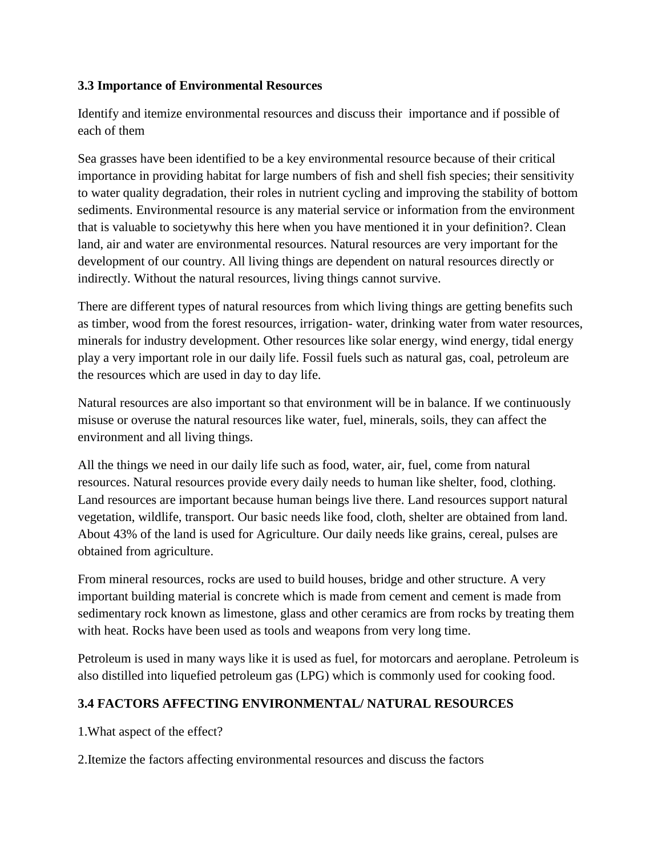# **3.3 Importance of Environmental Resources**

Identify and itemize environmental resources and discuss their importance and if possible of each of them

Sea grasses have been identified to be a key environmental resource because of their critical importance in providing habitat for large numbers of fish and shell fish species; their sensitivity to water quality degradation, their roles in nutrient cycling and improving the stability of bottom sediments. Environmental resource is any material service or information from the environment that is valuable to societywhy this here when you have mentioned it in your definition?. Clean land, air and water are environmental resources. Natural resources are very important for the development of our country. All living things are dependent on natural resources directly or indirectly. Without the natural resources, living things cannot survive.

There are different types of natural resources from which living things are getting benefits such as timber, wood from the forest resources, irrigation- water, drinking water from water resources, minerals for industry development. Other resources like solar energy, wind energy, tidal energy play a very important role in our daily life. Fossil fuels such as natural gas, coal, petroleum are the resources which are used in day to day life.

Natural resources are also important so that environment will be in balance. If we continuously misuse or overuse the natural resources like water, fuel, minerals, soils, they can affect the environment and all living things.

All the things we need in our daily life such as food, water, air, fuel, come from natural resources. Natural resources provide every daily needs to human like shelter, food, clothing. Land resources are important because human beings live there. Land resources support natural vegetation, wildlife, transport. Our basic needs like food, cloth, shelter are obtained from land. About 43% of the land is used for Agriculture. Our daily needs like grains, cereal, pulses are obtained from agriculture.

From mineral resources, rocks are used to build houses, bridge and other structure. A very important building material is concrete which is made from cement and cement is made from sedimentary rock known as limestone, glass and other ceramics are from rocks by treating them with heat. Rocks have been used as tools and weapons from very long time.

Petroleum is used in many ways like it is used as fuel, for motorcars and aeroplane. Petroleum is also distilled into liquefied petroleum gas (LPG) which is commonly used for cooking food.

# **3.4 FACTORS AFFECTING ENVIRONMENTAL/ NATURAL RESOURCES**

1.What aspect of the effect?

2.Itemize the factors affecting environmental resources and discuss the factors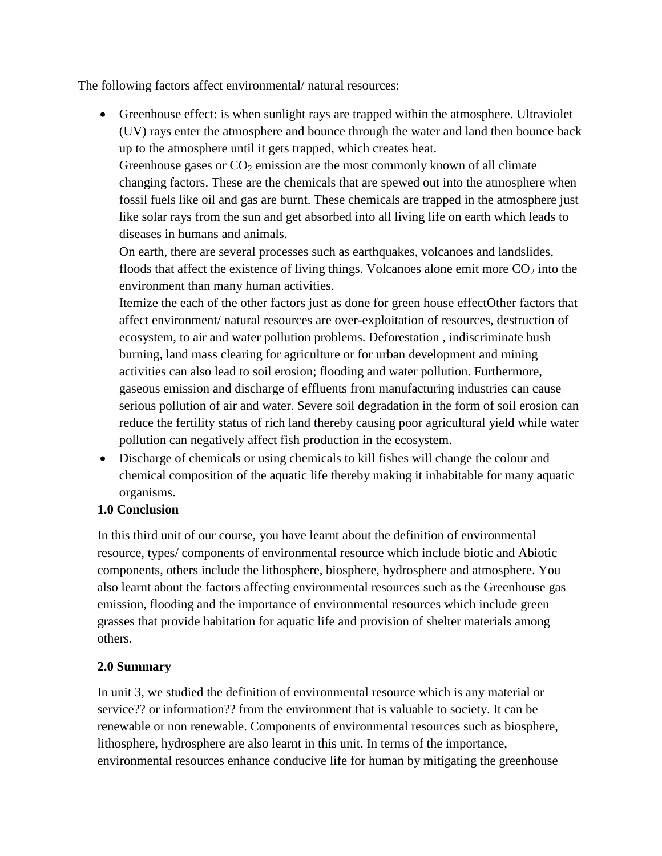The following factors affect environmental/ natural resources:

• Greenhouse effect: is when sunlight rays are trapped within the atmosphere. Ultraviolet (UV) rays enter the atmosphere and bounce through the water and land then bounce back up to the atmosphere until it gets trapped, which creates heat.

Greenhouse gases or  $CO<sub>2</sub>$  emission are the most commonly known of all climate changing factors. These are the chemicals that are spewed out into the atmosphere when fossil fuels like oil and gas are burnt. These chemicals are trapped in the atmosphere just like solar rays from the sun and get absorbed into all living life on earth which leads to diseases in humans and animals.

On earth, there are several processes such as earthquakes, volcanoes and landslides, floods that affect the existence of living things. Volcanoes alone emit more  $CO<sub>2</sub>$  into the environment than many human activities.

Itemize the each of the other factors just as done for green house effectOther factors that affect environment/ natural resources are over-exploitation of resources, destruction of ecosystem, to air and water pollution problems. Deforestation , indiscriminate bush burning, land mass clearing for agriculture or for urban development and mining activities can also lead to soil erosion; flooding and water pollution. Furthermore, gaseous emission and discharge of effluents from manufacturing industries can cause serious pollution of air and water. Severe soil degradation in the form of soil erosion can reduce the fertility status of rich land thereby causing poor agricultural yield while water pollution can negatively affect fish production in the ecosystem.

 Discharge of chemicals or using chemicals to kill fishes will change the colour and chemical composition of the aquatic life thereby making it inhabitable for many aquatic organisms.

# **1.0 Conclusion**

In this third unit of our course, you have learnt about the definition of environmental resource, types/ components of environmental resource which include biotic and Abiotic components, others include the lithosphere, biosphere, hydrosphere and atmosphere. You also learnt about the factors affecting environmental resources such as the Greenhouse gas emission, flooding and the importance of environmental resources which include green grasses that provide habitation for aquatic life and provision of shelter materials among others.

# **2.0 Summary**

In unit 3, we studied the definition of environmental resource which is any material or service?? or information?? from the environment that is valuable to society. It can be renewable or non renewable. Components of environmental resources such as biosphere, lithosphere, hydrosphere are also learnt in this unit. In terms of the importance, environmental resources enhance conducive life for human by mitigating the greenhouse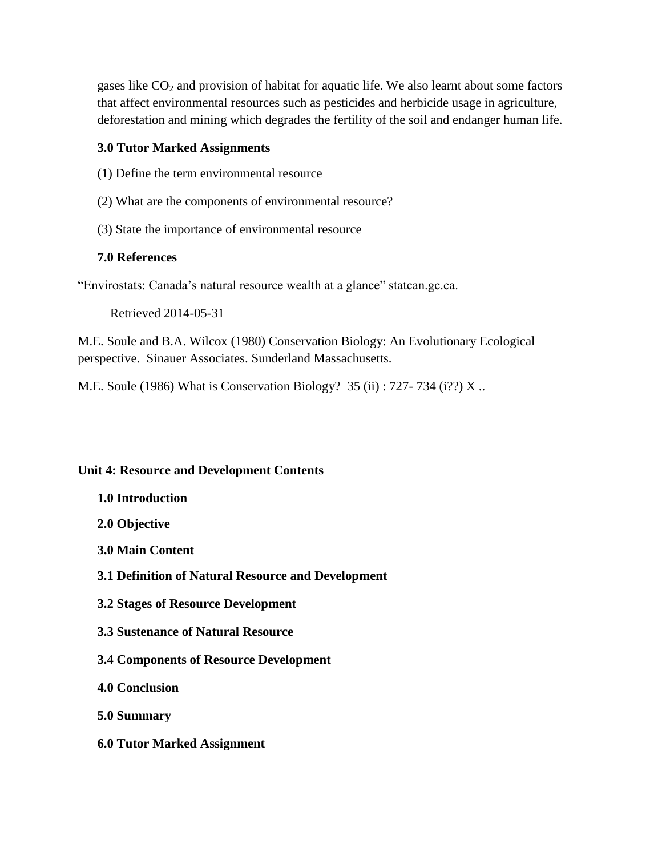gases like  $CO<sub>2</sub>$  and provision of habitat for aquatic life. We also learnt about some factors that affect environmental resources such as pesticides and herbicide usage in agriculture, deforestation and mining which degrades the fertility of the soil and endanger human life.

#### **3.0 Tutor Marked Assignments**

- (1) Define the term environmental resource
- (2) What are the components of environmental resource?
- (3) State the importance of environmental resource

#### **7.0 References**

"Envirostats: Canada's natural resource wealth at a glance" statcan.gc.ca.

Retrieved 2014-05-31

M.E. Soule and B.A. Wilcox (1980) Conservation Biology: An Evolutionary Ecological perspective. Sinauer Associates. Sunderland Massachusetts.

M.E. Soule (1986) What is Conservation Biology? 35 (ii) : 727- 734 (i??) X ..

#### **Unit 4: Resource and Development Contents**

- **1.0 Introduction**
- **2.0 Objective**
- **3.0 Main Content**
- **3.1 Definition of Natural Resource and Development**
- **3.2 Stages of Resource Development**
- **3.3 Sustenance of Natural Resource**
- **3.4 Components of Resource Development**
- **4.0 Conclusion**
- **5.0 Summary**
- **6.0 Tutor Marked Assignment**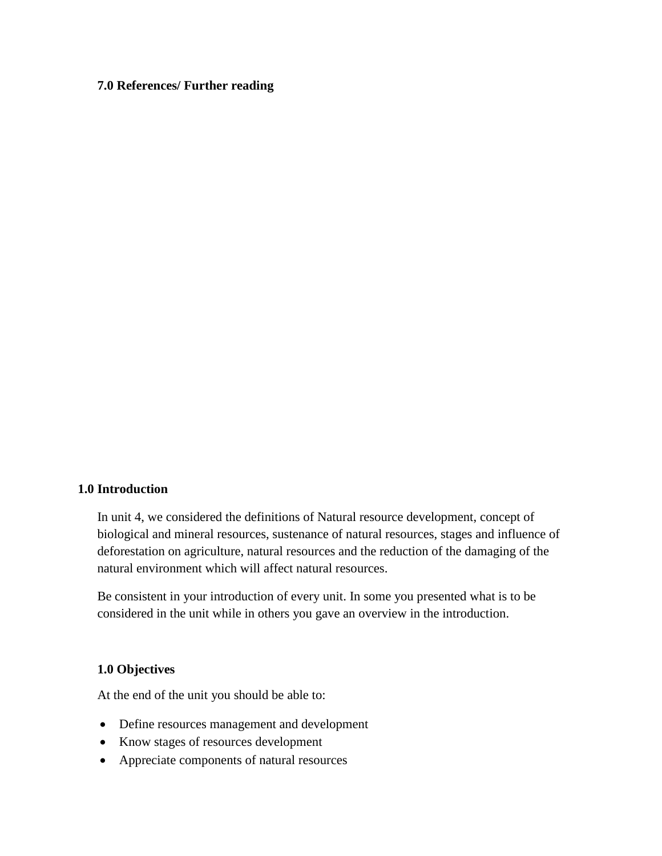#### **7.0 References/ Further reading**

#### **1.0 Introduction**

In unit 4, we considered the definitions of Natural resource development, concept of biological and mineral resources, sustenance of natural resources, stages and influence of deforestation on agriculture, natural resources and the reduction of the damaging of the natural environment which will affect natural resources.

Be consistent in your introduction of every unit. In some you presented what is to be considered in the unit while in others you gave an overview in the introduction.

#### **1.0 Objectives**

At the end of the unit you should be able to:

- Define resources management and development
- Know stages of resources development
- Appreciate components of natural resources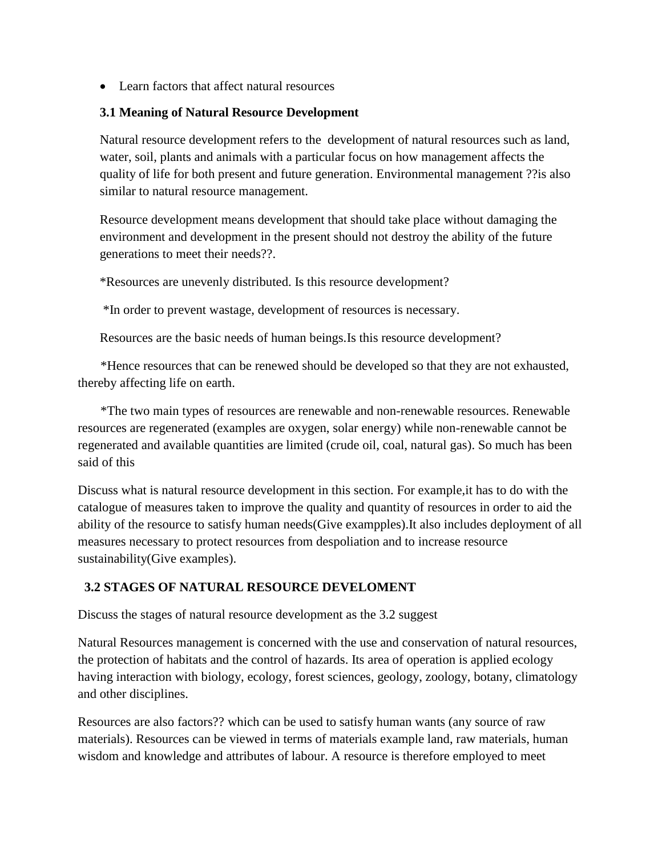• Learn factors that affect natural resources

### **3.1 Meaning of Natural Resource Development**

Natural resource development refers to the development of natural resources such as land, water, soil, plants and animals with a particular focus on how management affects the quality of life for both present and future generation. Environmental management ??is also similar to natural resource management.

Resource development means development that should take place without damaging the environment and development in the present should not destroy the ability of the future generations to meet their needs??.

\*Resources are unevenly distributed. Is this resource development?

\*In order to prevent wastage, development of resources is necessary.

Resources are the basic needs of human beings.Is this resource development?

 \*Hence resources that can be renewed should be developed so that they are not exhausted, thereby affecting life on earth.

 \*The two main types of resources are renewable and non-renewable resources. Renewable resources are regenerated (examples are oxygen, solar energy) while non-renewable cannot be regenerated and available quantities are limited (crude oil, coal, natural gas). So much has been said of this

Discuss what is natural resource development in this section. For example,it has to do with the catalogue of measures taken to improve the quality and quantity of resources in order to aid the ability of the resource to satisfy human needs(Give exampples).It also includes deployment of all measures necessary to protect resources from despoliation and to increase resource sustainability(Give examples).

# **3.2 STAGES OF NATURAL RESOURCE DEVELOMENT**

Discuss the stages of natural resource development as the 3.2 suggest

Natural Resources management is concerned with the use and conservation of natural resources, the protection of habitats and the control of hazards. Its area of operation is applied ecology having interaction with biology, ecology, forest sciences, geology, zoology, botany, climatology and other disciplines.

Resources are also factors?? which can be used to satisfy human wants (any source of raw materials). Resources can be viewed in terms of materials example land, raw materials, human wisdom and knowledge and attributes of labour. A resource is therefore employed to meet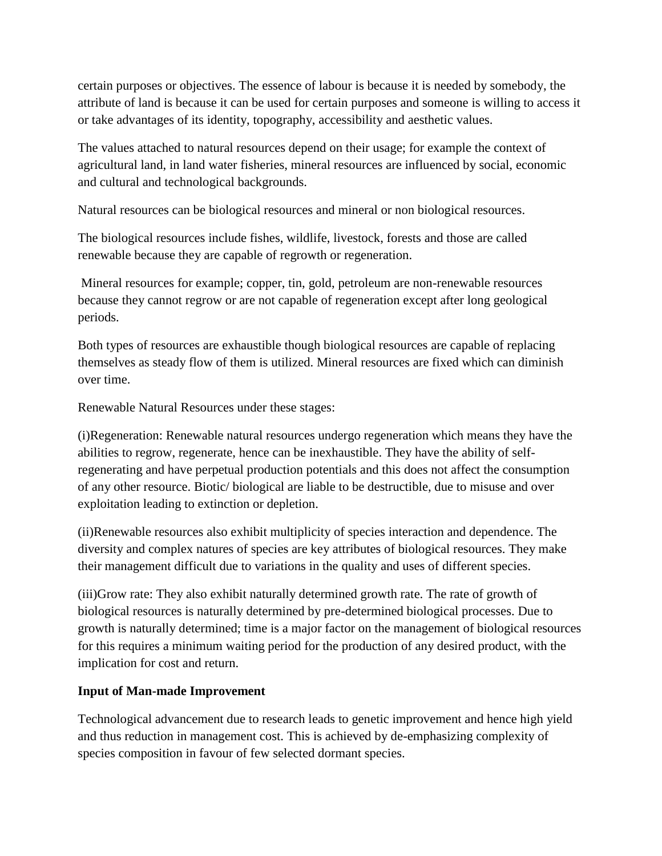certain purposes or objectives. The essence of labour is because it is needed by somebody, the attribute of land is because it can be used for certain purposes and someone is willing to access it or take advantages of its identity, topography, accessibility and aesthetic values.

The values attached to natural resources depend on their usage; for example the context of agricultural land, in land water fisheries, mineral resources are influenced by social, economic and cultural and technological backgrounds.

Natural resources can be biological resources and mineral or non biological resources.

The biological resources include fishes, wildlife, livestock, forests and those are called renewable because they are capable of regrowth or regeneration.

Mineral resources for example; copper, tin, gold, petroleum are non-renewable resources because they cannot regrow or are not capable of regeneration except after long geological periods.

Both types of resources are exhaustible though biological resources are capable of replacing themselves as steady flow of them is utilized. Mineral resources are fixed which can diminish over time.

Renewable Natural Resources under these stages:

(i)Regeneration: Renewable natural resources undergo regeneration which means they have the abilities to regrow, regenerate, hence can be inexhaustible. They have the ability of selfregenerating and have perpetual production potentials and this does not affect the consumption of any other resource. Biotic/ biological are liable to be destructible, due to misuse and over exploitation leading to extinction or depletion.

(ii)Renewable resources also exhibit multiplicity of species interaction and dependence. The diversity and complex natures of species are key attributes of biological resources. They make their management difficult due to variations in the quality and uses of different species.

(iii)Grow rate: They also exhibit naturally determined growth rate. The rate of growth of biological resources is naturally determined by pre-determined biological processes. Due to growth is naturally determined; time is a major factor on the management of biological resources for this requires a minimum waiting period for the production of any desired product, with the implication for cost and return.

# **Input of Man-made Improvement**

Technological advancement due to research leads to genetic improvement and hence high yield and thus reduction in management cost. This is achieved by de-emphasizing complexity of species composition in favour of few selected dormant species.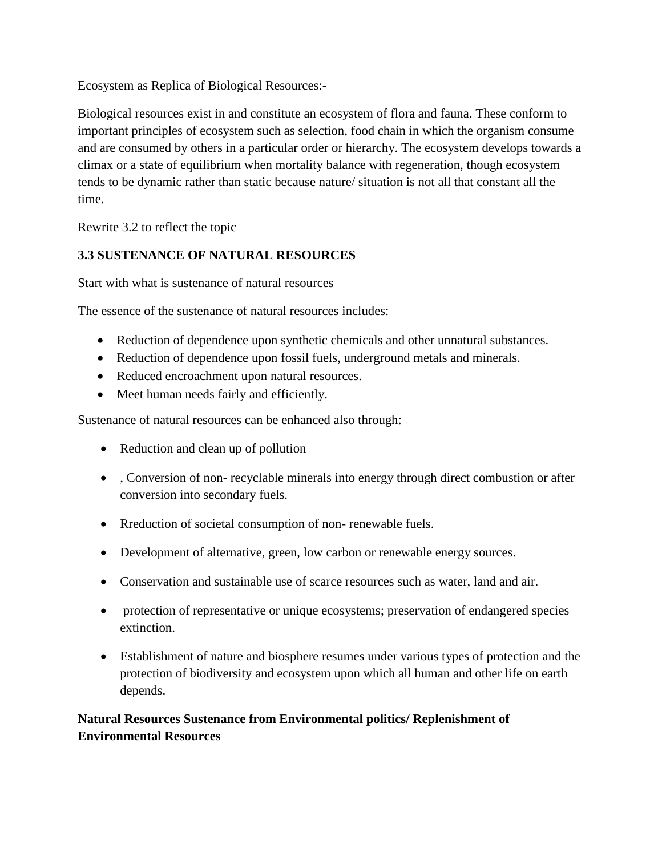Ecosystem as Replica of Biological Resources:-

Biological resources exist in and constitute an ecosystem of flora and fauna. These conform to important principles of ecosystem such as selection, food chain in which the organism consume and are consumed by others in a particular order or hierarchy. The ecosystem develops towards a climax or a state of equilibrium when mortality balance with regeneration, though ecosystem tends to be dynamic rather than static because nature/ situation is not all that constant all the time.

Rewrite 3.2 to reflect the topic

# **3.3 SUSTENANCE OF NATURAL RESOURCES**

Start with what is sustenance of natural resources

The essence of the sustenance of natural resources includes:

- Reduction of dependence upon synthetic chemicals and other unnatural substances.
- Reduction of dependence upon fossil fuels, underground metals and minerals.
- Reduced encroachment upon natural resources.
- Meet human needs fairly and efficiently.

Sustenance of natural resources can be enhanced also through:

- Reduction and clean up of pollution
- , Conversion of non- recyclable minerals into energy through direct combustion or after conversion into secondary fuels.
- Rreduction of societal consumption of non-renewable fuels.
- Development of alternative, green, low carbon or renewable energy sources.
- Conservation and sustainable use of scarce resources such as water, land and air.
- protection of representative or unique ecosystems; preservation of endangered species extinction.
- Establishment of nature and biosphere resumes under various types of protection and the protection of biodiversity and ecosystem upon which all human and other life on earth depends.

# **Natural Resources Sustenance from Environmental politics/ Replenishment of Environmental Resources**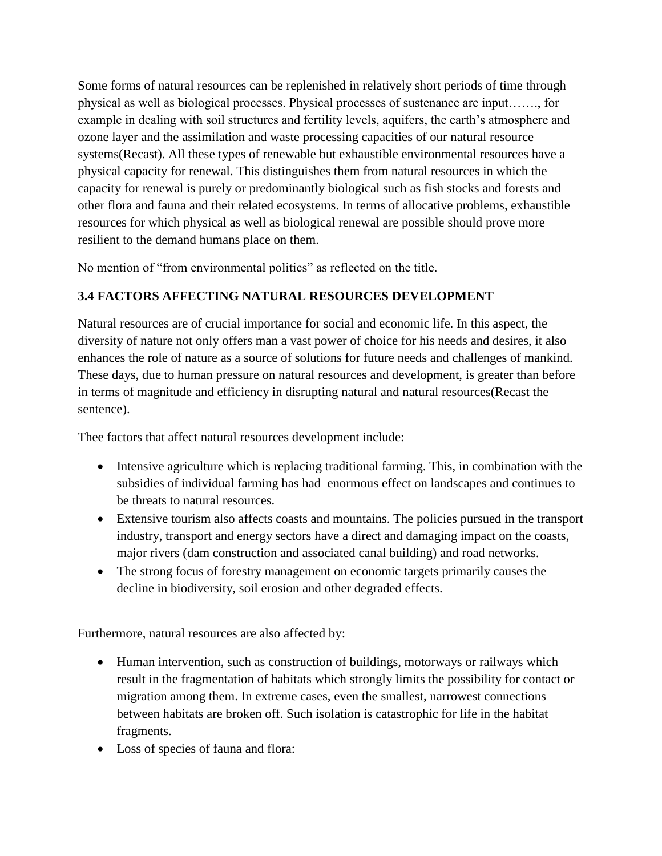Some forms of natural resources can be replenished in relatively short periods of time through physical as well as biological processes. Physical processes of sustenance are input……., for example in dealing with soil structures and fertility levels, aquifers, the earth's atmosphere and ozone layer and the assimilation and waste processing capacities of our natural resource systems(Recast). All these types of renewable but exhaustible environmental resources have a physical capacity for renewal. This distinguishes them from natural resources in which the capacity for renewal is purely or predominantly biological such as fish stocks and forests and other flora and fauna and their related ecosystems. In terms of allocative problems, exhaustible resources for which physical as well as biological renewal are possible should prove more resilient to the demand humans place on them.

No mention of "from environmental politics" as reflected on the title.

# **3.4 FACTORS AFFECTING NATURAL RESOURCES DEVELOPMENT**

Natural resources are of crucial importance for social and economic life. In this aspect, the diversity of nature not only offers man a vast power of choice for his needs and desires, it also enhances the role of nature as a source of solutions for future needs and challenges of mankind. These days, due to human pressure on natural resources and development, is greater than before in terms of magnitude and efficiency in disrupting natural and natural resources(Recast the sentence).

Thee factors that affect natural resources development include:

- Intensive agriculture which is replacing traditional farming. This, in combination with the subsidies of individual farming has had enormous effect on landscapes and continues to be threats to natural resources.
- Extensive tourism also affects coasts and mountains. The policies pursued in the transport industry, transport and energy sectors have a direct and damaging impact on the coasts, major rivers (dam construction and associated canal building) and road networks.
- The strong focus of forestry management on economic targets primarily causes the decline in biodiversity, soil erosion and other degraded effects.

Furthermore, natural resources are also affected by:

- Human intervention, such as construction of buildings, motorways or railways which result in the fragmentation of habitats which strongly limits the possibility for contact or migration among them. In extreme cases, even the smallest, narrowest connections between habitats are broken off. Such isolation is catastrophic for life in the habitat fragments.
- Loss of species of fauna and flora: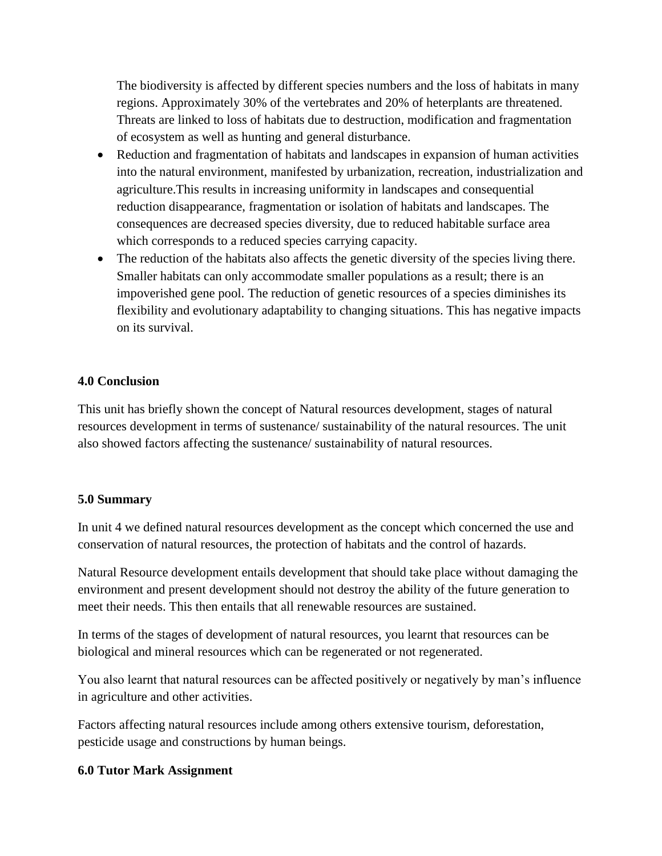The biodiversity is affected by different species numbers and the loss of habitats in many regions. Approximately 30% of the vertebrates and 20% of heterplants are threatened. Threats are linked to loss of habitats due to destruction, modification and fragmentation of ecosystem as well as hunting and general disturbance.

- Reduction and fragmentation of habitats and landscapes in expansion of human activities into the natural environment, manifested by urbanization, recreation, industrialization and agriculture.This results in increasing uniformity in landscapes and consequential reduction disappearance, fragmentation or isolation of habitats and landscapes. The consequences are decreased species diversity, due to reduced habitable surface area which corresponds to a reduced species carrying capacity.
- The reduction of the habitats also affects the genetic diversity of the species living there. Smaller habitats can only accommodate smaller populations as a result; there is an impoverished gene pool. The reduction of genetic resources of a species diminishes its flexibility and evolutionary adaptability to changing situations. This has negative impacts on its survival.

### **4.0 Conclusion**

This unit has briefly shown the concept of Natural resources development, stages of natural resources development in terms of sustenance/ sustainability of the natural resources. The unit also showed factors affecting the sustenance/ sustainability of natural resources.

#### **5.0 Summary**

In unit 4 we defined natural resources development as the concept which concerned the use and conservation of natural resources, the protection of habitats and the control of hazards.

Natural Resource development entails development that should take place without damaging the environment and present development should not destroy the ability of the future generation to meet their needs. This then entails that all renewable resources are sustained.

In terms of the stages of development of natural resources, you learnt that resources can be biological and mineral resources which can be regenerated or not regenerated.

You also learnt that natural resources can be affected positively or negatively by man's influence in agriculture and other activities.

Factors affecting natural resources include among others extensive tourism, deforestation, pesticide usage and constructions by human beings.

#### **6.0 Tutor Mark Assignment**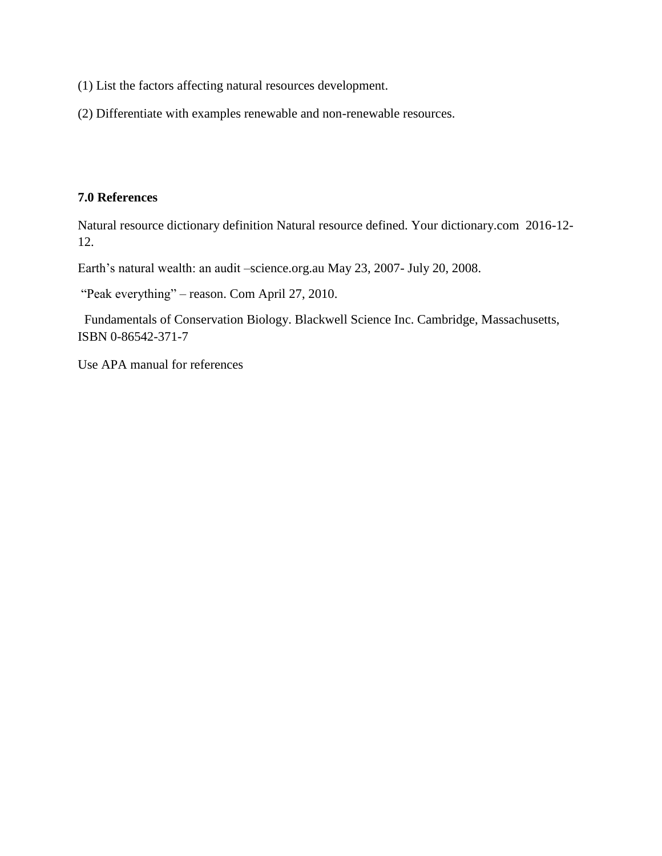- (1) List the factors affecting natural resources development.
- (2) Differentiate with examples renewable and non-renewable resources.

# **7.0 References**

Natural resource dictionary definition Natural resource defined. Your dictionary.com 2016-12- 12.

Earth's natural wealth: an audit –science.org.au May 23, 2007- July 20, 2008.

```
"Peak everything" – reason. Com April 27, 2010.
```
 Fundamentals of Conservation Biology. Blackwell Science Inc. Cambridge, Massachusetts, ISBN 0-86542-371-7

Use APA manual for references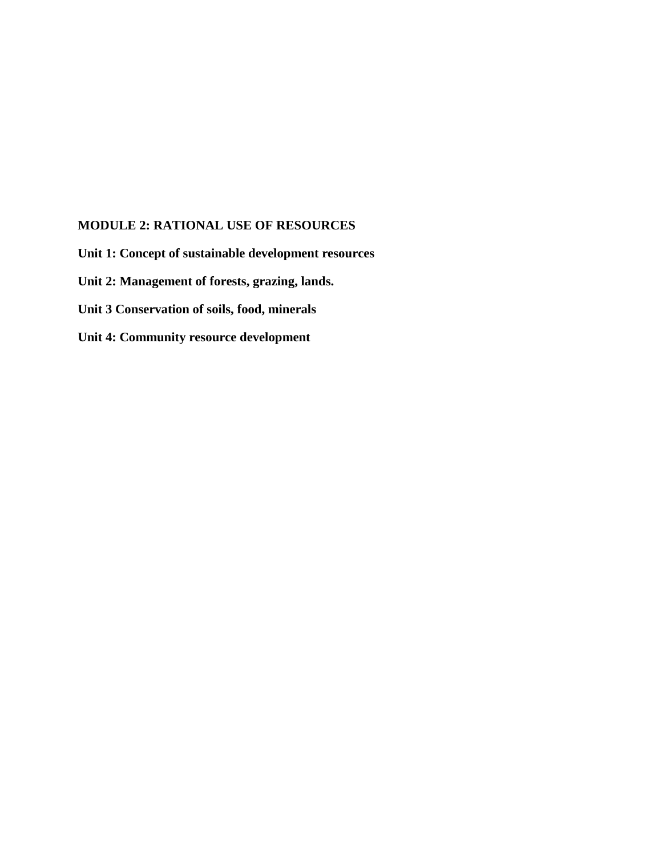# **MODULE 2: RATIONAL USE OF RESOURCES**

**Unit 1: Concept of sustainable development resources Unit 2: Management of forests, grazing, lands. Unit 3 Conservation of soils, food, minerals Unit 4: Community resource development**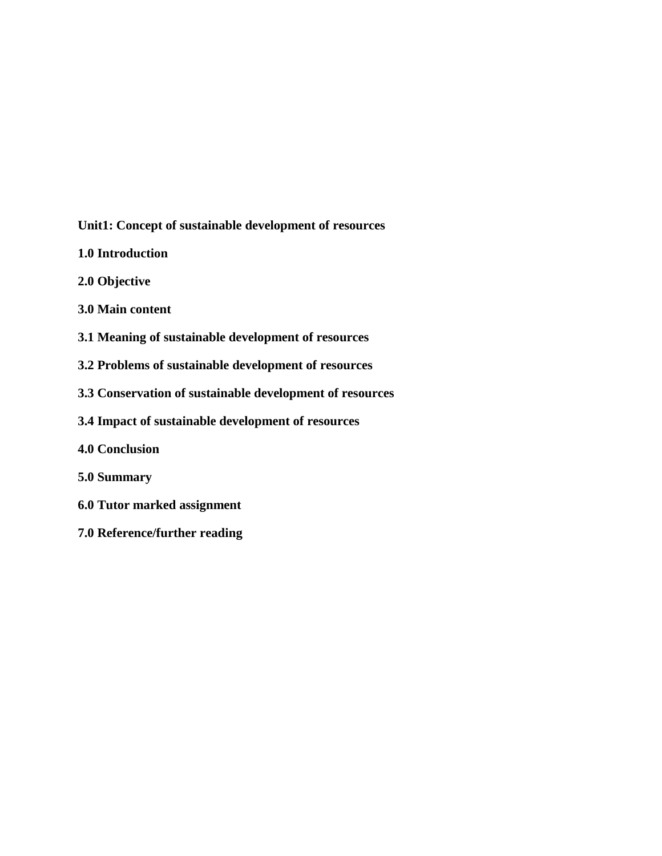**Unit1: Concept of sustainable development of resources**

- **1.0 Introduction**
- **2.0 Objective**
- **3.0 Main content**
- **3.1 Meaning of sustainable development of resources**
- **3.2 Problems of sustainable development of resources**
- **3.3 Conservation of sustainable development of resources**
- **3.4 Impact of sustainable development of resources**
- **4.0 Conclusion**
- **5.0 Summary**
- **6.0 Tutor marked assignment**
- **7.0 Reference/further reading**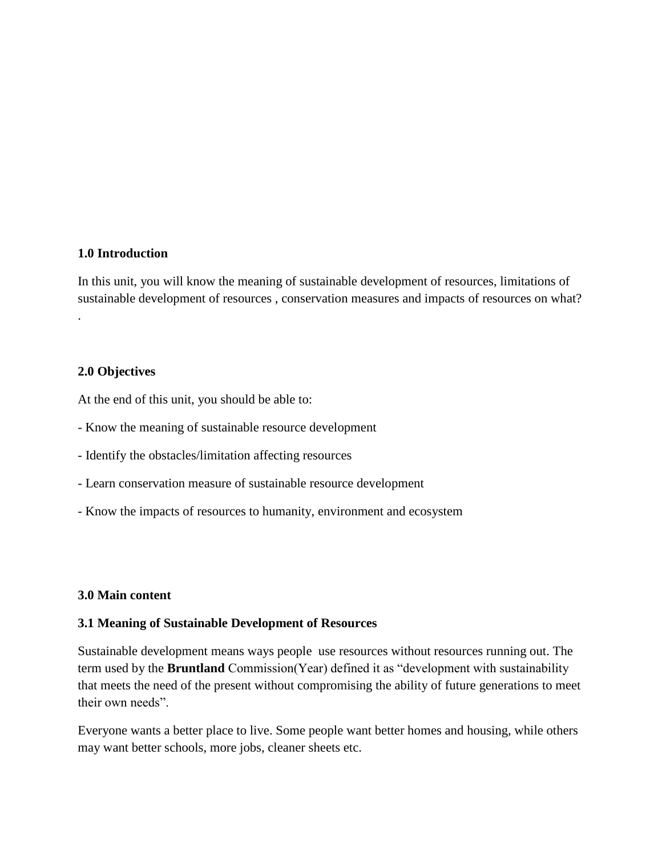#### **1.0 Introduction**

In this unit, you will know the meaning of sustainable development of resources, limitations of sustainable development of resources , conservation measures and impacts of resources on what? .

#### **2.0 Objectives**

At the end of this unit, you should be able to:

- Know the meaning of sustainable resource development
- Identify the obstacles/limitation affecting resources
- Learn conservation measure of sustainable resource development
- Know the impacts of resources to humanity, environment and ecosystem

#### **3.0 Main content**

#### **3.1 Meaning of Sustainable Development of Resources**

Sustainable development means ways people use resources without resources running out. The term used by the **Bruntland** Commission(Year) defined it as "development with sustainability that meets the need of the present without compromising the ability of future generations to meet their own needs".

Everyone wants a better place to live. Some people want better homes and housing, while others may want better schools, more jobs, cleaner sheets etc.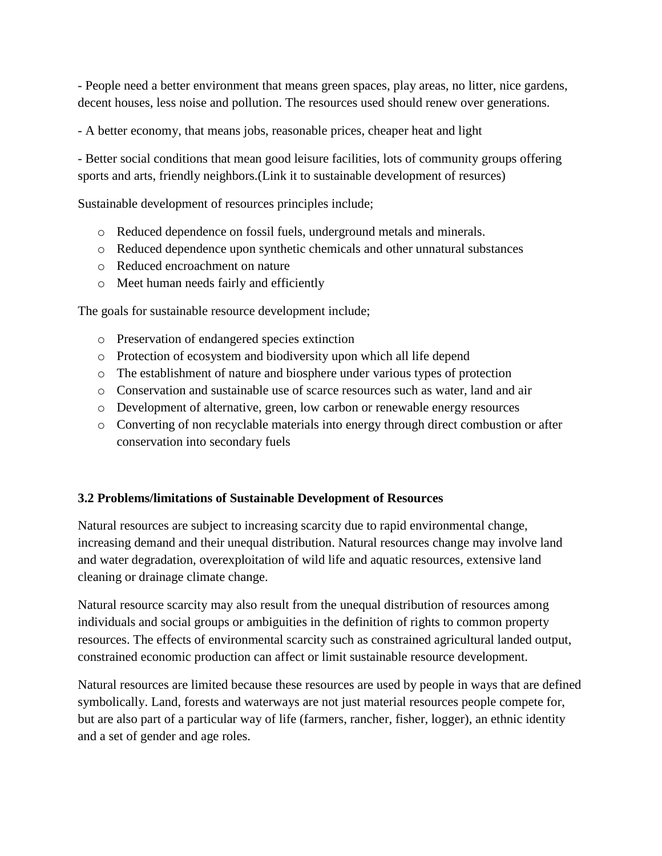- People need a better environment that means green spaces, play areas, no litter, nice gardens, decent houses, less noise and pollution. The resources used should renew over generations.

- A better economy, that means jobs, reasonable prices, cheaper heat and light

- Better social conditions that mean good leisure facilities, lots of community groups offering sports and arts, friendly neighbors.(Link it to sustainable development of resurces)

Sustainable development of resources principles include;

- o Reduced dependence on fossil fuels, underground metals and minerals.
- o Reduced dependence upon synthetic chemicals and other unnatural substances
- o Reduced encroachment on nature
- o Meet human needs fairly and efficiently

The goals for sustainable resource development include;

- o Preservation of endangered species extinction
- o Protection of ecosystem and biodiversity upon which all life depend
- o The establishment of nature and biosphere under various types of protection
- o Conservation and sustainable use of scarce resources such as water, land and air
- o Development of alternative, green, low carbon or renewable energy resources
- o Converting of non recyclable materials into energy through direct combustion or after conservation into secondary fuels

#### **3.2 Problems/limitations of Sustainable Development of Resources**

Natural resources are subject to increasing scarcity due to rapid environmental change, increasing demand and their unequal distribution. Natural resources change may involve land and water degradation, overexploitation of wild life and aquatic resources, extensive land cleaning or drainage climate change.

Natural resource scarcity may also result from the unequal distribution of resources among individuals and social groups or ambiguities in the definition of rights to common property resources. The effects of environmental scarcity such as constrained agricultural landed output, constrained economic production can affect or limit sustainable resource development.

Natural resources are limited because these resources are used by people in ways that are defined symbolically. Land, forests and waterways are not just material resources people compete for, but are also part of a particular way of life (farmers, rancher, fisher, logger), an ethnic identity and a set of gender and age roles.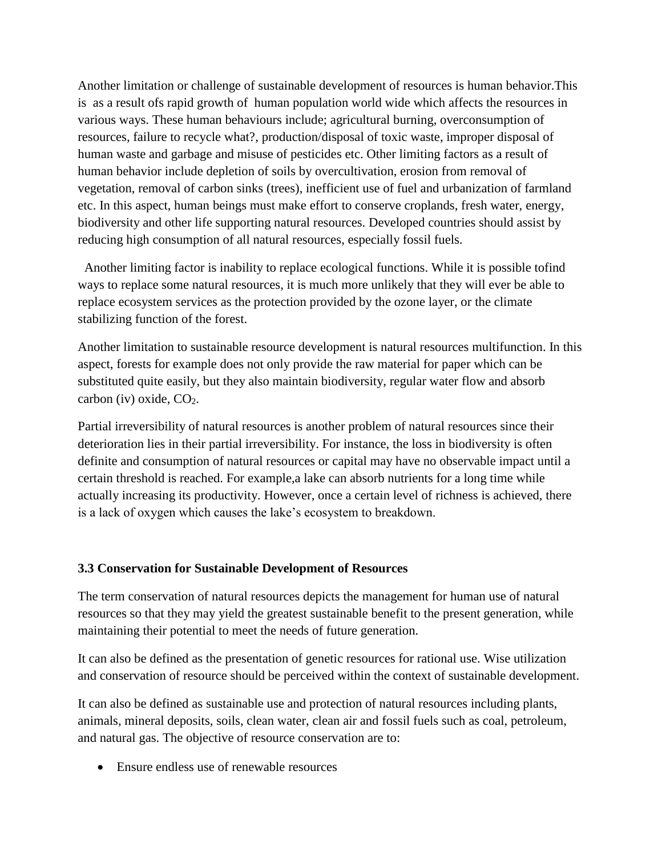Another limitation or challenge of sustainable development of resources is human behavior.This is as a result ofs rapid growth of human population world wide which affects the resources in various ways. These human behaviours include; agricultural burning, overconsumption of resources, failure to recycle what?, production/disposal of toxic waste, improper disposal of human waste and garbage and misuse of pesticides etc. Other limiting factors as a result of human behavior include depletion of soils by overcultivation, erosion from removal of vegetation, removal of carbon sinks (trees), inefficient use of fuel and urbanization of farmland etc. In this aspect, human beings must make effort to conserve croplands, fresh water, energy, biodiversity and other life supporting natural resources. Developed countries should assist by reducing high consumption of all natural resources, especially fossil fuels.

 Another limiting factor is inability to replace ecological functions. While it is possible tofind ways to replace some natural resources, it is much more unlikely that they will ever be able to replace ecosystem services as the protection provided by the ozone layer, or the climate stabilizing function of the forest.

Another limitation to sustainable resource development is natural resources multifunction. In this aspect, forests for example does not only provide the raw material for paper which can be substituted quite easily, but they also maintain biodiversity, regular water flow and absorb carbon (iv) oxide,  $CO<sub>2</sub>$ .

Partial irreversibility of natural resources is another problem of natural resources since their deterioration lies in their partial irreversibility. For instance, the loss in biodiversity is often definite and consumption of natural resources or capital may have no observable impact until a certain threshold is reached. For example,a lake can absorb nutrients for a long time while actually increasing its productivity. However, once a certain level of richness is achieved, there is a lack of oxygen which causes the lake's ecosystem to breakdown.

#### **3.3 Conservation for Sustainable Development of Resources**

The term conservation of natural resources depicts the management for human use of natural resources so that they may yield the greatest sustainable benefit to the present generation, while maintaining their potential to meet the needs of future generation.

It can also be defined as the presentation of genetic resources for rational use. Wise utilization and conservation of resource should be perceived within the context of sustainable development.

It can also be defined as sustainable use and protection of natural resources including plants, animals, mineral deposits, soils, clean water, clean air and fossil fuels such as coal, petroleum, and natural gas. The objective of resource conservation are to:

Ensure endless use of renewable resources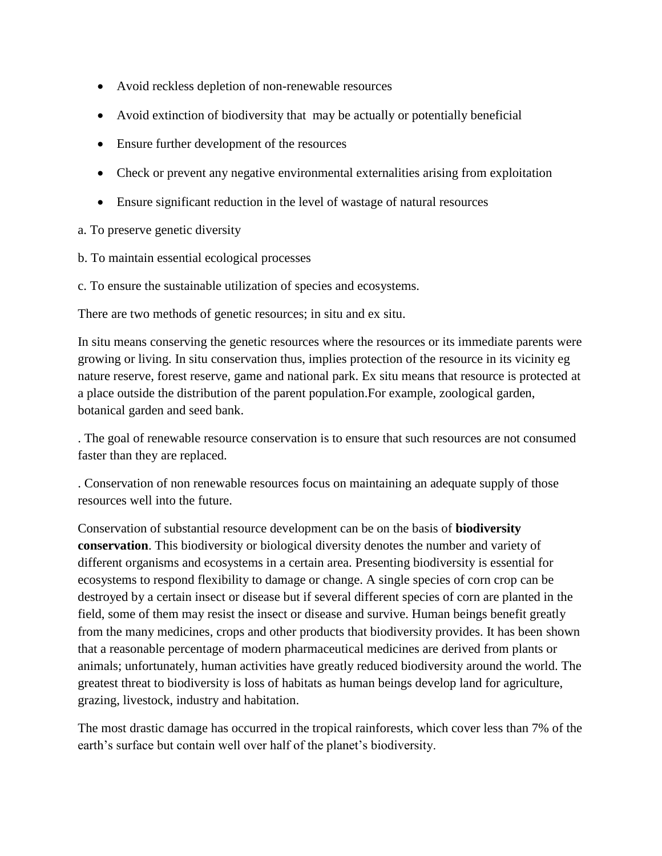- Avoid reckless depletion of non-renewable resources
- Avoid extinction of biodiversity that may be actually or potentially beneficial
- Ensure further development of the resources
- Check or prevent any negative environmental externalities arising from exploitation
- Ensure significant reduction in the level of wastage of natural resources

# a. To preserve genetic diversity

- b. To maintain essential ecological processes
- c. To ensure the sustainable utilization of species and ecosystems.

There are two methods of genetic resources; in situ and ex situ.

In situ means conserving the genetic resources where the resources or its immediate parents were growing or living. In situ conservation thus, implies protection of the resource in its vicinity eg nature reserve, forest reserve, game and national park. Ex situ means that resource is protected at a place outside the distribution of the parent population.For example, zoological garden, botanical garden and seed bank.

. The goal of renewable resource conservation is to ensure that such resources are not consumed faster than they are replaced.

. Conservation of non renewable resources focus on maintaining an adequate supply of those resources well into the future.

Conservation of substantial resource development can be on the basis of **biodiversity conservation**. This biodiversity or biological diversity denotes the number and variety of different organisms and ecosystems in a certain area. Presenting biodiversity is essential for ecosystems to respond flexibility to damage or change. A single species of corn crop can be destroyed by a certain insect or disease but if several different species of corn are planted in the field, some of them may resist the insect or disease and survive. Human beings benefit greatly from the many medicines, crops and other products that biodiversity provides. It has been shown that a reasonable percentage of modern pharmaceutical medicines are derived from plants or animals; unfortunately, human activities have greatly reduced biodiversity around the world. The greatest threat to biodiversity is loss of habitats as human beings develop land for agriculture, grazing, livestock, industry and habitation.

The most drastic damage has occurred in the tropical rainforests, which cover less than 7% of the earth's surface but contain well over half of the planet's biodiversity.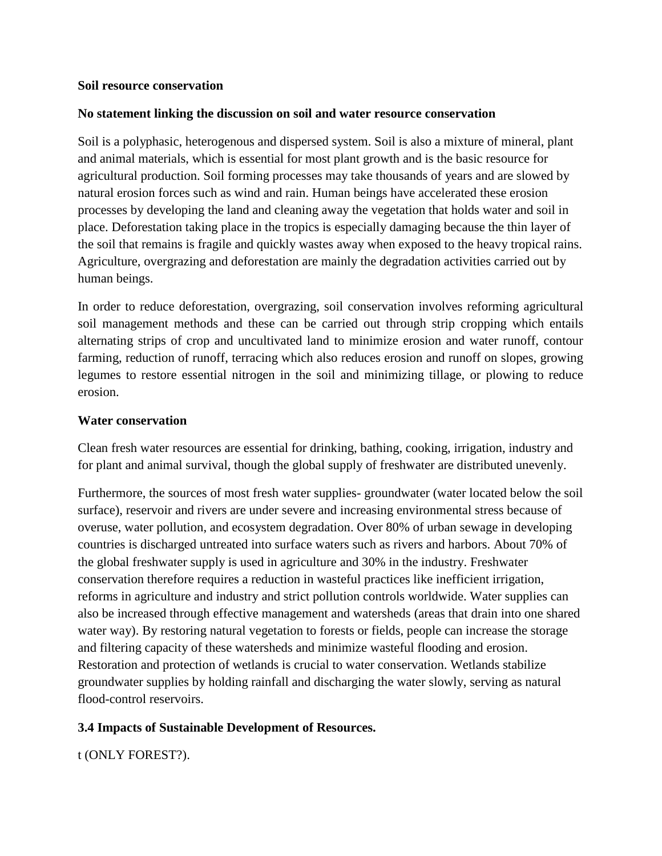#### **Soil resource conservation**

### **No statement linking the discussion on soil and water resource conservation**

Soil is a polyphasic, heterogenous and dispersed system. Soil is also a mixture of mineral, plant and animal materials, which is essential for most plant growth and is the basic resource for agricultural production. Soil forming processes may take thousands of years and are slowed by natural erosion forces such as wind and rain. Human beings have accelerated these erosion processes by developing the land and cleaning away the vegetation that holds water and soil in place. Deforestation taking place in the tropics is especially damaging because the thin layer of the soil that remains is fragile and quickly wastes away when exposed to the heavy tropical rains. Agriculture, overgrazing and deforestation are mainly the degradation activities carried out by human beings.

In order to reduce deforestation, overgrazing, soil conservation involves reforming agricultural soil management methods and these can be carried out through strip cropping which entails alternating strips of crop and uncultivated land to minimize erosion and water runoff, contour farming, reduction of runoff, terracing which also reduces erosion and runoff on slopes, growing legumes to restore essential nitrogen in the soil and minimizing tillage, or plowing to reduce erosion.

#### **Water conservation**

Clean fresh water resources are essential for drinking, bathing, cooking, irrigation, industry and for plant and animal survival, though the global supply of freshwater are distributed unevenly.

Furthermore, the sources of most fresh water supplies- groundwater (water located below the soil surface), reservoir and rivers are under severe and increasing environmental stress because of overuse, water pollution, and ecosystem degradation. Over 80% of urban sewage in developing countries is discharged untreated into surface waters such as rivers and harbors. About 70% of the global freshwater supply is used in agriculture and 30% in the industry. Freshwater conservation therefore requires a reduction in wasteful practices like inefficient irrigation, reforms in agriculture and industry and strict pollution controls worldwide. Water supplies can also be increased through effective management and watersheds (areas that drain into one shared water way). By restoring natural vegetation to forests or fields, people can increase the storage and filtering capacity of these watersheds and minimize wasteful flooding and erosion. Restoration and protection of wetlands is crucial to water conservation. Wetlands stabilize groundwater supplies by holding rainfall and discharging the water slowly, serving as natural flood-control reservoirs.

# **3.4 Impacts of Sustainable Development of Resources.**

t (ONLY FOREST?).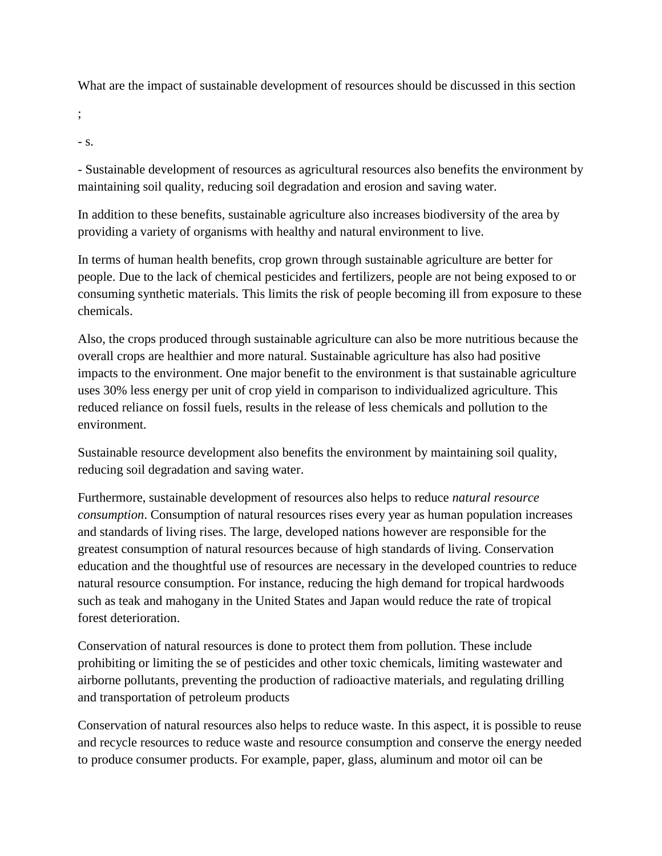What are the impact of sustainable development of resources should be discussed in this section

;

- s.

- Sustainable development of resources as agricultural resources also benefits the environment by maintaining soil quality, reducing soil degradation and erosion and saving water.

In addition to these benefits, sustainable agriculture also increases biodiversity of the area by providing a variety of organisms with healthy and natural environment to live.

In terms of human health benefits, crop grown through sustainable agriculture are better for people. Due to the lack of chemical pesticides and fertilizers, people are not being exposed to or consuming synthetic materials. This limits the risk of people becoming ill from exposure to these chemicals.

Also, the crops produced through sustainable agriculture can also be more nutritious because the overall crops are healthier and more natural. Sustainable agriculture has also had positive impacts to the environment. One major benefit to the environment is that sustainable agriculture uses 30% less energy per unit of crop yield in comparison to individualized agriculture. This reduced reliance on fossil fuels, results in the release of less chemicals and pollution to the environment.

Sustainable resource development also benefits the environment by maintaining soil quality, reducing soil degradation and saving water.

Furthermore, sustainable development of resources also helps to reduce *natural resource consumption*. Consumption of natural resources rises every year as human population increases and standards of living rises. The large, developed nations however are responsible for the greatest consumption of natural resources because of high standards of living. Conservation education and the thoughtful use of resources are necessary in the developed countries to reduce natural resource consumption. For instance, reducing the high demand for tropical hardwoods such as teak and mahogany in the United States and Japan would reduce the rate of tropical forest deterioration.

Conservation of natural resources is done to protect them from pollution. These include prohibiting or limiting the se of pesticides and other toxic chemicals, limiting wastewater and airborne pollutants, preventing the production of radioactive materials, and regulating drilling and transportation of petroleum products

Conservation of natural resources also helps to reduce waste. In this aspect, it is possible to reuse and recycle resources to reduce waste and resource consumption and conserve the energy needed to produce consumer products. For example, paper, glass, aluminum and motor oil can be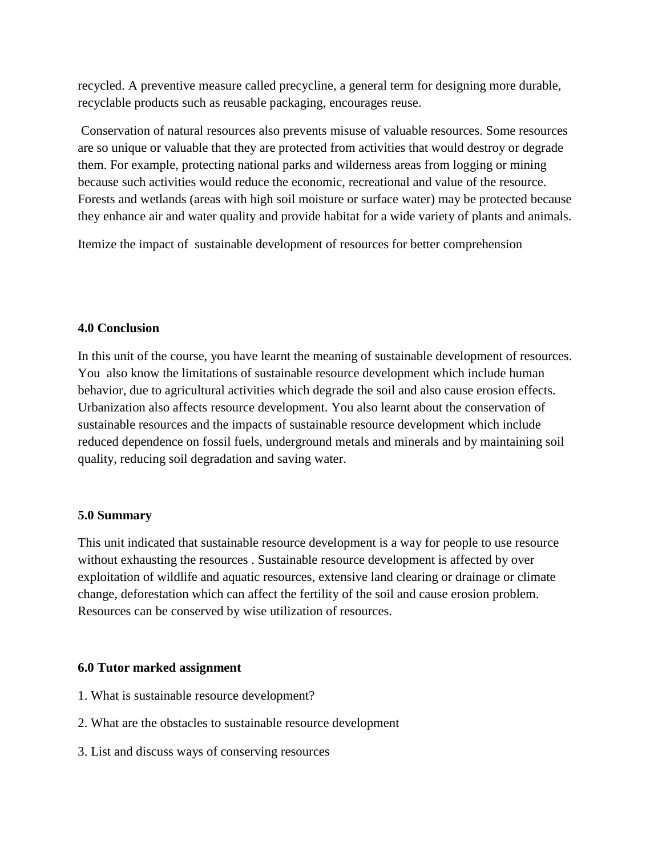recycled. A preventive measure called precycline, a general term for designing more durable, recyclable products such as reusable packaging, encourages reuse.

Conservation of natural resources also prevents misuse of valuable resources. Some resources are so unique or valuable that they are protected from activities that would destroy or degrade them. For example, protecting national parks and wilderness areas from logging or mining because such activities would reduce the economic, recreational and value of the resource. Forests and wetlands (areas with high soil moisture or surface water) may be protected because they enhance air and water quality and provide habitat for a wide variety of plants and animals.

Itemize the impact of sustainable development of resources for better comprehension

## **4.0 Conclusion**

In this unit of the course, you have learnt the meaning of sustainable development of resources. You also know the limitations of sustainable resource development which include human behavior, due to agricultural activities which degrade the soil and also cause erosion effects. Urbanization also affects resource development. You also learnt about the conservation of sustainable resources and the impacts of sustainable resource development which include reduced dependence on fossil fuels, underground metals and minerals and by maintaining soil quality, reducing soil degradation and saving water.

# **5.0 Summary**

This unit indicated that sustainable resource development is a way for people to use resource without exhausting the resources . Sustainable resource development is affected by over exploitation of wildlife and aquatic resources, extensive land clearing or drainage or climate change, deforestation which can affect the fertility of the soil and cause erosion problem. Resources can be conserved by wise utilization of resources.

## **6.0 Tutor marked assignment**

- 1. What is sustainable resource development?
- 2. What are the obstacles to sustainable resource development
- 3. List and discuss ways of conserving resources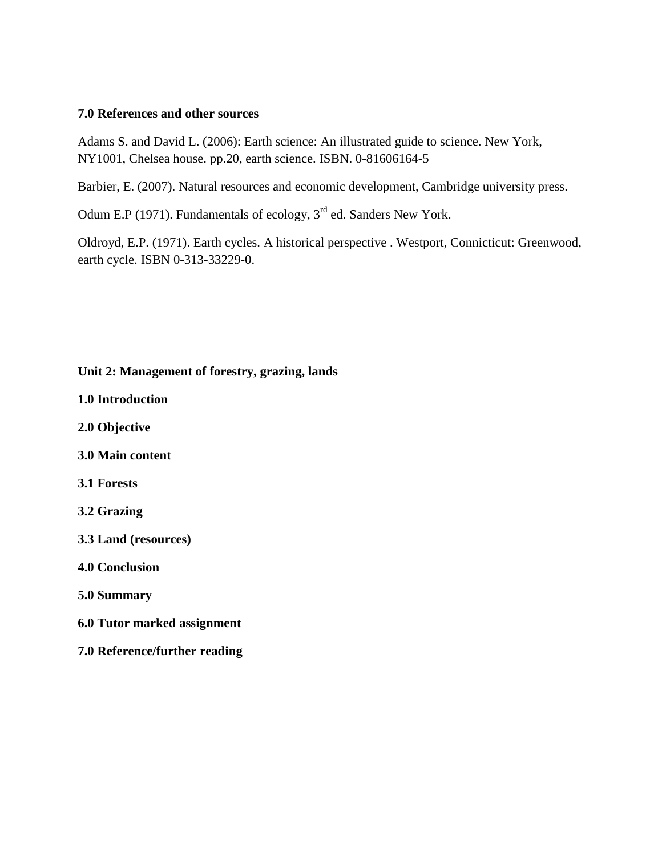#### **7.0 References and other sources**

Adams S. and David L. (2006): Earth science: An illustrated guide to science. New York, NY1001, Chelsea house. pp.20, earth science. ISBN. 0-81606164-5

Barbier, E. (2007). Natural resources and economic development, Cambridge university press.

Odum E.P (1971). Fundamentals of ecology, 3<sup>rd</sup> ed. Sanders New York.

Oldroyd, E.P. (1971). Earth cycles. A historical perspective . Westport, Connicticut: Greenwood, earth cycle. ISBN 0-313-33229-0.

## **Unit 2: Management of forestry, grazing, lands**

- **1.0 Introduction**
- **2.0 Objective**
- **3.0 Main content**
- **3.1 Forests**
- **3.2 Grazing**
- **3.3 Land (resources)**
- **4.0 Conclusion**
- **5.0 Summary**
- **6.0 Tutor marked assignment**
- **7.0 Reference/further reading**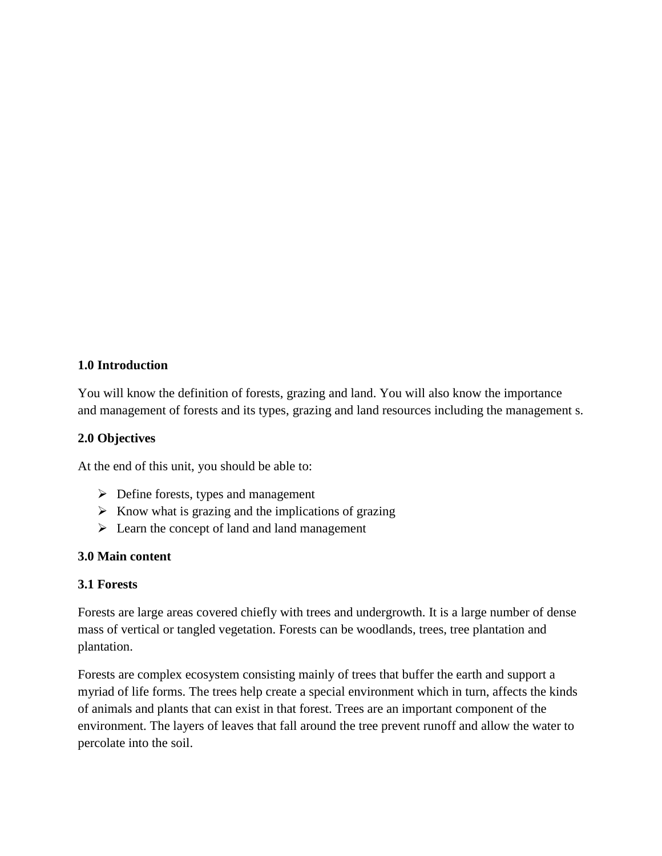## **1.0 Introduction**

You will know the definition of forests, grazing and land. You will also know the importance and management of forests and its types, grazing and land resources including the management s.

## **2.0 Objectives**

At the end of this unit, you should be able to:

- $\triangleright$  Define forests, types and management
- $\triangleright$  Know what is grazing and the implications of grazing
- $\triangleright$  Learn the concept of land and land management

# **3.0 Main content**

## **3.1 Forests**

Forests are large areas covered chiefly with trees and undergrowth. It is a large number of dense mass of vertical or tangled vegetation. Forests can be woodlands, trees, tree plantation and plantation.

Forests are complex ecosystem consisting mainly of trees that buffer the earth and support a myriad of life forms. The trees help create a special environment which in turn, affects the kinds of animals and plants that can exist in that forest. Trees are an important component of the environment. The layers of leaves that fall around the tree prevent runoff and allow the water to percolate into the soil.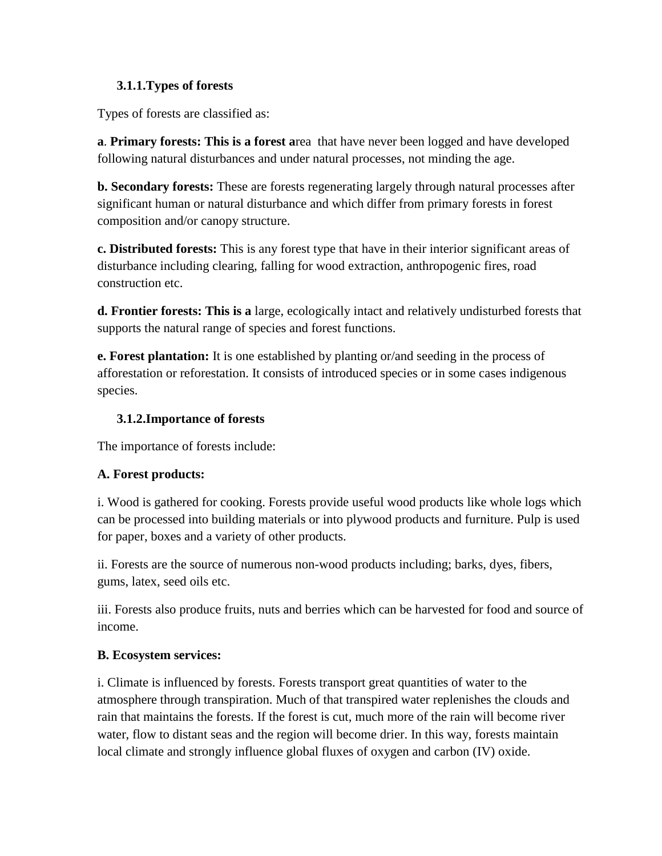# **3.1.1.Types of forests**

Types of forests are classified as:

**a**. **Primary forests: This is a forest a**rea that have never been logged and have developed following natural disturbances and under natural processes, not minding the age.

**b. Secondary forests:** These are forests regenerating largely through natural processes after significant human or natural disturbance and which differ from primary forests in forest composition and/or canopy structure.

**c. Distributed forests:** This is any forest type that have in their interior significant areas of disturbance including clearing, falling for wood extraction, anthropogenic fires, road construction etc.

**d. Frontier forests: This is a** large, ecologically intact and relatively undisturbed forests that supports the natural range of species and forest functions.

**e. Forest plantation:** It is one established by planting or/and seeding in the process of afforestation or reforestation. It consists of introduced species or in some cases indigenous species.

# **3.1.2.Importance of forests**

The importance of forests include:

# **A. Forest products:**

i. Wood is gathered for cooking. Forests provide useful wood products like whole logs which can be processed into building materials or into plywood products and furniture. Pulp is used for paper, boxes and a variety of other products.

ii. Forests are the source of numerous non-wood products including; barks, dyes, fibers, gums, latex, seed oils etc.

iii. Forests also produce fruits, nuts and berries which can be harvested for food and source of income.

# **B. Ecosystem services:**

i. Climate is influenced by forests. Forests transport great quantities of water to the atmosphere through transpiration. Much of that transpired water replenishes the clouds and rain that maintains the forests. If the forest is cut, much more of the rain will become river water, flow to distant seas and the region will become drier. In this way, forests maintain local climate and strongly influence global fluxes of oxygen and carbon (IV) oxide.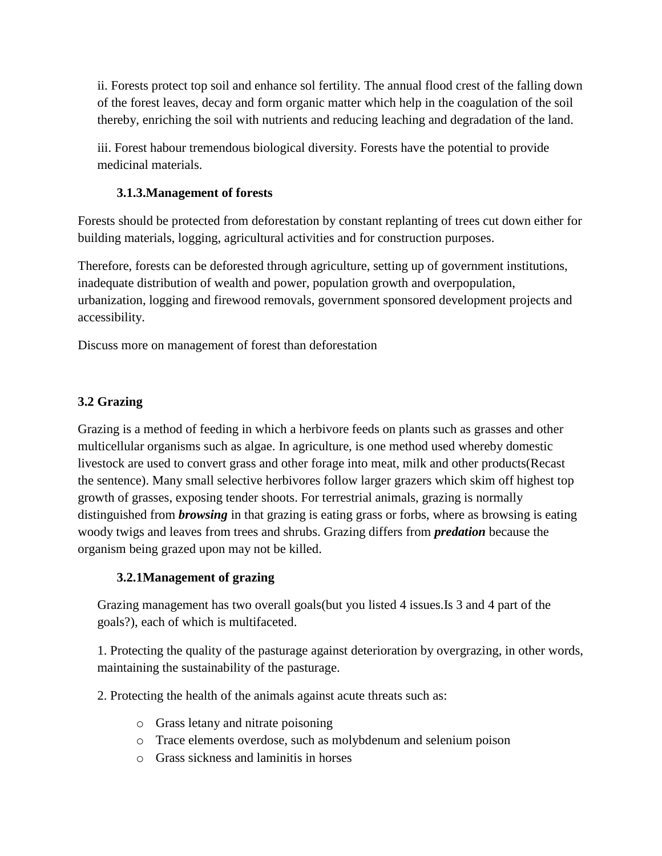ii. Forests protect top soil and enhance sol fertility. The annual flood crest of the falling down of the forest leaves, decay and form organic matter which help in the coagulation of the soil thereby, enriching the soil with nutrients and reducing leaching and degradation of the land.

iii. Forest habour tremendous biological diversity. Forests have the potential to provide medicinal materials.

# **3.1.3.Management of forests**

Forests should be protected from deforestation by constant replanting of trees cut down either for building materials, logging, agricultural activities and for construction purposes.

Therefore, forests can be deforested through agriculture, setting up of government institutions, inadequate distribution of wealth and power, population growth and overpopulation, urbanization, logging and firewood removals, government sponsored development projects and accessibility.

Discuss more on management of forest than deforestation

# **3.2 Grazing**

Grazing is a method of feeding in which a herbivore feeds on plants such as grasses and other multicellular organisms such as algae. In agriculture, is one method used whereby domestic livestock are used to convert grass and other forage into meat, milk and other products(Recast the sentence). Many small selective herbivores follow larger grazers which skim off highest top growth of grasses, exposing tender shoots. For terrestrial animals, grazing is normally distinguished from *browsing* in that grazing is eating grass or forbs, where as browsing is eating woody twigs and leaves from trees and shrubs. Grazing differs from *predation* because the organism being grazed upon may not be killed.

# **3.2.1Management of grazing**

Grazing management has two overall goals(but you listed 4 issues.Is 3 and 4 part of the goals?), each of which is multifaceted.

1. Protecting the quality of the pasturage against deterioration by overgrazing, in other words, maintaining the sustainability of the pasturage.

2. Protecting the health of the animals against acute threats such as:

- o Grass letany and nitrate poisoning
- o Trace elements overdose, such as molybdenum and selenium poison
- o Grass sickness and laminitis in horses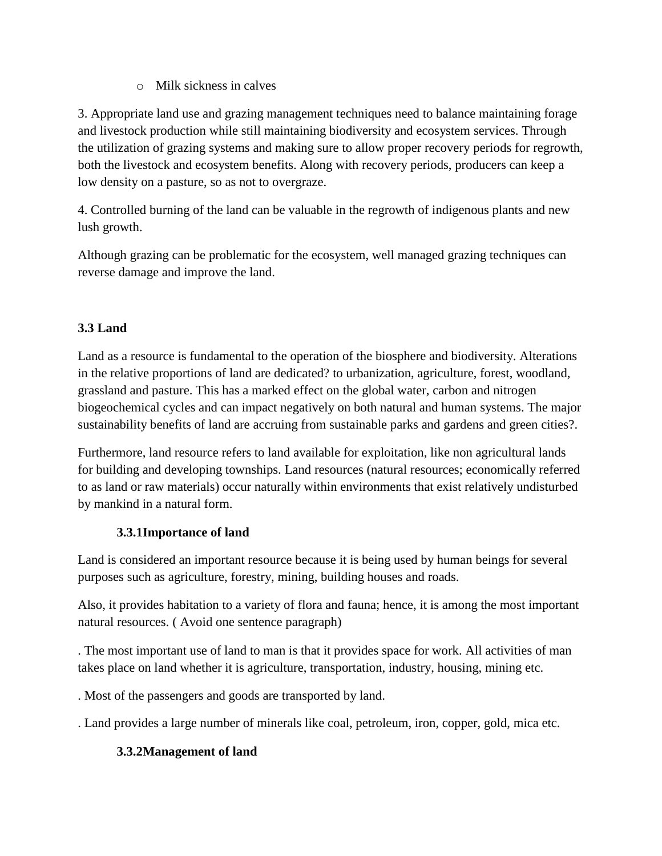o Milk sickness in calves

3. Appropriate land use and grazing management techniques need to balance maintaining forage and livestock production while still maintaining biodiversity and ecosystem services. Through the utilization of grazing systems and making sure to allow proper recovery periods for regrowth, both the livestock and ecosystem benefits. Along with recovery periods, producers can keep a low density on a pasture, so as not to overgraze.

4. Controlled burning of the land can be valuable in the regrowth of indigenous plants and new lush growth.

Although grazing can be problematic for the ecosystem, well managed grazing techniques can reverse damage and improve the land.

# **3.3 Land**

Land as a resource is fundamental to the operation of the biosphere and biodiversity. Alterations in the relative proportions of land are dedicated? to urbanization, agriculture, forest, woodland, grassland and pasture. This has a marked effect on the global water, carbon and nitrogen biogeochemical cycles and can impact negatively on both natural and human systems. The major sustainability benefits of land are accruing from sustainable parks and gardens and green cities?.

Furthermore, land resource refers to land available for exploitation, like non agricultural lands for building and developing townships. Land resources (natural resources; economically referred to as land or raw materials) occur naturally within environments that exist relatively undisturbed by mankind in a natural form.

# **3.3.1Importance of land**

Land is considered an important resource because it is being used by human beings for several purposes such as agriculture, forestry, mining, building houses and roads.

Also, it provides habitation to a variety of flora and fauna; hence, it is among the most important natural resources. ( Avoid one sentence paragraph)

. The most important use of land to man is that it provides space for work. All activities of man takes place on land whether it is agriculture, transportation, industry, housing, mining etc.

. Most of the passengers and goods are transported by land.

. Land provides a large number of minerals like coal, petroleum, iron, copper, gold, mica etc.

# **3.3.2Management of land**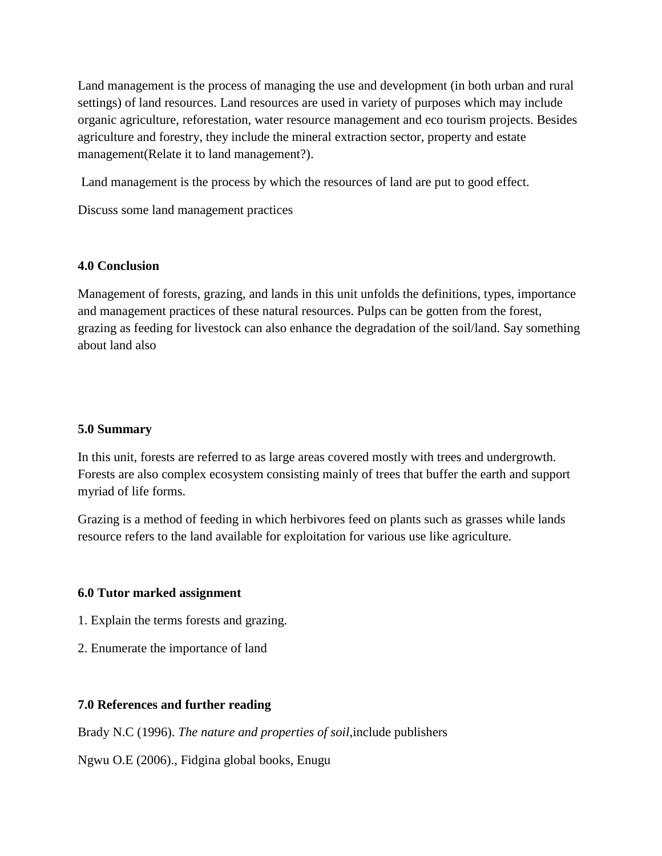Land management is the process of managing the use and development (in both urban and rural settings) of land resources. Land resources are used in variety of purposes which may include organic agriculture, reforestation, water resource management and eco tourism projects. Besides agriculture and forestry, they include the mineral extraction sector, property and estate management(Relate it to land management?).

Land management is the process by which the resources of land are put to good effect.

Discuss some land management practices

## **4.0 Conclusion**

Management of forests, grazing, and lands in this unit unfolds the definitions, types, importance and management practices of these natural resources. Pulps can be gotten from the forest, grazing as feeding for livestock can also enhance the degradation of the soil/land. Say something about land also

## **5.0 Summary**

In this unit, forests are referred to as large areas covered mostly with trees and undergrowth. Forests are also complex ecosystem consisting mainly of trees that buffer the earth and support myriad of life forms.

Grazing is a method of feeding in which herbivores feed on plants such as grasses while lands resource refers to the land available for exploitation for various use like agriculture.

## **6.0 Tutor marked assignment**

- 1. Explain the terms forests and grazing.
- 2. Enumerate the importance of land

# **7.0 References and further reading**

Brady N.C (1996). *The nature and properties of soil*,include publishers

Ngwu O.E (2006)., Fidgina global books, Enugu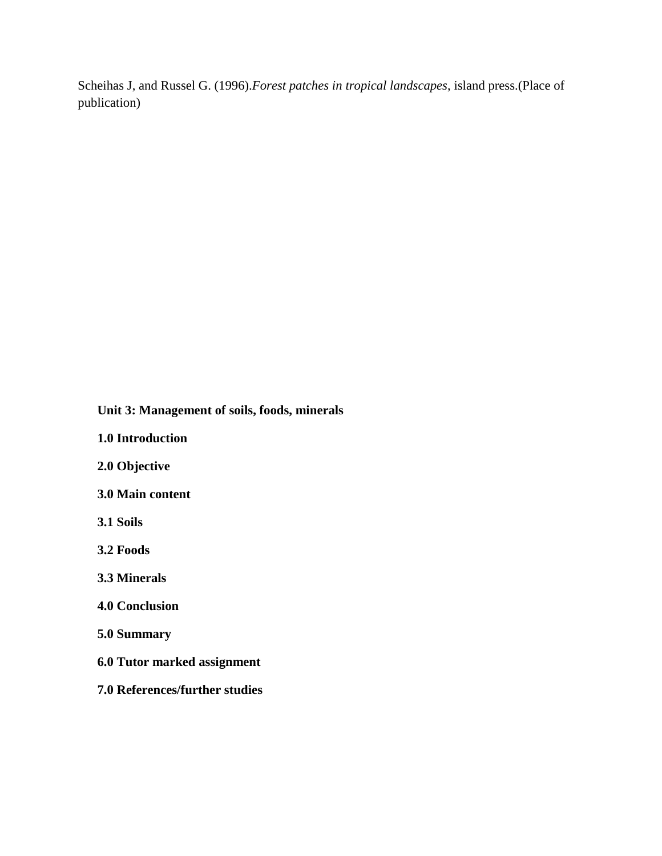Scheihas J, and Russel G. (1996).*Forest patches in tropical landscapes*, island press.(Place of publication)

 **Unit 3: Management of soils, foods, minerals**

**1.0 Introduction**

**2.0 Objective**

**3.0 Main content**

**3.1 Soils**

**3.2 Foods**

**3.3 Minerals**

**4.0 Conclusion**

**5.0 Summary**

**6.0 Tutor marked assignment**

**7.0 References/further studies**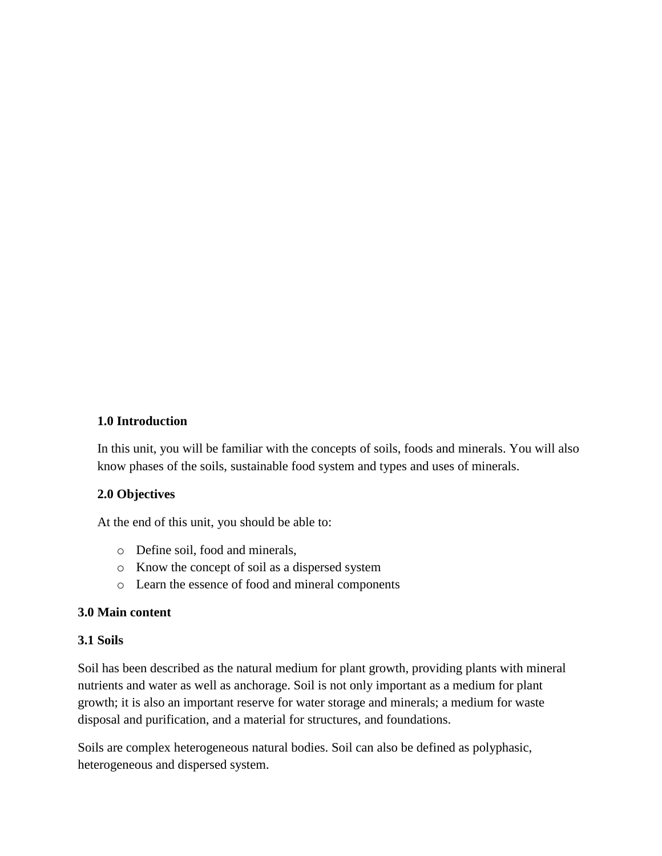## **1.0 Introduction**

In this unit, you will be familiar with the concepts of soils, foods and minerals. You will also know phases of the soils, sustainable food system and types and uses of minerals.

## **2.0 Objectives**

At the end of this unit, you should be able to:

- o Define soil, food and minerals,
- o Know the concept of soil as a dispersed system
- o Learn the essence of food and mineral components

## **3.0 Main content**

## **3.1 Soils**

Soil has been described as the natural medium for plant growth, providing plants with mineral nutrients and water as well as anchorage. Soil is not only important as a medium for plant growth; it is also an important reserve for water storage and minerals; a medium for waste disposal and purification, and a material for structures, and foundations.

Soils are complex heterogeneous natural bodies. Soil can also be defined as polyphasic, heterogeneous and dispersed system.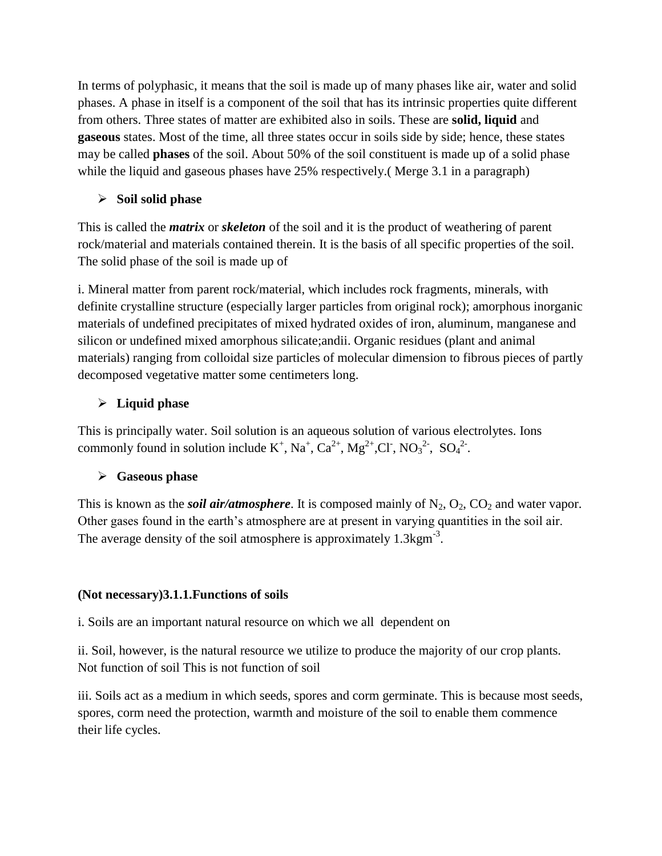In terms of polyphasic, it means that the soil is made up of many phases like air, water and solid phases. A phase in itself is a component of the soil that has its intrinsic properties quite different from others. Three states of matter are exhibited also in soils. These are **solid, liquid** and **gaseous** states. Most of the time, all three states occur in soils side by side; hence, these states may be called **phases** of the soil. About 50% of the soil constituent is made up of a solid phase while the liquid and gaseous phases have 25% respectively. (Merge 3.1 in a paragraph)

# **Soil solid phase**

This is called the *matrix* or *skeleton* of the soil and it is the product of weathering of parent rock/material and materials contained therein. It is the basis of all specific properties of the soil. The solid phase of the soil is made up of

i. Mineral matter from parent rock/material, which includes rock fragments, minerals, with definite crystalline structure (especially larger particles from original rock); amorphous inorganic materials of undefined precipitates of mixed hydrated oxides of iron, aluminum, manganese and silicon or undefined mixed amorphous silicate;andii. Organic residues (plant and animal materials) ranging from colloidal size particles of molecular dimension to fibrous pieces of partly decomposed vegetative matter some centimeters long.

# **Liquid phase**

This is principally water. Soil solution is an aqueous solution of various electrolytes. Ions commonly found in solution include  $K^+$ , Na<sup>+</sup>, Ca<sup>2+</sup>, Mg<sup>2+</sup>,Cl<sup>-</sup>, NO<sub>3</sub><sup>2-</sup>, SO<sub>4</sub><sup>2-</sup>.

# **Gaseous phase**

This is known as the *soil air/atmosphere*. It is composed mainly of  $N_2$ ,  $O_2$ ,  $CO_2$  and water vapor. Other gases found in the earth's atmosphere are at present in varying quantities in the soil air. The average density of the soil atmosphere is approximately  $1.3 \text{kgm}^{-3}$ .

# **(Not necessary)3.1.1.Functions of soils**

i. Soils are an important natural resource on which we all dependent on

ii. Soil, however, is the natural resource we utilize to produce the majority of our crop plants. Not function of soil This is not function of soil

iii. Soils act as a medium in which seeds, spores and corm germinate. This is because most seeds, spores, corm need the protection, warmth and moisture of the soil to enable them commence their life cycles.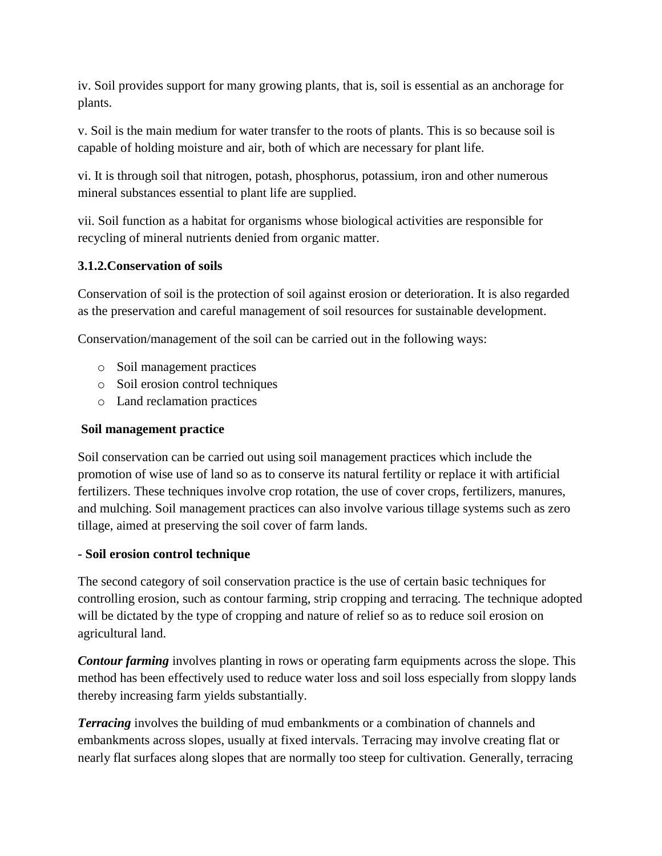iv. Soil provides support for many growing plants, that is, soil is essential as an anchorage for plants.

v. Soil is the main medium for water transfer to the roots of plants. This is so because soil is capable of holding moisture and air, both of which are necessary for plant life.

vi. It is through soil that nitrogen, potash, phosphorus, potassium, iron and other numerous mineral substances essential to plant life are supplied.

vii. Soil function as a habitat for organisms whose biological activities are responsible for recycling of mineral nutrients denied from organic matter.

# **3.1.2.Conservation of soils**

Conservation of soil is the protection of soil against erosion or deterioration. It is also regarded as the preservation and careful management of soil resources for sustainable development.

Conservation/management of the soil can be carried out in the following ways:

- o Soil management practices
- o Soil erosion control techniques
- o Land reclamation practices

# **Soil management practice**

Soil conservation can be carried out using soil management practices which include the promotion of wise use of land so as to conserve its natural fertility or replace it with artificial fertilizers. These techniques involve crop rotation, the use of cover crops, fertilizers, manures, and mulching. Soil management practices can also involve various tillage systems such as zero tillage, aimed at preserving the soil cover of farm lands.

# **- Soil erosion control technique**

The second category of soil conservation practice is the use of certain basic techniques for controlling erosion, such as contour farming, strip cropping and terracing. The technique adopted will be dictated by the type of cropping and nature of relief so as to reduce soil erosion on agricultural land.

*Contour farming* involves planting in rows or operating farm equipments across the slope. This method has been effectively used to reduce water loss and soil loss especially from sloppy lands thereby increasing farm yields substantially.

*Terracing* involves the building of mud embankments or a combination of channels and embankments across slopes, usually at fixed intervals. Terracing may involve creating flat or nearly flat surfaces along slopes that are normally too steep for cultivation. Generally, terracing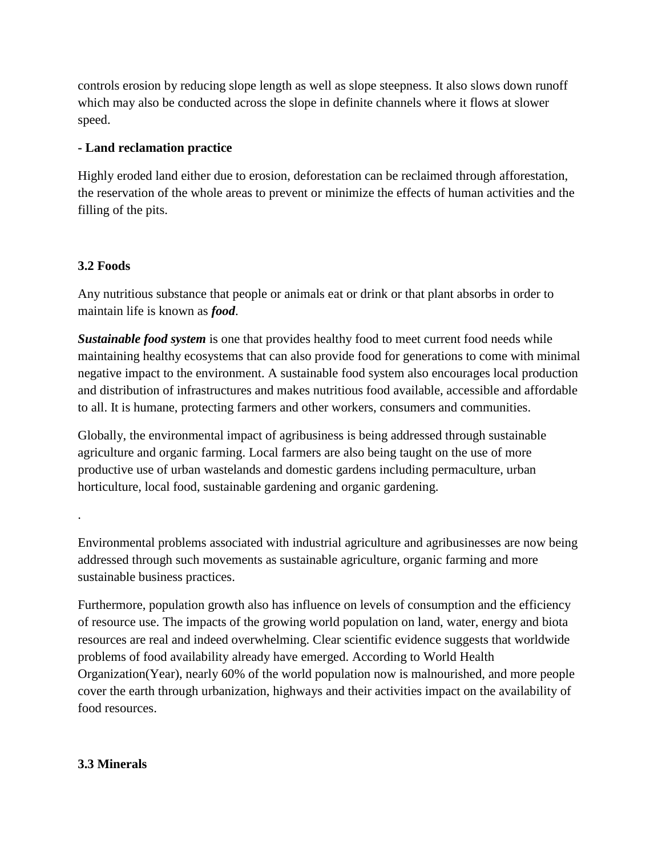controls erosion by reducing slope length as well as slope steepness. It also slows down runoff which may also be conducted across the slope in definite channels where it flows at slower speed.

# **- Land reclamation practice**

Highly eroded land either due to erosion, deforestation can be reclaimed through afforestation, the reservation of the whole areas to prevent or minimize the effects of human activities and the filling of the pits.

# **3.2 Foods**

.

Any nutritious substance that people or animals eat or drink or that plant absorbs in order to maintain life is known as *food*.

*Sustainable food system* is one that provides healthy food to meet current food needs while maintaining healthy ecosystems that can also provide food for generations to come with minimal negative impact to the environment. A sustainable food system also encourages local production and distribution of infrastructures and makes nutritious food available, accessible and affordable to all. It is humane, protecting farmers and other workers, consumers and communities.

Globally, the environmental impact of agribusiness is being addressed through sustainable agriculture and organic farming. Local farmers are also being taught on the use of more productive use of urban wastelands and domestic gardens including permaculture, urban horticulture, local food, sustainable gardening and organic gardening.

Environmental problems associated with industrial agriculture and agribusinesses are now being addressed through such movements as sustainable agriculture, organic farming and more sustainable business practices.

Furthermore, population growth also has influence on levels of consumption and the efficiency of resource use. The impacts of the growing world population on land, water, energy and biota resources are real and indeed overwhelming. Clear scientific evidence suggests that worldwide problems of food availability already have emerged. According to World Health Organization(Year), nearly 60% of the world population now is malnourished, and more people cover the earth through urbanization, highways and their activities impact on the availability of food resources.

# **3.3 Minerals**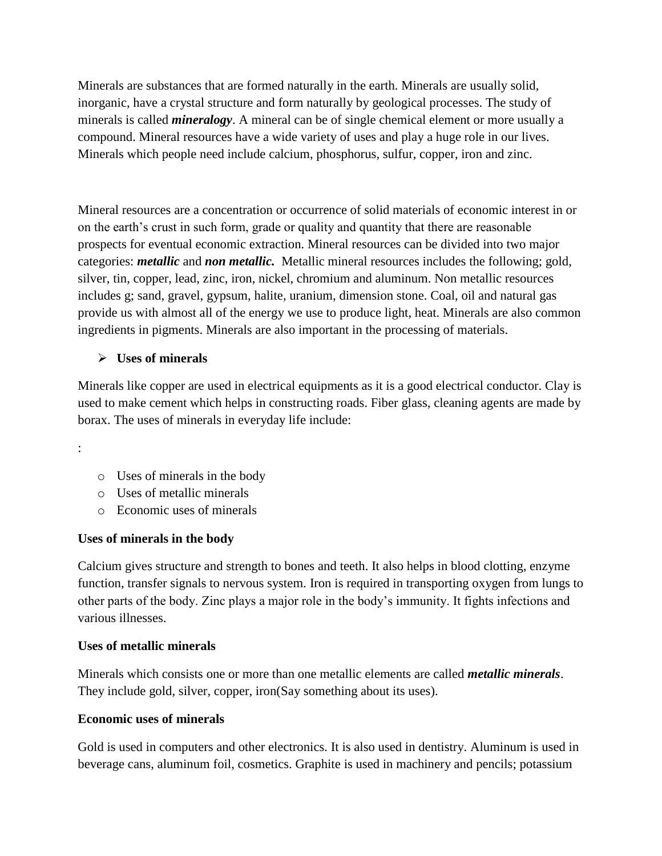Minerals are substances that are formed naturally in the earth. Minerals are usually solid, inorganic, have a crystal structure and form naturally by geological processes. The study of minerals is called *mineralogy*. A mineral can be of single chemical element or more usually a compound. Mineral resources have a wide variety of uses and play a huge role in our lives. Minerals which people need include calcium, phosphorus, sulfur, copper, iron and zinc.

Mineral resources are a concentration or occurrence of solid materials of economic interest in or on the earth's crust in such form, grade or quality and quantity that there are reasonable prospects for eventual economic extraction. Mineral resources can be divided into two major categories: *metallic* and *non metallic.* Metallic mineral resources includes the following; gold, silver, tin, copper, lead, zinc, iron, nickel, chromium and aluminum. Non metallic resources includes g; sand, gravel, gypsum, halite, uranium, dimension stone. Coal, oil and natural gas provide us with almost all of the energy we use to produce light, heat. Minerals are also common ingredients in pigments. Minerals are also important in the processing of materials.

# **Uses of minerals**

Minerals like copper are used in electrical equipments as it is a good electrical conductor. Clay is used to make cement which helps in constructing roads. Fiber glass, cleaning agents are made by borax. The uses of minerals in everyday life include:

:

- o Uses of minerals in the body
- o Uses of metallic minerals
- o Economic uses of minerals

## **Uses of minerals in the body**

Calcium gives structure and strength to bones and teeth. It also helps in blood clotting, enzyme function, transfer signals to nervous system. Iron is required in transporting oxygen from lungs to other parts of the body. Zinc plays a major role in the body's immunity. It fights infections and various illnesses.

## **Uses of metallic minerals**

Minerals which consists one or more than one metallic elements are called *metallic minerals*. They include gold, silver, copper, iron(Say something about its uses).

## **Economic uses of minerals**

Gold is used in computers and other electronics. It is also used in dentistry. Aluminum is used in beverage cans, aluminum foil, cosmetics. Graphite is used in machinery and pencils; potassium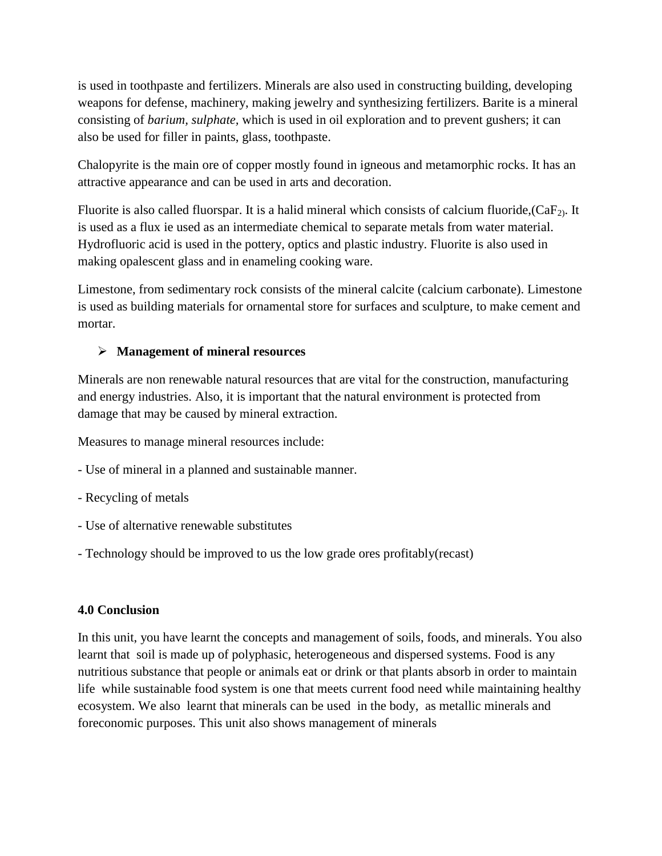is used in toothpaste and fertilizers. Minerals are also used in constructing building, developing weapons for defense, machinery, making jewelry and synthesizing fertilizers. Barite is a mineral consisting of *barium, sulphate,* which is used in oil exploration and to prevent gushers; it can also be used for filler in paints, glass, toothpaste.

Chalopyrite is the main ore of copper mostly found in igneous and metamorphic rocks. It has an attractive appearance and can be used in arts and decoration.

Fluorite is also called fluorspar. It is a halid mineral which consists of calcium fluoride,  $(CaF_2)$ . It is used as a flux ie used as an intermediate chemical to separate metals from water material. Hydrofluoric acid is used in the pottery, optics and plastic industry. Fluorite is also used in making opalescent glass and in enameling cooking ware.

Limestone, from sedimentary rock consists of the mineral calcite (calcium carbonate). Limestone is used as building materials for ornamental store for surfaces and sculpture, to make cement and mortar.

# **Management of mineral resources**

Minerals are non renewable natural resources that are vital for the construction, manufacturing and energy industries. Also, it is important that the natural environment is protected from damage that may be caused by mineral extraction.

Measures to manage mineral resources include:

- Use of mineral in a planned and sustainable manner.
- Recycling of metals
- Use of alternative renewable substitutes
- Technology should be improved to us the low grade ores profitably(recast)

# **4.0 Conclusion**

In this unit, you have learnt the concepts and management of soils, foods, and minerals. You also learnt that soil is made up of polyphasic, heterogeneous and dispersed systems. Food is any nutritious substance that people or animals eat or drink or that plants absorb in order to maintain life while sustainable food system is one that meets current food need while maintaining healthy ecosystem. We also learnt that minerals can be used in the body, as metallic minerals and foreconomic purposes. This unit also shows management of minerals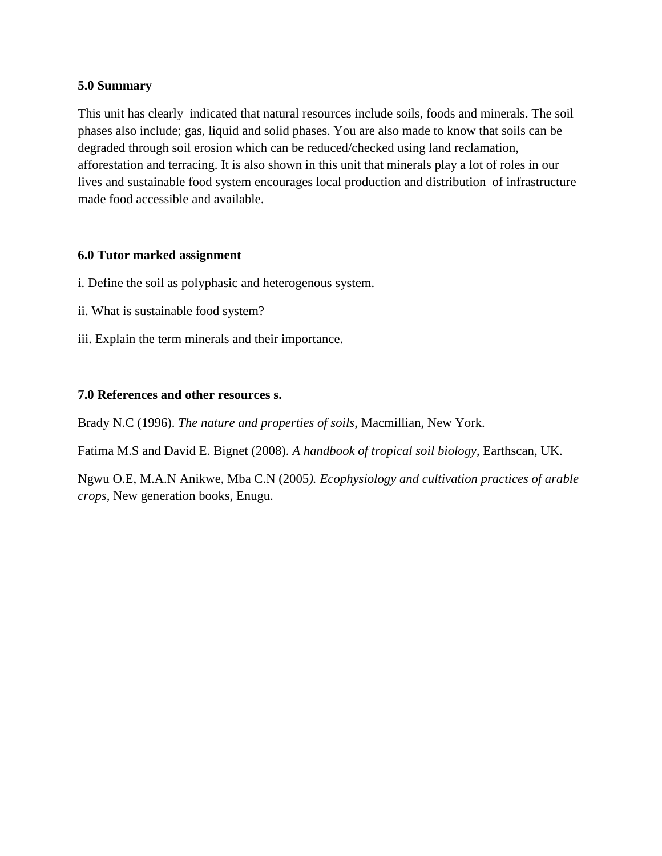## **5.0 Summary**

This unit has clearly indicated that natural resources include soils, foods and minerals. The soil phases also include; gas, liquid and solid phases. You are also made to know that soils can be degraded through soil erosion which can be reduced/checked using land reclamation, afforestation and terracing. It is also shown in this unit that minerals play a lot of roles in our lives and sustainable food system encourages local production and distribution of infrastructure made food accessible and available.

## **6.0 Tutor marked assignment**

- i. Define the soil as polyphasic and heterogenous system.
- ii. What is sustainable food system?
- iii. Explain the term minerals and their importance.

## **7.0 References and other resources s.**

Brady N.C (1996). *The nature and properties of soils*, Macmillian, New York.

Fatima M.S and David E. Bignet (2008). *A handbook of tropical soil biology*, Earthscan, UK.

Ngwu O.E, M.A.N Anikwe, Mba C.N (2005*). Ecophysiology and cultivation practices of arable crops,* New generation books, Enugu.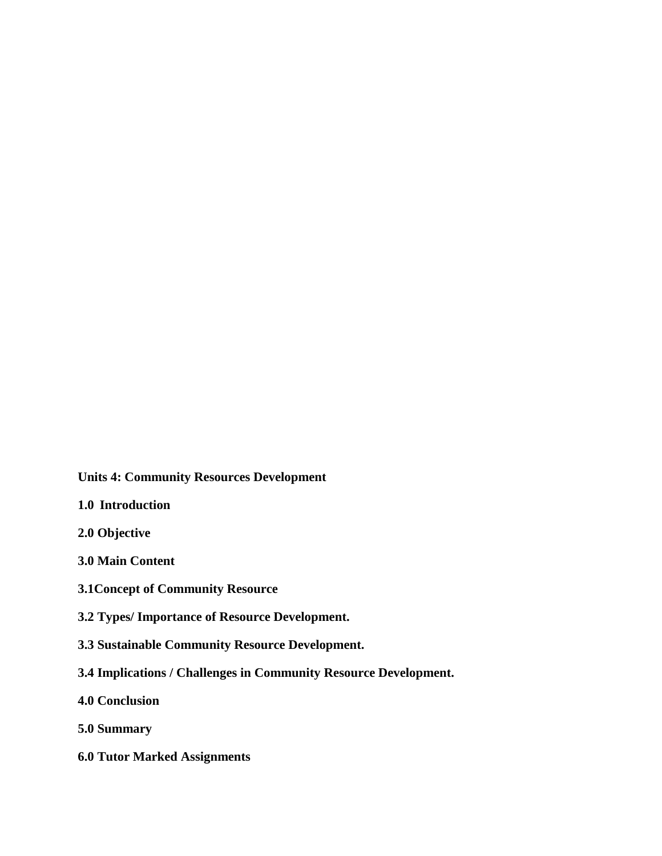**Units 4: Community Resources Development**

- **1.0 Introduction**
- **2.0 Objective**
- **3.0 Main Content**
- **3.1Concept of Community Resource**
- **3.2 Types/ Importance of Resource Development.**
- **3.3 Sustainable Community Resource Development.**
- **3.4 Implications / Challenges in Community Resource Development.**
- **4.0 Conclusion**
- **5.0 Summary**
- **6.0 Tutor Marked Assignments**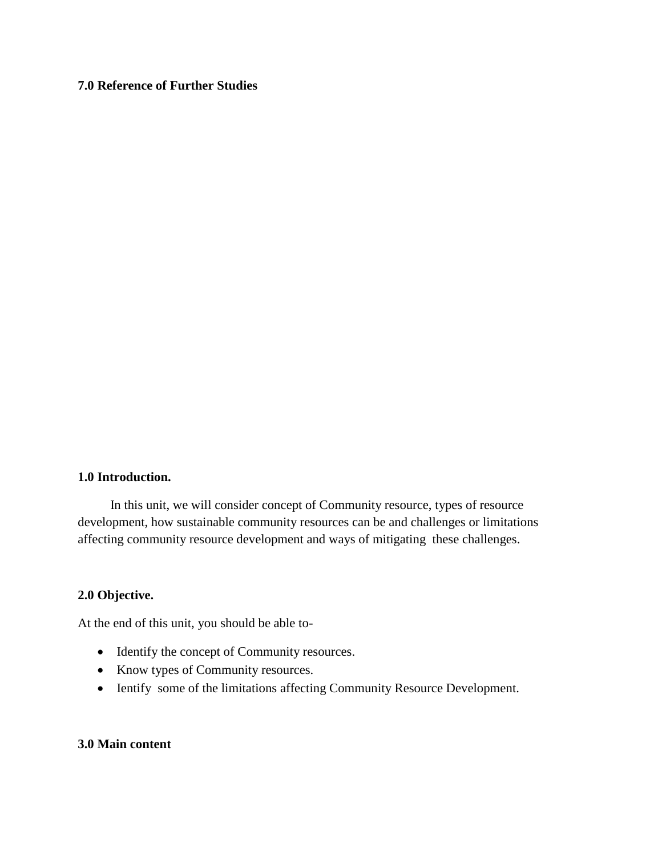# **7.0 Reference of Further Studies**

## **1.0 Introduction.**

 In this unit, we will consider concept of Community resource, types of resource development, how sustainable community resources can be and challenges or limitations affecting community resource development and ways of mitigating these challenges.

## **2.0 Objective.**

At the end of this unit, you should be able to-

- Identify the concept of Community resources.
- Know types of Community resources.
- Ientify some of the limitations affecting Community Resource Development.

## **3.0 Main content**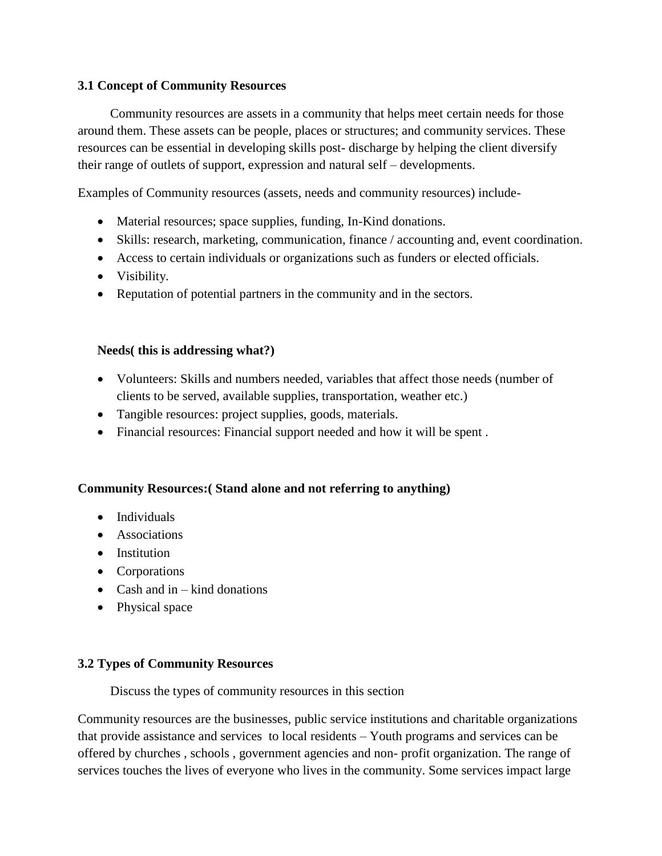## **3.1 Concept of Community Resources**

 Community resources are assets in a community that helps meet certain needs for those around them. These assets can be people, places or structures; and community services. These resources can be essential in developing skills post- discharge by helping the client diversify their range of outlets of support, expression and natural self – developments.

Examples of Community resources (assets, needs and community resources) include-

- Material resources; space supplies, funding, In-Kind donations.
- Skills: research, marketing, communication, finance / accounting and, event coordination.
- Access to certain individuals or organizations such as funders or elected officials.
- Visibility.
- Reputation of potential partners in the community and in the sectors.

## **Needs( this is addressing what?)**

- Volunteers: Skills and numbers needed, variables that affect those needs (number of clients to be served, available supplies, transportation, weather etc.)
- Tangible resources: project supplies, goods, materials.
- Financial resources: Financial support needed and how it will be spent .

## **Community Resources:( Stand alone and not referring to anything)**

- Individuals
- Associations
- Institution
- Corporations
- Cash and  $in -$  kind donations
- Physical space

## **3.2 Types of Community Resources**

Discuss the types of community resources in this section

Community resources are the businesses, public service institutions and charitable organizations that provide assistance and services to local residents – Youth programs and services can be offered by churches , schools , government agencies and non- profit organization. The range of services touches the lives of everyone who lives in the community. Some services impact large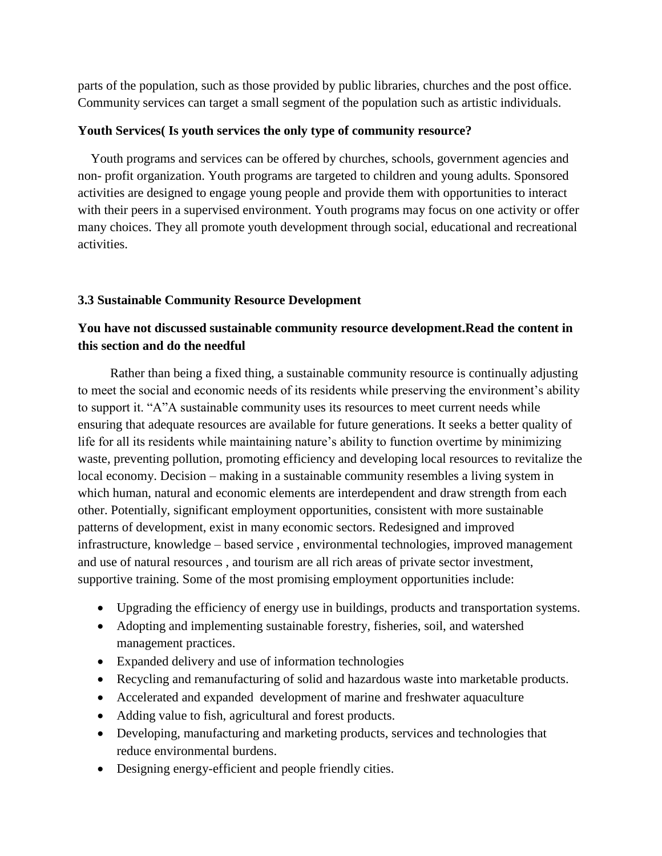parts of the population, such as those provided by public libraries, churches and the post office. Community services can target a small segment of the population such as artistic individuals.

## **Youth Services( Is youth services the only type of community resource?**

 Youth programs and services can be offered by churches, schools, government agencies and non- profit organization. Youth programs are targeted to children and young adults. Sponsored activities are designed to engage young people and provide them with opportunities to interact with their peers in a supervised environment. Youth programs may focus on one activity or offer many choices. They all promote youth development through social, educational and recreational activities.

# **3.3 Sustainable Community Resource Development**

# **You have not discussed sustainable community resource development.Read the content in this section and do the needful**

 Rather than being a fixed thing, a sustainable community resource is continually adjusting to meet the social and economic needs of its residents while preserving the environment's ability to support it. "A"A sustainable community uses its resources to meet current needs while ensuring that adequate resources are available for future generations. It seeks a better quality of life for all its residents while maintaining nature's ability to function overtime by minimizing waste, preventing pollution, promoting efficiency and developing local resources to revitalize the local economy. Decision – making in a sustainable community resembles a living system in which human, natural and economic elements are interdependent and draw strength from each other. Potentially, significant employment opportunities, consistent with more sustainable patterns of development, exist in many economic sectors. Redesigned and improved infrastructure, knowledge – based service , environmental technologies, improved management and use of natural resources , and tourism are all rich areas of private sector investment, supportive training. Some of the most promising employment opportunities include:

- Upgrading the efficiency of energy use in buildings, products and transportation systems.
- Adopting and implementing sustainable forestry, fisheries, soil, and watershed management practices.
- Expanded delivery and use of information technologies
- Recycling and remanufacturing of solid and hazardous waste into marketable products.
- Accelerated and expanded development of marine and freshwater aquaculture
- Adding value to fish, agricultural and forest products.
- Developing, manufacturing and marketing products, services and technologies that reduce environmental burdens.
- Designing energy-efficient and people friendly cities.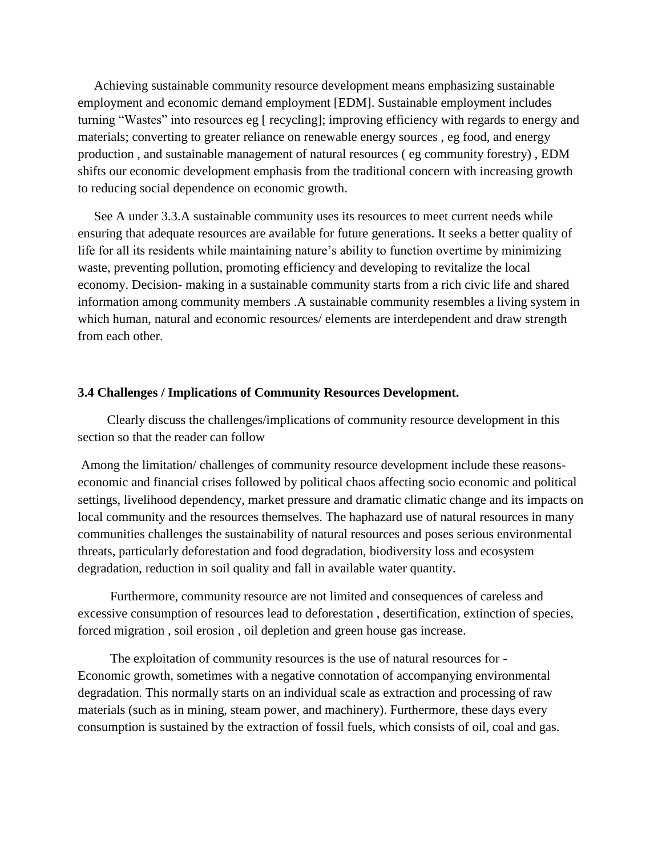Achieving sustainable community resource development means emphasizing sustainable employment and economic demand employment [EDM]. Sustainable employment includes turning "Wastes" into resources eg [ recycling]; improving efficiency with regards to energy and materials; converting to greater reliance on renewable energy sources , eg food, and energy production , and sustainable management of natural resources ( eg community forestry) , EDM shifts our economic development emphasis from the traditional concern with increasing growth to reducing social dependence on economic growth.

 See A under 3.3.A sustainable community uses its resources to meet current needs while ensuring that adequate resources are available for future generations. It seeks a better quality of life for all its residents while maintaining nature's ability to function overtime by minimizing waste, preventing pollution, promoting efficiency and developing to revitalize the local economy. Decision- making in a sustainable community starts from a rich civic life and shared information among community members .A sustainable community resembles a living system in which human, natural and economic resources/ elements are interdependent and draw strength from each other.

#### **3.4 Challenges / Implications of Community Resources Development.**

 Clearly discuss the challenges/implications of community resource development in this section so that the reader can follow

Among the limitation/ challenges of community resource development include these reasonseconomic and financial crises followed by political chaos affecting socio economic and political settings, livelihood dependency, market pressure and dramatic climatic change and its impacts on local community and the resources themselves. The haphazard use of natural resources in many communities challenges the sustainability of natural resources and poses serious environmental threats, particularly deforestation and food degradation, biodiversity loss and ecosystem degradation, reduction in soil quality and fall in available water quantity.

 Furthermore, community resource are not limited and consequences of careless and excessive consumption of resources lead to deforestation , desertification, extinction of species, forced migration , soil erosion , oil depletion and green house gas increase.

 The exploitation of community resources is the use of natural resources for - Economic growth, sometimes with a negative connotation of accompanying environmental degradation. This normally starts on an individual scale as extraction and processing of raw materials (such as in mining, steam power, and machinery). Furthermore, these days every consumption is sustained by the extraction of fossil fuels, which consists of oil, coal and gas.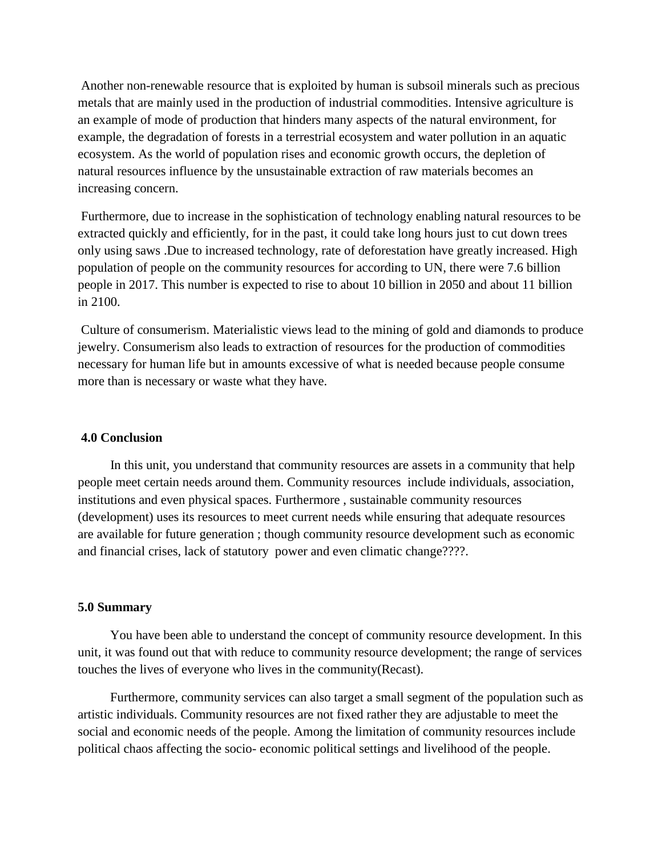Another non-renewable resource that is exploited by human is subsoil minerals such as precious metals that are mainly used in the production of industrial commodities. Intensive agriculture is an example of mode of production that hinders many aspects of the natural environment, for example, the degradation of forests in a terrestrial ecosystem and water pollution in an aquatic ecosystem. As the world of population rises and economic growth occurs, the depletion of natural resources influence by the unsustainable extraction of raw materials becomes an increasing concern.

Furthermore, due to increase in the sophistication of technology enabling natural resources to be extracted quickly and efficiently, for in the past, it could take long hours just to cut down trees only using saws .Due to increased technology, rate of deforestation have greatly increased. High population of people on the community resources for according to UN, there were 7.6 billion people in 2017. This number is expected to rise to about 10 billion in 2050 and about 11 billion in 2100.

Culture of consumerism. Materialistic views lead to the mining of gold and diamonds to produce jewelry. Consumerism also leads to extraction of resources for the production of commodities necessary for human life but in amounts excessive of what is needed because people consume more than is necessary or waste what they have.

#### **4.0 Conclusion**

 In this unit, you understand that community resources are assets in a community that help people meet certain needs around them. Community resources include individuals, association, institutions and even physical spaces. Furthermore , sustainable community resources (development) uses its resources to meet current needs while ensuring that adequate resources are available for future generation ; though community resource development such as economic and financial crises, lack of statutory power and even climatic change????.

#### **5.0 Summary**

 You have been able to understand the concept of community resource development. In this unit, it was found out that with reduce to community resource development; the range of services touches the lives of everyone who lives in the community(Recast).

 Furthermore, community services can also target a small segment of the population such as artistic individuals. Community resources are not fixed rather they are adjustable to meet the social and economic needs of the people. Among the limitation of community resources include political chaos affecting the socio- economic political settings and livelihood of the people.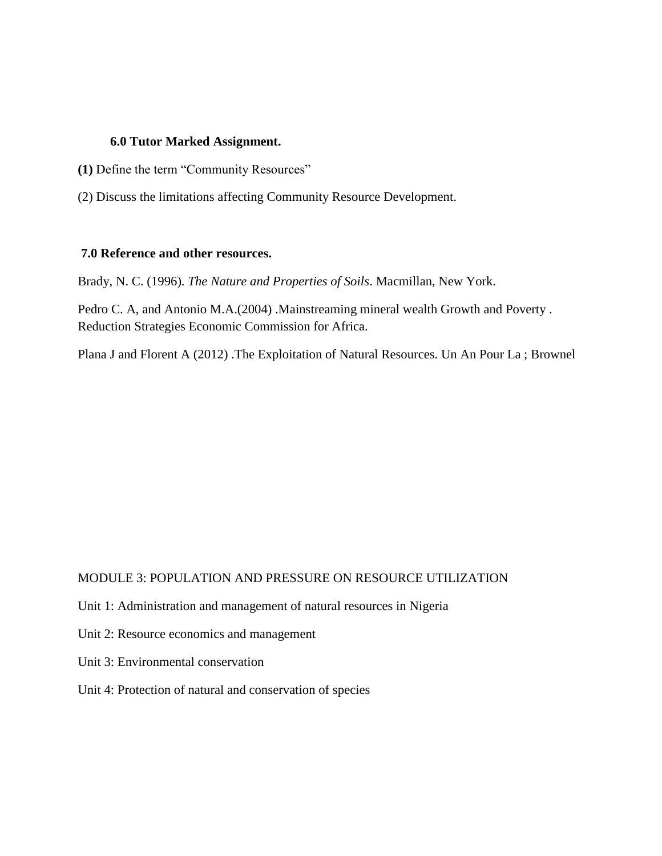#### **6.0 Tutor Marked Assignment.**

- **(1)** Define the term "Community Resources"
- (2) Discuss the limitations affecting Community Resource Development.

#### **7.0 Reference and other resources.**

Brady, N. C. (1996). *The Nature and Properties of Soils*. Macmillan, New York.

Pedro C. A, and Antonio M.A.(2004) .Mainstreaming mineral wealth Growth and Poverty . Reduction Strategies Economic Commission for Africa.

Plana J and Florent A (2012) .The Exploitation of Natural Resources. Un An Pour La ; Brownel

## MODULE 3: POPULATION AND PRESSURE ON RESOURCE UTILIZATION

- Unit 1: Administration and management of natural resources in Nigeria
- Unit 2: Resource economics and management
- Unit 3: Environmental conservation
- Unit 4: Protection of natural and conservation of species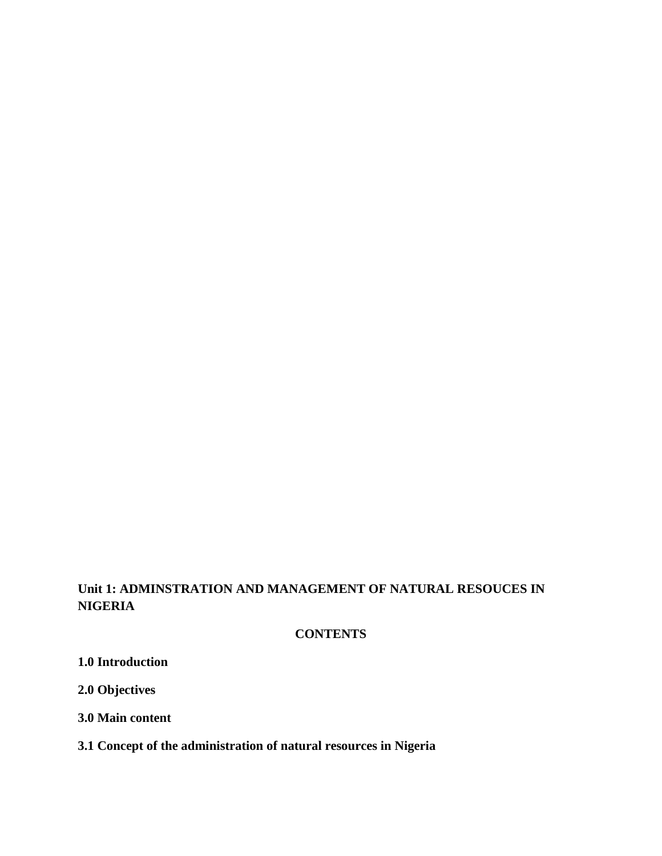# **Unit 1: ADMINSTRATION AND MANAGEMENT OF NATURAL RESOUCES IN NIGERIA**

# **CONTENTS**

**1.0 Introduction**

**2.0 Objectives**

**3.0 Main content**

# **3.1 Concept of the administration of natural resources in Nigeria**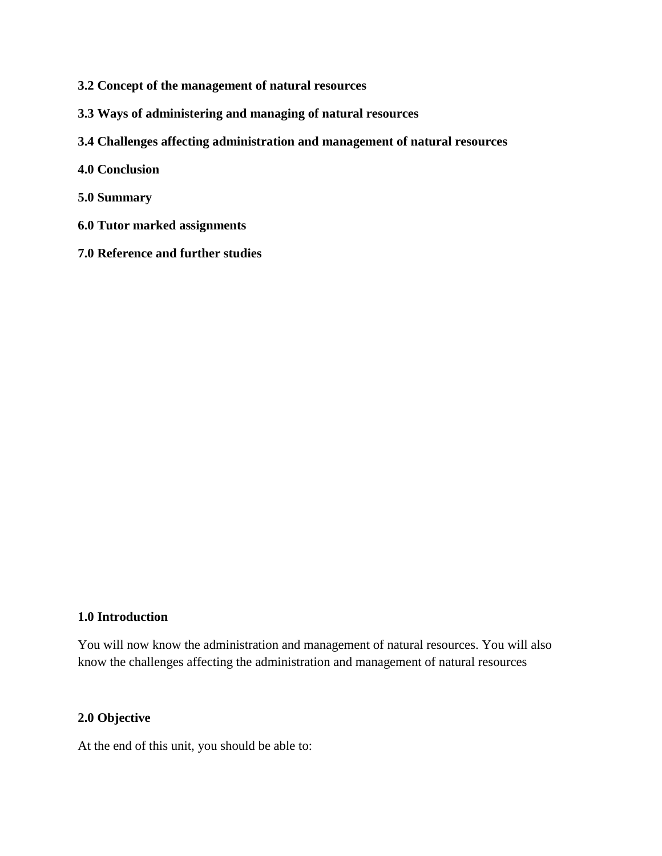- **3.2 Concept of the management of natural resources**
- **3.3 Ways of administering and managing of natural resources**
- **3.4 Challenges affecting administration and management of natural resources**
- **4.0 Conclusion**
- **5.0 Summary**
- **6.0 Tutor marked assignments**
- **7.0 Reference and further studies**

#### **1.0 Introduction**

You will now know the administration and management of natural resources. You will also know the challenges affecting the administration and management of natural resources

## **2.0 Objective**

At the end of this unit, you should be able to: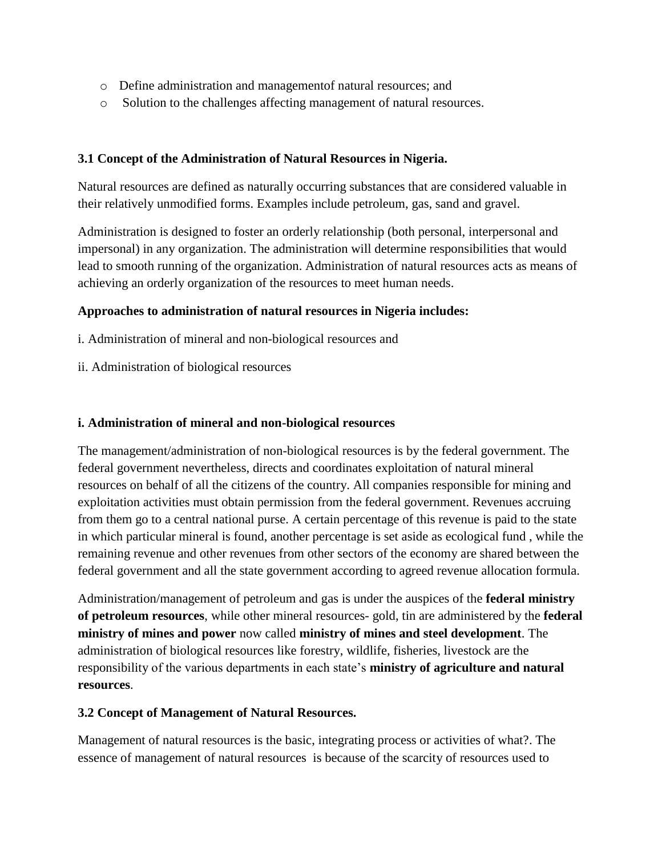- o Define administration and managementof natural resources; and
- o Solution to the challenges affecting management of natural resources.

## **3.1 Concept of the Administration of Natural Resources in Nigeria.**

Natural resources are defined as naturally occurring substances that are considered valuable in their relatively unmodified forms. Examples include petroleum, gas, sand and gravel.

Administration is designed to foster an orderly relationship (both personal, interpersonal and impersonal) in any organization. The administration will determine responsibilities that would lead to smooth running of the organization. Administration of natural resources acts as means of achieving an orderly organization of the resources to meet human needs.

## **Approaches to administration of natural resources in Nigeria includes:**

- i. Administration of mineral and non-biological resources and
- ii. Administration of biological resources

## **i. Administration of mineral and non-biological resources**

The management/administration of non-biological resources is by the federal government. The federal government nevertheless, directs and coordinates exploitation of natural mineral resources on behalf of all the citizens of the country. All companies responsible for mining and exploitation activities must obtain permission from the federal government. Revenues accruing from them go to a central national purse. A certain percentage of this revenue is paid to the state in which particular mineral is found, another percentage is set aside as ecological fund , while the remaining revenue and other revenues from other sectors of the economy are shared between the federal government and all the state government according to agreed revenue allocation formula.

Administration/management of petroleum and gas is under the auspices of the **federal ministry of petroleum resources**, while other mineral resources- gold, tin are administered by the **federal ministry of mines and power** now called **ministry of mines and steel development**. The administration of biological resources like forestry, wildlife, fisheries, livestock are the responsibility of the various departments in each state's **ministry of agriculture and natural resources**.

## **3.2 Concept of Management of Natural Resources.**

Management of natural resources is the basic, integrating process or activities of what?. The essence of management of natural resources is because of the scarcity of resources used to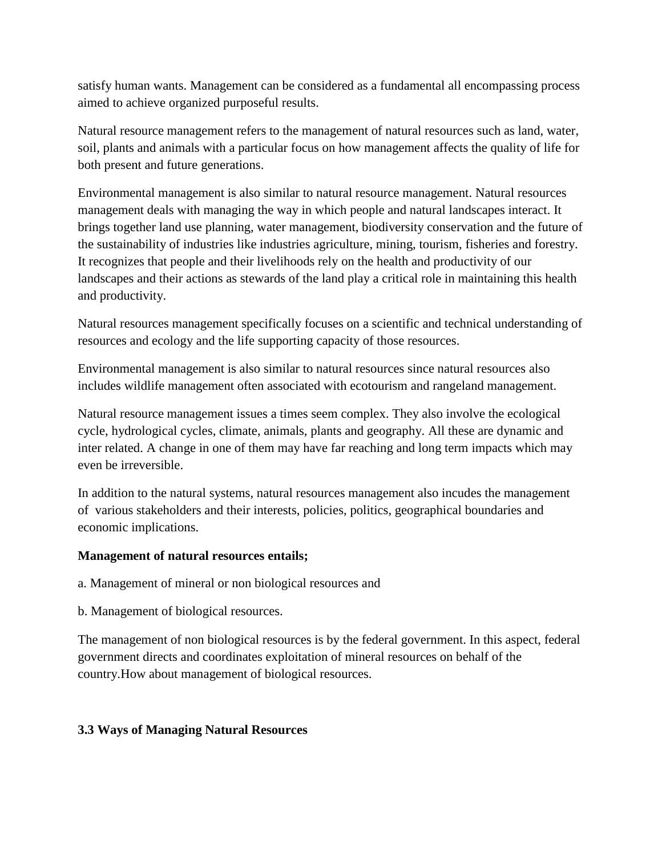satisfy human wants. Management can be considered as a fundamental all encompassing process aimed to achieve organized purposeful results.

Natural resource management refers to the management of natural resources such as land, water, soil, plants and animals with a particular focus on how management affects the quality of life for both present and future generations.

Environmental management is also similar to natural resource management. Natural resources management deals with managing the way in which people and natural landscapes interact. It brings together land use planning, water management, biodiversity conservation and the future of the sustainability of industries like industries agriculture, mining, tourism, fisheries and forestry. It recognizes that people and their livelihoods rely on the health and productivity of our landscapes and their actions as stewards of the land play a critical role in maintaining this health and productivity.

Natural resources management specifically focuses on a scientific and technical understanding of resources and ecology and the life supporting capacity of those resources.

Environmental management is also similar to natural resources since natural resources also includes wildlife management often associated with ecotourism and rangeland management.

Natural resource management issues a times seem complex. They also involve the ecological cycle, hydrological cycles, climate, animals, plants and geography. All these are dynamic and inter related. A change in one of them may have far reaching and long term impacts which may even be irreversible.

In addition to the natural systems, natural resources management also incudes the management of various stakeholders and their interests, policies, politics, geographical boundaries and economic implications.

# **Management of natural resources entails;**

a. Management of mineral or non biological resources and

b. Management of biological resources.

The management of non biological resources is by the federal government. In this aspect, federal government directs and coordinates exploitation of mineral resources on behalf of the country.How about management of biological resources.

# **3.3 Ways of Managing Natural Resources**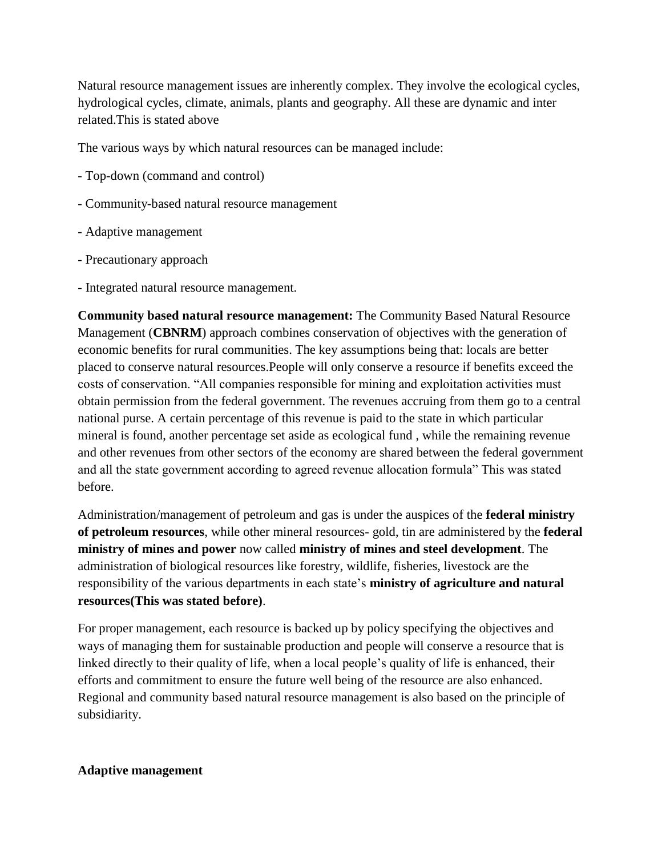Natural resource management issues are inherently complex. They involve the ecological cycles, hydrological cycles, climate, animals, plants and geography. All these are dynamic and inter related.This is stated above

The various ways by which natural resources can be managed include:

- Top-down (command and control)
- Community-based natural resource management
- Adaptive management
- Precautionary approach
- Integrated natural resource management.

**Community based natural resource management:** The Community Based Natural Resource Management (**CBNRM**) approach combines conservation of objectives with the generation of economic benefits for rural communities. The key assumptions being that: locals are better placed to conserve natural resources.People will only conserve a resource if benefits exceed the costs of conservation. "All companies responsible for mining and exploitation activities must obtain permission from the federal government. The revenues accruing from them go to a central national purse. A certain percentage of this revenue is paid to the state in which particular mineral is found, another percentage set aside as ecological fund , while the remaining revenue and other revenues from other sectors of the economy are shared between the federal government and all the state government according to agreed revenue allocation formula" This was stated before.

Administration/management of petroleum and gas is under the auspices of the **federal ministry of petroleum resources**, while other mineral resources- gold, tin are administered by the **federal ministry of mines and power** now called **ministry of mines and steel development**. The administration of biological resources like forestry, wildlife, fisheries, livestock are the responsibility of the various departments in each state's **ministry of agriculture and natural resources(This was stated before)**.

For proper management, each resource is backed up by policy specifying the objectives and ways of managing them for sustainable production and people will conserve a resource that is linked directly to their quality of life, when a local people's quality of life is enhanced, their efforts and commitment to ensure the future well being of the resource are also enhanced. Regional and community based natural resource management is also based on the principle of subsidiarity.

## **Adaptive management**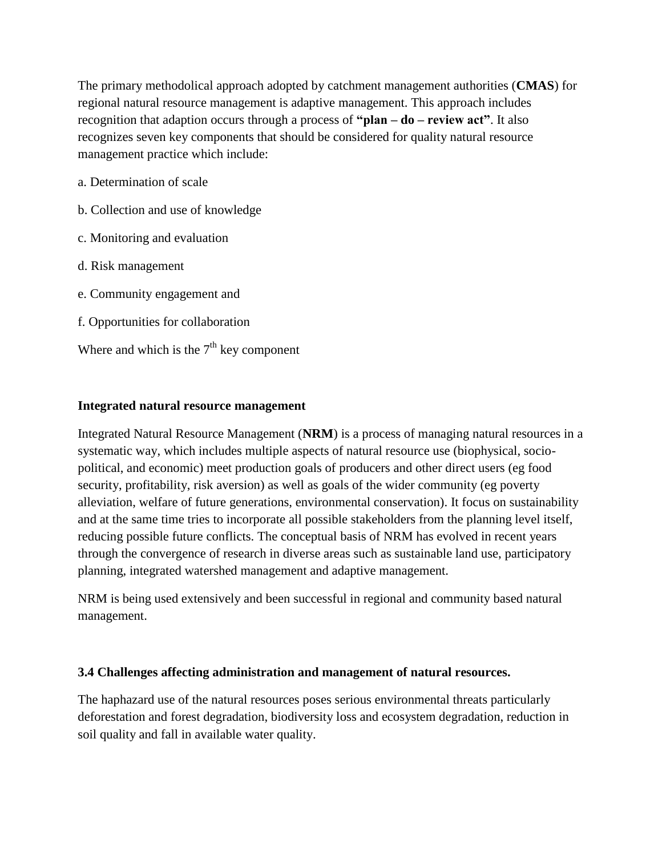The primary methodolical approach adopted by catchment management authorities (**CMAS**) for regional natural resource management is adaptive management. This approach includes recognition that adaption occurs through a process of **"plan – do – review act"**. It also recognizes seven key components that should be considered for quality natural resource management practice which include:

- a. Determination of scale
- b. Collection and use of knowledge
- c. Monitoring and evaluation
- d. Risk management
- e. Community engagement and
- f. Opportunities for collaboration
- Where and which is the  $7<sup>th</sup>$  key component

## **Integrated natural resource management**

Integrated Natural Resource Management (**NRM**) is a process of managing natural resources in a systematic way, which includes multiple aspects of natural resource use (biophysical, sociopolitical, and economic) meet production goals of producers and other direct users (eg food security, profitability, risk aversion) as well as goals of the wider community (eg poverty alleviation, welfare of future generations, environmental conservation). It focus on sustainability and at the same time tries to incorporate all possible stakeholders from the planning level itself, reducing possible future conflicts. The conceptual basis of NRM has evolved in recent years through the convergence of research in diverse areas such as sustainable land use, participatory planning, integrated watershed management and adaptive management.

NRM is being used extensively and been successful in regional and community based natural management.

## **3.4 Challenges affecting administration and management of natural resources.**

The haphazard use of the natural resources poses serious environmental threats particularly deforestation and forest degradation, biodiversity loss and ecosystem degradation, reduction in soil quality and fall in available water quality.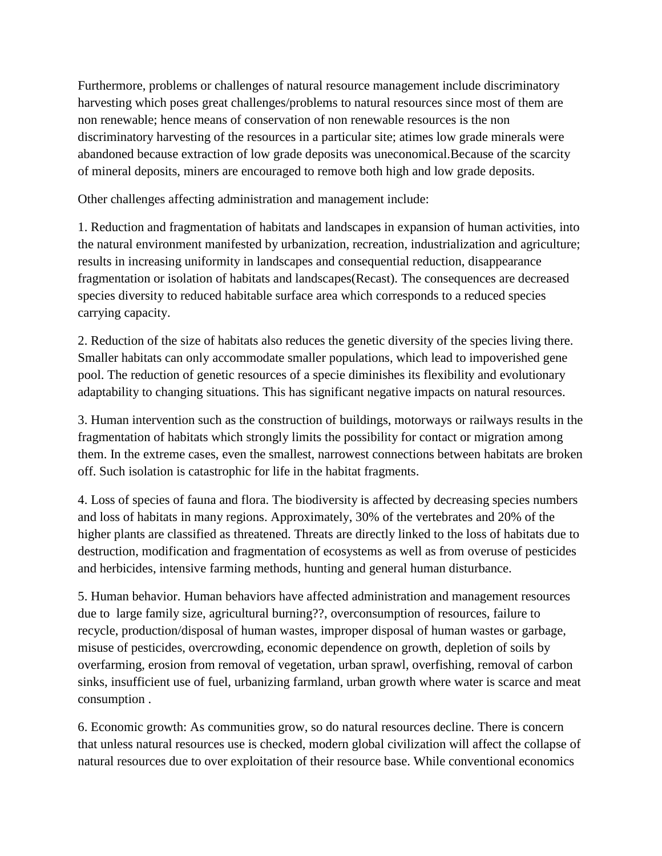Furthermore, problems or challenges of natural resource management include discriminatory harvesting which poses great challenges/problems to natural resources since most of them are non renewable; hence means of conservation of non renewable resources is the non discriminatory harvesting of the resources in a particular site; atimes low grade minerals were abandoned because extraction of low grade deposits was uneconomical.Because of the scarcity of mineral deposits, miners are encouraged to remove both high and low grade deposits.

Other challenges affecting administration and management include:

1. Reduction and fragmentation of habitats and landscapes in expansion of human activities, into the natural environment manifested by urbanization, recreation, industrialization and agriculture; results in increasing uniformity in landscapes and consequential reduction, disappearance fragmentation or isolation of habitats and landscapes(Recast). The consequences are decreased species diversity to reduced habitable surface area which corresponds to a reduced species carrying capacity.

2. Reduction of the size of habitats also reduces the genetic diversity of the species living there. Smaller habitats can only accommodate smaller populations, which lead to impoverished gene pool. The reduction of genetic resources of a specie diminishes its flexibility and evolutionary adaptability to changing situations. This has significant negative impacts on natural resources.

3. Human intervention such as the construction of buildings, motorways or railways results in the fragmentation of habitats which strongly limits the possibility for contact or migration among them. In the extreme cases, even the smallest, narrowest connections between habitats are broken off. Such isolation is catastrophic for life in the habitat fragments.

4. Loss of species of fauna and flora. The biodiversity is affected by decreasing species numbers and loss of habitats in many regions. Approximately, 30% of the vertebrates and 20% of the higher plants are classified as threatened. Threats are directly linked to the loss of habitats due to destruction, modification and fragmentation of ecosystems as well as from overuse of pesticides and herbicides, intensive farming methods, hunting and general human disturbance.

5. Human behavior. Human behaviors have affected administration and management resources due to large family size, agricultural burning??, overconsumption of resources, failure to recycle, production/disposal of human wastes, improper disposal of human wastes or garbage, misuse of pesticides, overcrowding, economic dependence on growth, depletion of soils by overfarming, erosion from removal of vegetation, urban sprawl, overfishing, removal of carbon sinks, insufficient use of fuel, urbanizing farmland, urban growth where water is scarce and meat consumption .

6. Economic growth: As communities grow, so do natural resources decline. There is concern that unless natural resources use is checked, modern global civilization will affect the collapse of natural resources due to over exploitation of their resource base. While conventional economics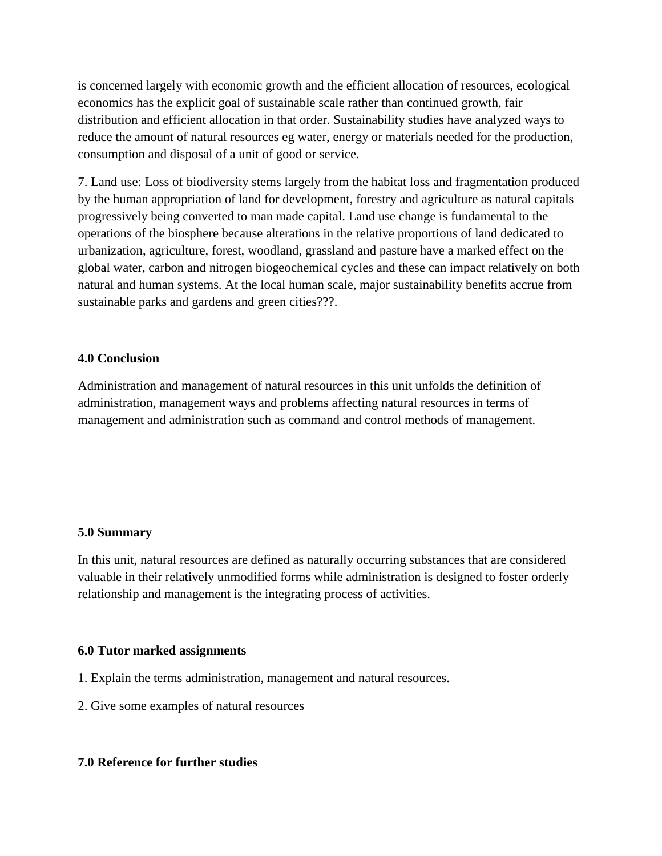is concerned largely with economic growth and the efficient allocation of resources, ecological economics has the explicit goal of sustainable scale rather than continued growth, fair distribution and efficient allocation in that order. Sustainability studies have analyzed ways to reduce the amount of natural resources eg water, energy or materials needed for the production, consumption and disposal of a unit of good or service.

7. Land use: Loss of biodiversity stems largely from the habitat loss and fragmentation produced by the human appropriation of land for development, forestry and agriculture as natural capitals progressively being converted to man made capital. Land use change is fundamental to the operations of the biosphere because alterations in the relative proportions of land dedicated to urbanization, agriculture, forest, woodland, grassland and pasture have a marked effect on the global water, carbon and nitrogen biogeochemical cycles and these can impact relatively on both natural and human systems. At the local human scale, major sustainability benefits accrue from sustainable parks and gardens and green cities???.

## **4.0 Conclusion**

Administration and management of natural resources in this unit unfolds the definition of administration, management ways and problems affecting natural resources in terms of management and administration such as command and control methods of management.

## **5.0 Summary**

In this unit, natural resources are defined as naturally occurring substances that are considered valuable in their relatively unmodified forms while administration is designed to foster orderly relationship and management is the integrating process of activities.

## **6.0 Tutor marked assignments**

- 1. Explain the terms administration, management and natural resources.
- 2. Give some examples of natural resources

## **7.0 Reference for further studies**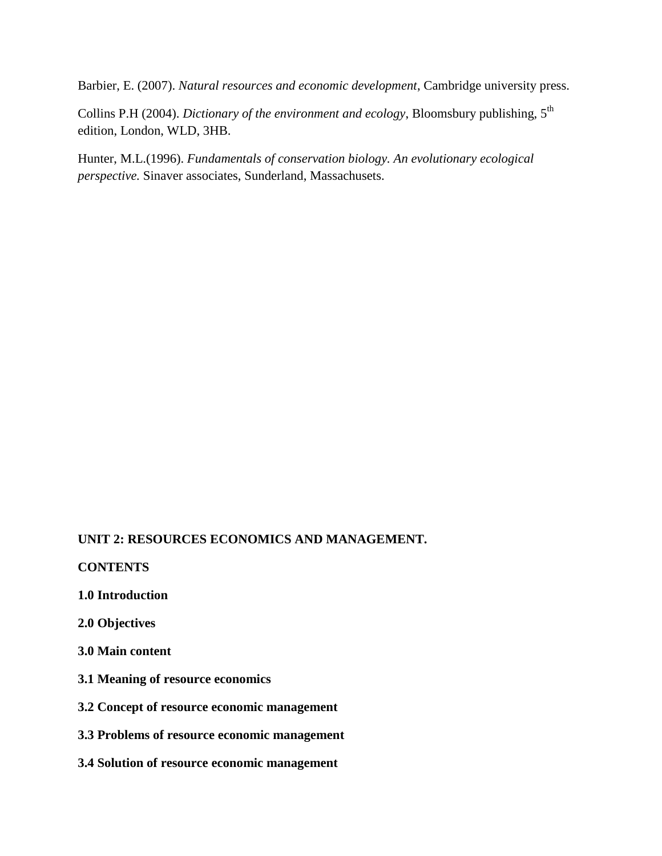Barbier, E. (2007). *Natural resources and economic development*, Cambridge university press.

Collins P.H (2004). *Dictionary of the environment and ecology*, Bloomsbury publishing, 5<sup>th</sup> edition, London, WLD, 3HB.

Hunter, M.L.(1996). *Fundamentals of conservation biology. An evolutionary ecological perspective.* Sinaver associates, Sunderland, Massachusets.

# **UNIT 2: RESOURCES ECONOMICS AND MANAGEMENT.**

**CONTENTS**

- **1.0 Introduction**
- **2.0 Objectives**
- **3.0 Main content**
- **3.1 Meaning of resource economics**
- **3.2 Concept of resource economic management**
- **3.3 Problems of resource economic management**
- **3.4 Solution of resource economic management**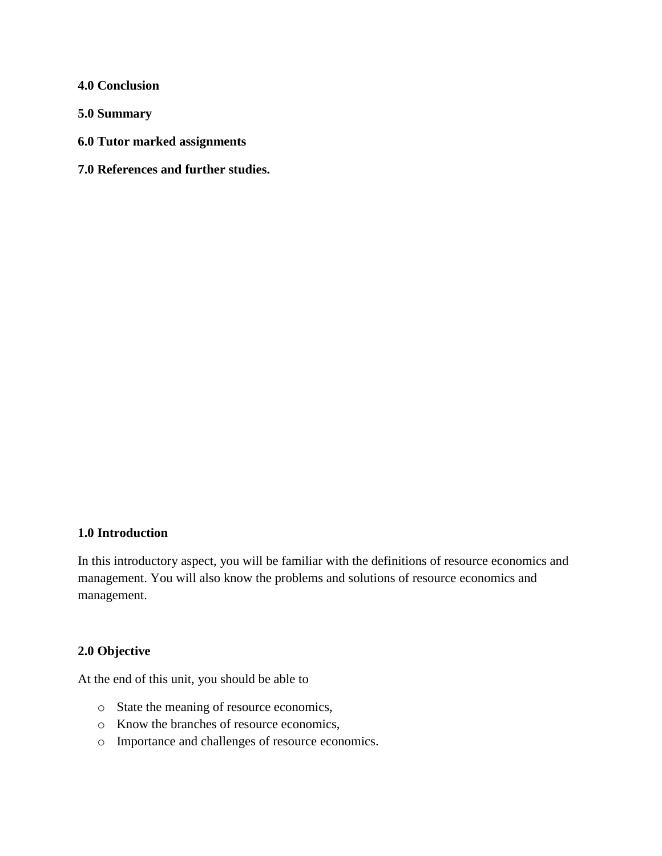**4.0 Conclusion**

**5.0 Summary**

- **6.0 Tutor marked assignments**
- **7.0 References and further studies.**

## **1.0 Introduction**

In this introductory aspect, you will be familiar with the definitions of resource economics and management. You will also know the problems and solutions of resource economics and management.

#### **2.0 Objective**

At the end of this unit, you should be able to

- o State the meaning of resource economics,
- o Know the branches of resource economics,
- o Importance and challenges of resource economics.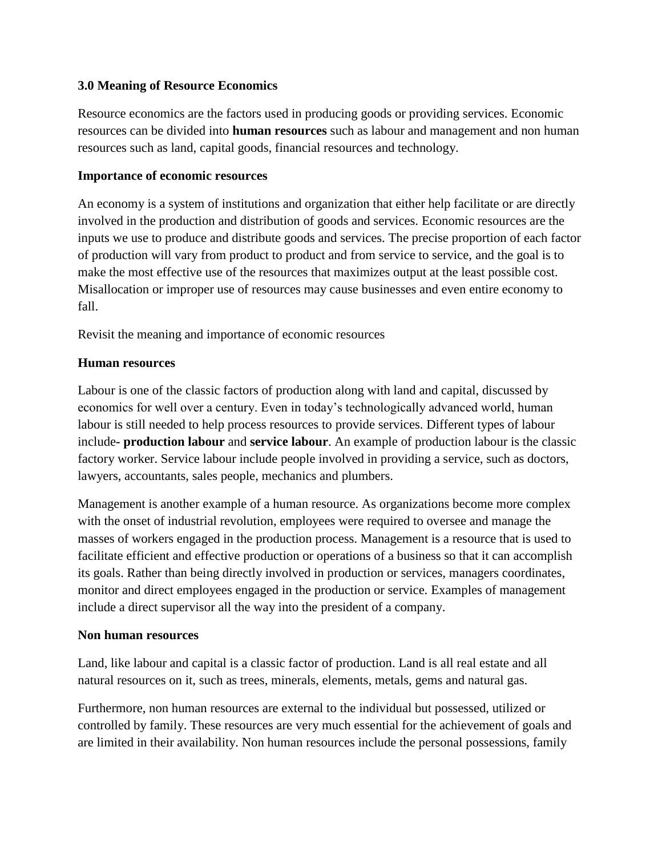# **3.0 Meaning of Resource Economics**

Resource economics are the factors used in producing goods or providing services. Economic resources can be divided into **human resources** such as labour and management and non human resources such as land, capital goods, financial resources and technology.

# **Importance of economic resources**

An economy is a system of institutions and organization that either help facilitate or are directly involved in the production and distribution of goods and services. Economic resources are the inputs we use to produce and distribute goods and services. The precise proportion of each factor of production will vary from product to product and from service to service, and the goal is to make the most effective use of the resources that maximizes output at the least possible cost. Misallocation or improper use of resources may cause businesses and even entire economy to fall.

Revisit the meaning and importance of economic resources

# **Human resources**

Labour is one of the classic factors of production along with land and capital, discussed by economics for well over a century. Even in today's technologically advanced world, human labour is still needed to help process resources to provide services. Different types of labour include**- production labour** and **service labour**. An example of production labour is the classic factory worker. Service labour include people involved in providing a service, such as doctors, lawyers, accountants, sales people, mechanics and plumbers.

Management is another example of a human resource. As organizations become more complex with the onset of industrial revolution, employees were required to oversee and manage the masses of workers engaged in the production process. Management is a resource that is used to facilitate efficient and effective production or operations of a business so that it can accomplish its goals. Rather than being directly involved in production or services, managers coordinates, monitor and direct employees engaged in the production or service. Examples of management include a direct supervisor all the way into the president of a company.

# **Non human resources**

Land, like labour and capital is a classic factor of production. Land is all real estate and all natural resources on it, such as trees, minerals, elements, metals, gems and natural gas.

Furthermore, non human resources are external to the individual but possessed, utilized or controlled by family. These resources are very much essential for the achievement of goals and are limited in their availability. Non human resources include the personal possessions, family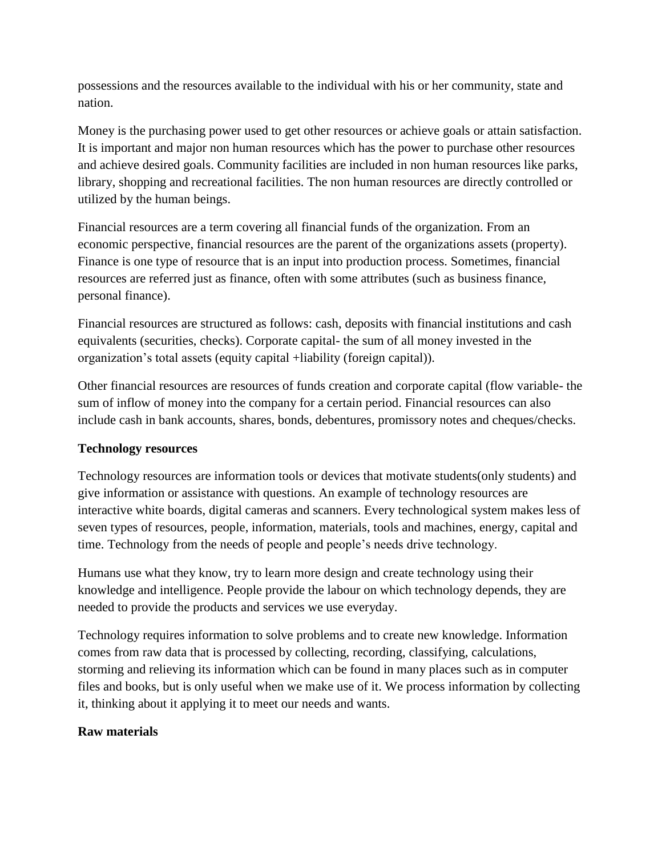possessions and the resources available to the individual with his or her community, state and nation.

Money is the purchasing power used to get other resources or achieve goals or attain satisfaction. It is important and major non human resources which has the power to purchase other resources and achieve desired goals. Community facilities are included in non human resources like parks, library, shopping and recreational facilities. The non human resources are directly controlled or utilized by the human beings.

Financial resources are a term covering all financial funds of the organization. From an economic perspective, financial resources are the parent of the organizations assets (property). Finance is one type of resource that is an input into production process. Sometimes, financial resources are referred just as finance, often with some attributes (such as business finance, personal finance).

Financial resources are structured as follows: cash, deposits with financial institutions and cash equivalents (securities, checks). Corporate capital- the sum of all money invested in the organization's total assets (equity capital +liability (foreign capital)).

Other financial resources are resources of funds creation and corporate capital (flow variable- the sum of inflow of money into the company for a certain period. Financial resources can also include cash in bank accounts, shares, bonds, debentures, promissory notes and cheques/checks.

# **Technology resources**

Technology resources are information tools or devices that motivate students(only students) and give information or assistance with questions. An example of technology resources are interactive white boards, digital cameras and scanners. Every technological system makes less of seven types of resources, people, information, materials, tools and machines, energy, capital and time. Technology from the needs of people and people's needs drive technology.

Humans use what they know, try to learn more design and create technology using their knowledge and intelligence. People provide the labour on which technology depends, they are needed to provide the products and services we use everyday.

Technology requires information to solve problems and to create new knowledge. Information comes from raw data that is processed by collecting, recording, classifying, calculations, storming and relieving its information which can be found in many places such as in computer files and books, but is only useful when we make use of it. We process information by collecting it, thinking about it applying it to meet our needs and wants.

# **Raw materials**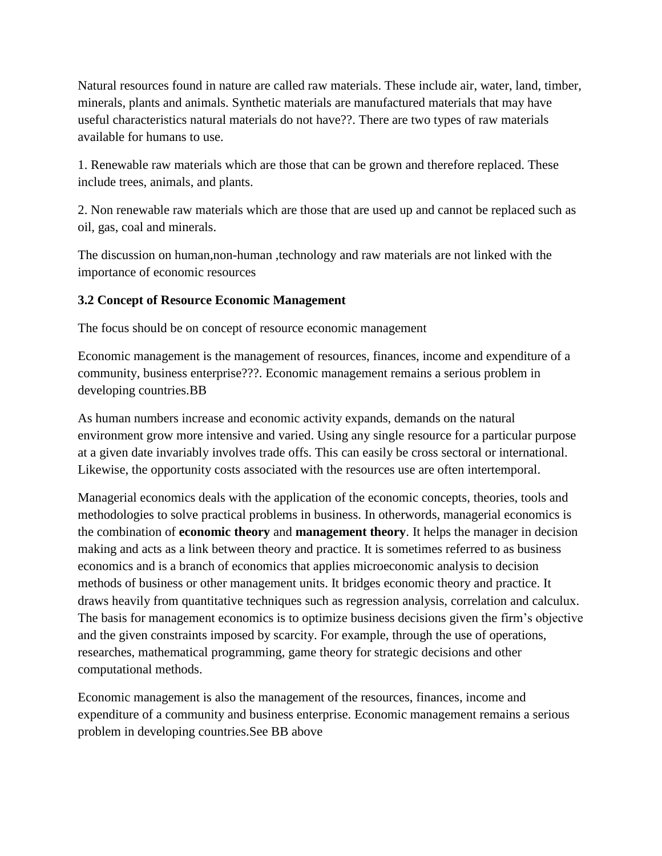Natural resources found in nature are called raw materials. These include air, water, land, timber, minerals, plants and animals. Synthetic materials are manufactured materials that may have useful characteristics natural materials do not have??. There are two types of raw materials available for humans to use.

1. Renewable raw materials which are those that can be grown and therefore replaced. These include trees, animals, and plants.

2. Non renewable raw materials which are those that are used up and cannot be replaced such as oil, gas, coal and minerals.

The discussion on human,non-human ,technology and raw materials are not linked with the importance of economic resources

# **3.2 Concept of Resource Economic Management**

The focus should be on concept of resource economic management

Economic management is the management of resources, finances, income and expenditure of a community, business enterprise???. Economic management remains a serious problem in developing countries.BB

As human numbers increase and economic activity expands, demands on the natural environment grow more intensive and varied. Using any single resource for a particular purpose at a given date invariably involves trade offs. This can easily be cross sectoral or international. Likewise, the opportunity costs associated with the resources use are often intertemporal.

Managerial economics deals with the application of the economic concepts, theories, tools and methodologies to solve practical problems in business. In otherwords, managerial economics is the combination of **economic theory** and **management theory**. It helps the manager in decision making and acts as a link between theory and practice. It is sometimes referred to as business economics and is a branch of economics that applies microeconomic analysis to decision methods of business or other management units. It bridges economic theory and practice. It draws heavily from quantitative techniques such as regression analysis, correlation and calculux. The basis for management economics is to optimize business decisions given the firm's objective and the given constraints imposed by scarcity. For example, through the use of operations, researches, mathematical programming, game theory for strategic decisions and other computational methods.

Economic management is also the management of the resources, finances, income and expenditure of a community and business enterprise. Economic management remains a serious problem in developing countries.See BB above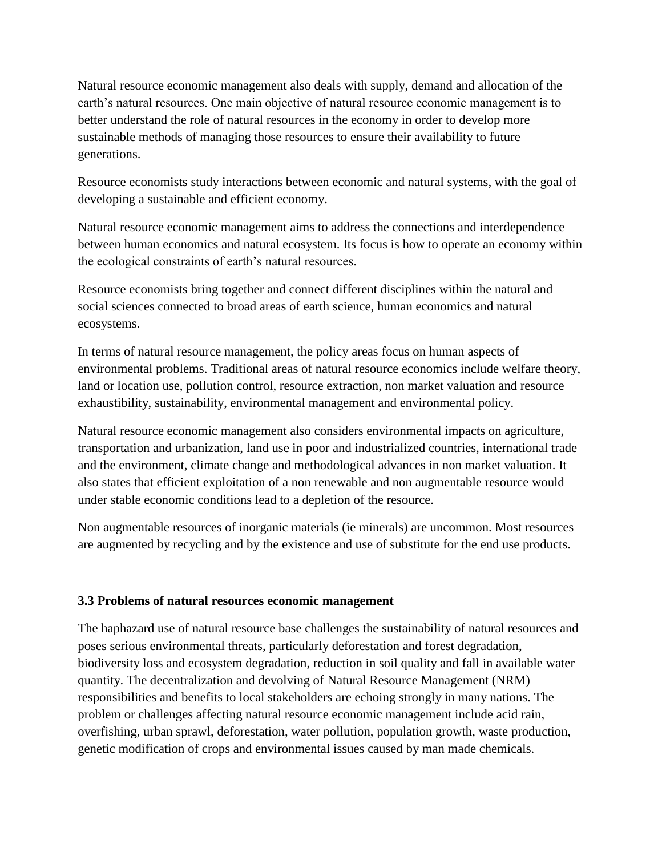Natural resource economic management also deals with supply, demand and allocation of the earth's natural resources. One main objective of natural resource economic management is to better understand the role of natural resources in the economy in order to develop more sustainable methods of managing those resources to ensure their availability to future generations.

Resource economists study interactions between economic and natural systems, with the goal of developing a sustainable and efficient economy.

Natural resource economic management aims to address the connections and interdependence between human economics and natural ecosystem. Its focus is how to operate an economy within the ecological constraints of earth's natural resources.

Resource economists bring together and connect different disciplines within the natural and social sciences connected to broad areas of earth science, human economics and natural ecosystems.

In terms of natural resource management, the policy areas focus on human aspects of environmental problems. Traditional areas of natural resource economics include welfare theory, land or location use, pollution control, resource extraction, non market valuation and resource exhaustibility, sustainability, environmental management and environmental policy.

Natural resource economic management also considers environmental impacts on agriculture, transportation and urbanization, land use in poor and industrialized countries, international trade and the environment, climate change and methodological advances in non market valuation. It also states that efficient exploitation of a non renewable and non augmentable resource would under stable economic conditions lead to a depletion of the resource.

Non augmentable resources of inorganic materials (ie minerals) are uncommon. Most resources are augmented by recycling and by the existence and use of substitute for the end use products.

# **3.3 Problems of natural resources economic management**

The haphazard use of natural resource base challenges the sustainability of natural resources and poses serious environmental threats, particularly deforestation and forest degradation, biodiversity loss and ecosystem degradation, reduction in soil quality and fall in available water quantity. The decentralization and devolving of Natural Resource Management (NRM) responsibilities and benefits to local stakeholders are echoing strongly in many nations. The problem or challenges affecting natural resource economic management include acid rain, overfishing, urban sprawl, deforestation, water pollution, population growth, waste production, genetic modification of crops and environmental issues caused by man made chemicals.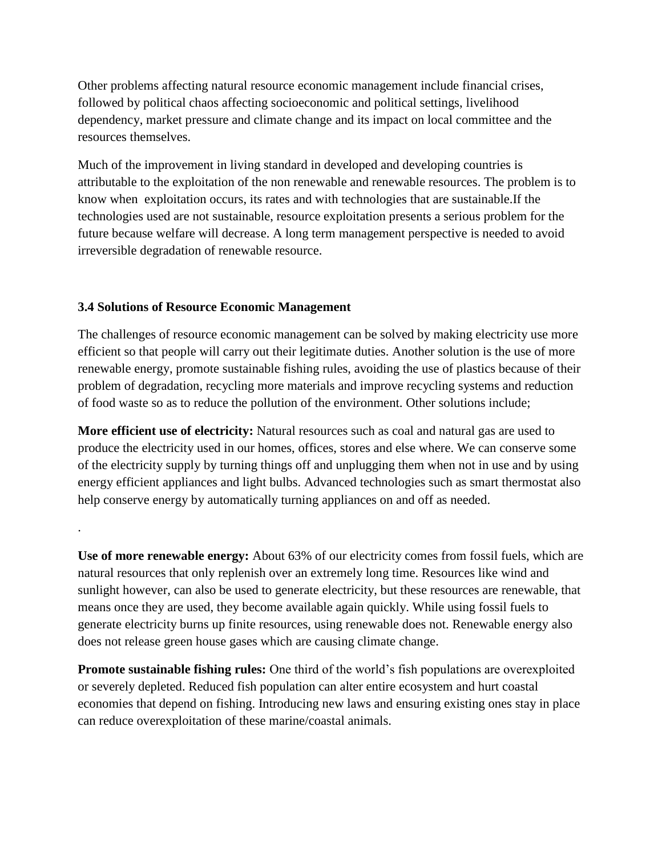Other problems affecting natural resource economic management include financial crises, followed by political chaos affecting socioeconomic and political settings, livelihood dependency, market pressure and climate change and its impact on local committee and the resources themselves.

Much of the improvement in living standard in developed and developing countries is attributable to the exploitation of the non renewable and renewable resources. The problem is to know when exploitation occurs, its rates and with technologies that are sustainable.If the technologies used are not sustainable, resource exploitation presents a serious problem for the future because welfare will decrease. A long term management perspective is needed to avoid irreversible degradation of renewable resource.

## **3.4 Solutions of Resource Economic Management**

.

The challenges of resource economic management can be solved by making electricity use more efficient so that people will carry out their legitimate duties. Another solution is the use of more renewable energy, promote sustainable fishing rules, avoiding the use of plastics because of their problem of degradation, recycling more materials and improve recycling systems and reduction of food waste so as to reduce the pollution of the environment. Other solutions include;

**More efficient use of electricity:** Natural resources such as coal and natural gas are used to produce the electricity used in our homes, offices, stores and else where. We can conserve some of the electricity supply by turning things off and unplugging them when not in use and by using energy efficient appliances and light bulbs. Advanced technologies such as smart thermostat also help conserve energy by automatically turning appliances on and off as needed.

**Use of more renewable energy:** About 63% of our electricity comes from fossil fuels, which are natural resources that only replenish over an extremely long time. Resources like wind and sunlight however, can also be used to generate electricity, but these resources are renewable, that means once they are used, they become available again quickly. While using fossil fuels to generate electricity burns up finite resources, using renewable does not. Renewable energy also does not release green house gases which are causing climate change.

**Promote sustainable fishing rules:** One third of the world's fish populations are overexploited or severely depleted. Reduced fish population can alter entire ecosystem and hurt coastal economies that depend on fishing. Introducing new laws and ensuring existing ones stay in place can reduce overexploitation of these marine/coastal animals.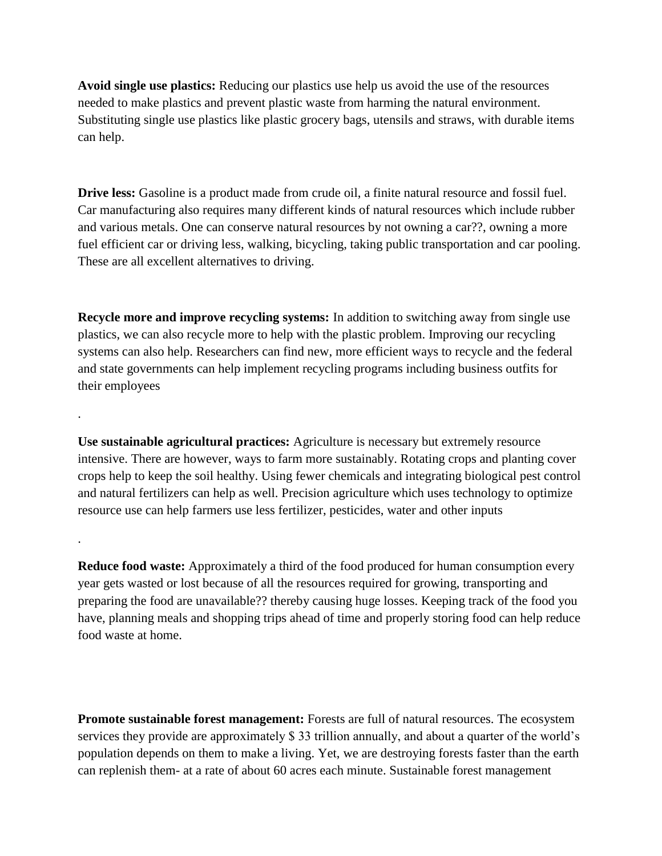**Avoid single use plastics:** Reducing our plastics use help us avoid the use of the resources needed to make plastics and prevent plastic waste from harming the natural environment. Substituting single use plastics like plastic grocery bags, utensils and straws, with durable items can help.

**Drive less:** Gasoline is a product made from crude oil, a finite natural resource and fossil fuel. Car manufacturing also requires many different kinds of natural resources which include rubber and various metals. One can conserve natural resources by not owning a car??, owning a more fuel efficient car or driving less, walking, bicycling, taking public transportation and car pooling. These are all excellent alternatives to driving.

**Recycle more and improve recycling systems:** In addition to switching away from single use plastics, we can also recycle more to help with the plastic problem. Improving our recycling systems can also help. Researchers can find new, more efficient ways to recycle and the federal and state governments can help implement recycling programs including business outfits for their employees

.

.

**Use sustainable agricultural practices:** Agriculture is necessary but extremely resource intensive. There are however, ways to farm more sustainably. Rotating crops and planting cover crops help to keep the soil healthy. Using fewer chemicals and integrating biological pest control and natural fertilizers can help as well. Precision agriculture which uses technology to optimize resource use can help farmers use less fertilizer, pesticides, water and other inputs

**Reduce food waste:** Approximately a third of the food produced for human consumption every year gets wasted or lost because of all the resources required for growing, transporting and preparing the food are unavailable?? thereby causing huge losses. Keeping track of the food you have, planning meals and shopping trips ahead of time and properly storing food can help reduce food waste at home.

**Promote sustainable forest management:** Forests are full of natural resources. The ecosystem services they provide are approximately \$ 33 trillion annually, and about a quarter of the world's population depends on them to make a living. Yet, we are destroying forests faster than the earth can replenish them- at a rate of about 60 acres each minute. Sustainable forest management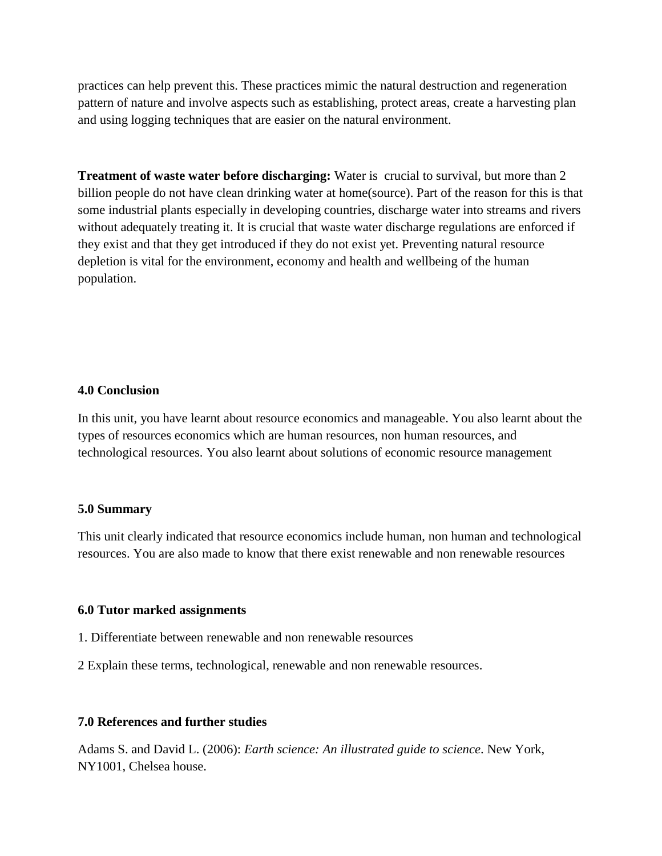practices can help prevent this. These practices mimic the natural destruction and regeneration pattern of nature and involve aspects such as establishing, protect areas, create a harvesting plan and using logging techniques that are easier on the natural environment.

**Treatment of waste water before discharging:** Water is crucial to survival, but more than 2 billion people do not have clean drinking water at home(source). Part of the reason for this is that some industrial plants especially in developing countries, discharge water into streams and rivers without adequately treating it. It is crucial that waste water discharge regulations are enforced if they exist and that they get introduced if they do not exist yet. Preventing natural resource depletion is vital for the environment, economy and health and wellbeing of the human population.

#### **4.0 Conclusion**

In this unit, you have learnt about resource economics and manageable. You also learnt about the types of resources economics which are human resources, non human resources, and technological resources. You also learnt about solutions of economic resource management

#### **5.0 Summary**

This unit clearly indicated that resource economics include human, non human and technological resources. You are also made to know that there exist renewable and non renewable resources

#### **6.0 Tutor marked assignments**

- 1. Differentiate between renewable and non renewable resources
- 2 Explain these terms, technological, renewable and non renewable resources.

#### **7.0 References and further studies**

Adams S. and David L. (2006): *Earth science: An illustrated guide to science*. New York, NY1001, Chelsea house.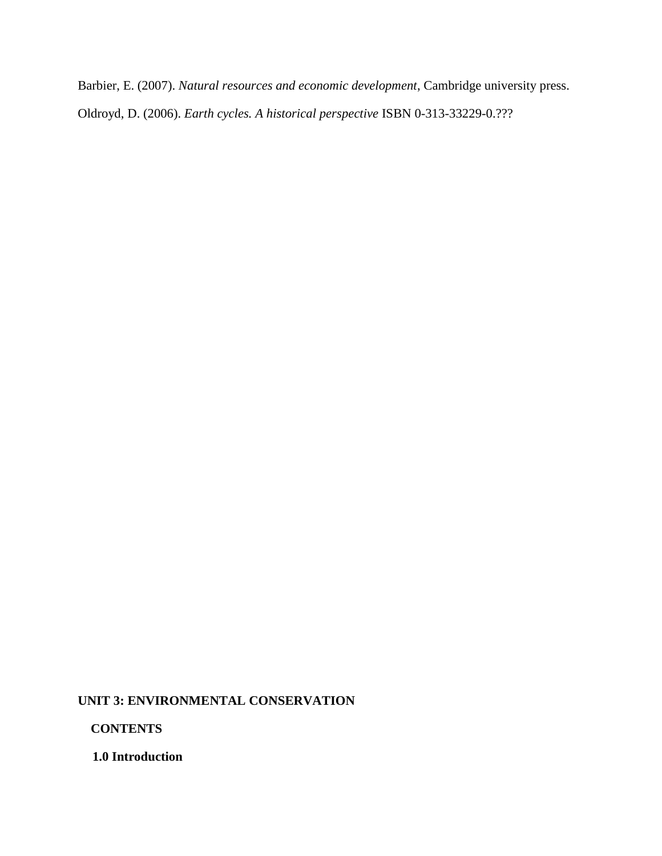Barbier, E. (2007). *Natural resources and economic development*, Cambridge university press. Oldroyd, D. (2006). *Earth cycles. A historical perspective* ISBN 0-313-33229-0.???

### **UNIT 3: ENVIRONMENTAL CONSERVATION**

 **CONTENTS**

**1.0 Introduction**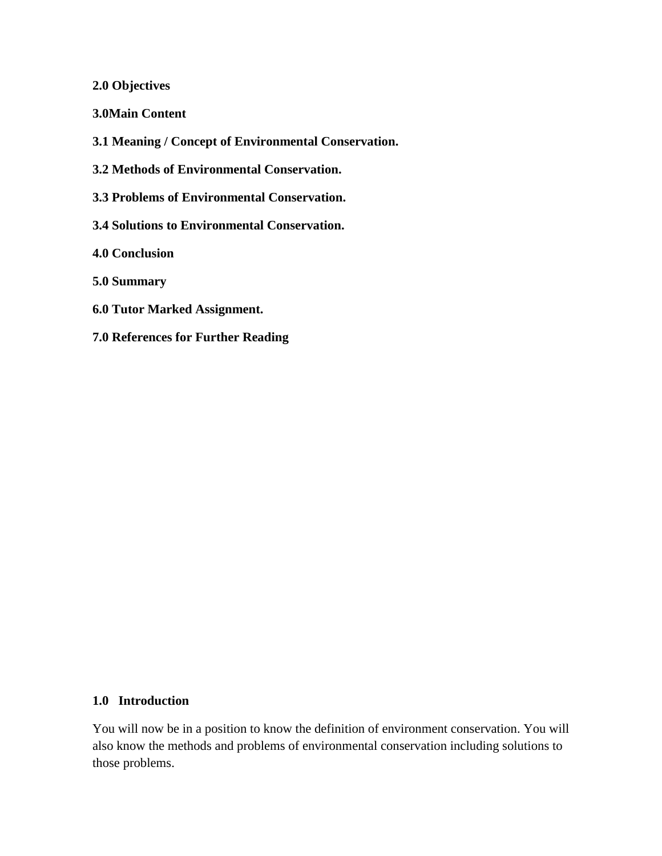### **2.0 Objectives**

**3.0Main Content**

**3.1 Meaning / Concept of Environmental Conservation.**

**3.2 Methods of Environmental Conservation.**

**3.3 Problems of Environmental Conservation.**

**3.4 Solutions to Environmental Conservation.**

**4.0 Conclusion**

**5.0 Summary**

- **6.0 Tutor Marked Assignment.**
- **7.0 References for Further Reading**

## **1.0 Introduction**

You will now be in a position to know the definition of environment conservation. You will also know the methods and problems of environmental conservation including solutions to those problems.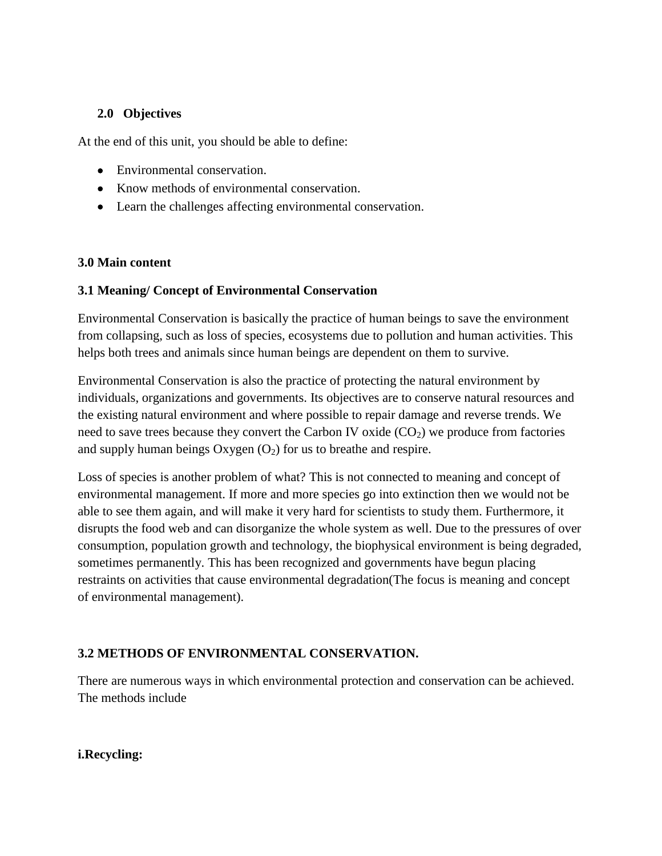## **2.0 Objectives**

At the end of this unit, you should be able to define:

- Environmental conservation.
- Know methods of environmental conservation.
- Learn the challenges affecting environmental conservation.

## **3.0 Main content**

## **3.1 Meaning/ Concept of Environmental Conservation**

Environmental Conservation is basically the practice of human beings to save the environment from collapsing, such as loss of species, ecosystems due to pollution and human activities. This helps both trees and animals since human beings are dependent on them to survive.

Environmental Conservation is also the practice of protecting the natural environment by individuals, organizations and governments. Its objectives are to conserve natural resources and the existing natural environment and where possible to repair damage and reverse trends. We need to save trees because they convert the Carbon IV oxide  $(CO<sub>2</sub>)$  we produce from factories and supply human beings Oxygen  $(O_2)$  for us to breathe and respire.

Loss of species is another problem of what? This is not connected to meaning and concept of environmental management. If more and more species go into extinction then we would not be able to see them again, and will make it very hard for scientists to study them. Furthermore, it disrupts the food web and can disorganize the whole system as well. Due to the pressures of over consumption, population growth and technology, the biophysical environment is being degraded, sometimes permanently. This has been recognized and governments have begun placing restraints on activities that cause environmental degradation(The focus is meaning and concept of environmental management).

## **3.2 METHODS OF ENVIRONMENTAL CONSERVATION.**

There are numerous ways in which environmental protection and conservation can be achieved. The methods include

**i.Recycling:**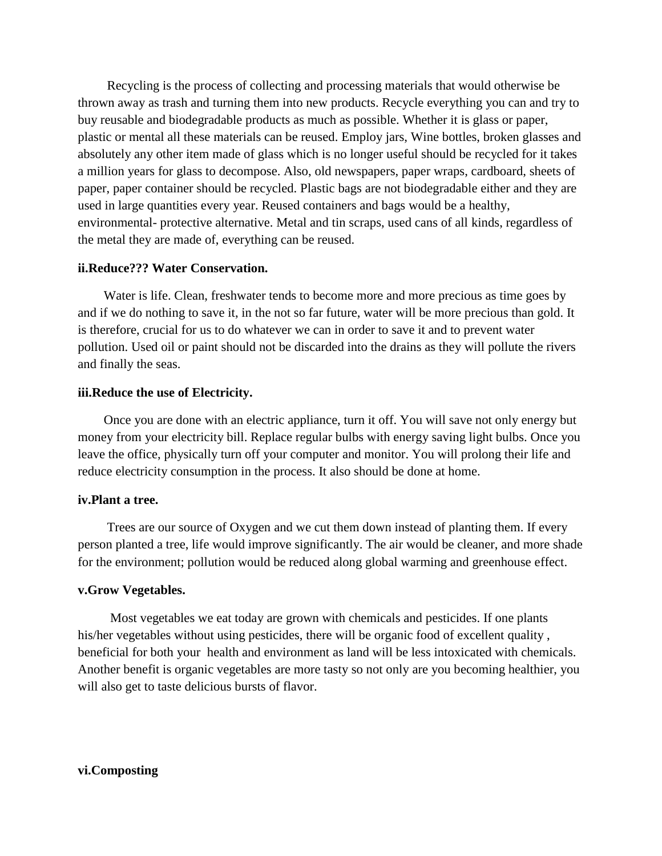Recycling is the process of collecting and processing materials that would otherwise be thrown away as trash and turning them into new products. Recycle everything you can and try to buy reusable and biodegradable products as much as possible. Whether it is glass or paper, plastic or mental all these materials can be reused. Employ jars, Wine bottles, broken glasses and absolutely any other item made of glass which is no longer useful should be recycled for it takes a million years for glass to decompose. Also, old newspapers, paper wraps, cardboard, sheets of paper, paper container should be recycled. Plastic bags are not biodegradable either and they are used in large quantities every year. Reused containers and bags would be a healthy, environmental- protective alternative. Metal and tin scraps, used cans of all kinds, regardless of the metal they are made of, everything can be reused.

#### **ii.Reduce??? Water Conservation.**

 Water is life. Clean, freshwater tends to become more and more precious as time goes by and if we do nothing to save it, in the not so far future, water will be more precious than gold. It is therefore, crucial for us to do whatever we can in order to save it and to prevent water pollution. Used oil or paint should not be discarded into the drains as they will pollute the rivers and finally the seas.

#### **iii.Reduce the use of Electricity.**

 Once you are done with an electric appliance, turn it off. You will save not only energy but money from your electricity bill. Replace regular bulbs with energy saving light bulbs. Once you leave the office, physically turn off your computer and monitor. You will prolong their life and reduce electricity consumption in the process. It also should be done at home.

#### **iv.Plant a tree.**

 Trees are our source of Oxygen and we cut them down instead of planting them. If every person planted a tree, life would improve significantly. The air would be cleaner, and more shade for the environment; pollution would be reduced along global warming and greenhouse effect.

#### **v.Grow Vegetables.**

 Most vegetables we eat today are grown with chemicals and pesticides. If one plants his/her vegetables without using pesticides, there will be organic food of excellent quality , beneficial for both your health and environment as land will be less intoxicated with chemicals. Another benefit is organic vegetables are more tasty so not only are you becoming healthier, you will also get to taste delicious bursts of flavor.

#### **vi.Composting**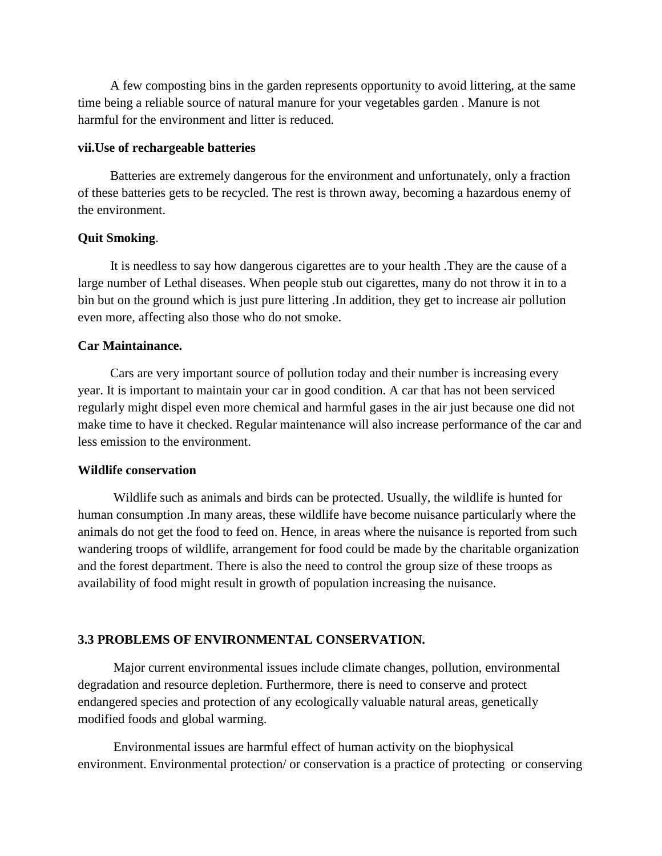A few composting bins in the garden represents opportunity to avoid littering, at the same time being a reliable source of natural manure for your vegetables garden . Manure is not harmful for the environment and litter is reduced.

#### **vii.Use of rechargeable batteries**

 Batteries are extremely dangerous for the environment and unfortunately, only a fraction of these batteries gets to be recycled. The rest is thrown away, becoming a hazardous enemy of the environment.

#### **Quit Smoking**.

 It is needless to say how dangerous cigarettes are to your health .They are the cause of a large number of Lethal diseases. When people stub out cigarettes, many do not throw it in to a bin but on the ground which is just pure littering .In addition, they get to increase air pollution even more, affecting also those who do not smoke.

#### **Car Maintainance.**

 Cars are very important source of pollution today and their number is increasing every year. It is important to maintain your car in good condition. A car that has not been serviced regularly might dispel even more chemical and harmful gases in the air just because one did not make time to have it checked. Regular maintenance will also increase performance of the car and less emission to the environment.

#### **Wildlife conservation**

 Wildlife such as animals and birds can be protected. Usually, the wildlife is hunted for human consumption .In many areas, these wildlife have become nuisance particularly where the animals do not get the food to feed on. Hence, in areas where the nuisance is reported from such wandering troops of wildlife, arrangement for food could be made by the charitable organization and the forest department. There is also the need to control the group size of these troops as availability of food might result in growth of population increasing the nuisance.

#### **3.3 PROBLEMS OF ENVIRONMENTAL CONSERVATION.**

 Major current environmental issues include climate changes, pollution, environmental degradation and resource depletion. Furthermore, there is need to conserve and protect endangered species and protection of any ecologically valuable natural areas, genetically modified foods and global warming.

 Environmental issues are harmful effect of human activity on the biophysical environment. Environmental protection/ or conservation is a practice of protecting or conserving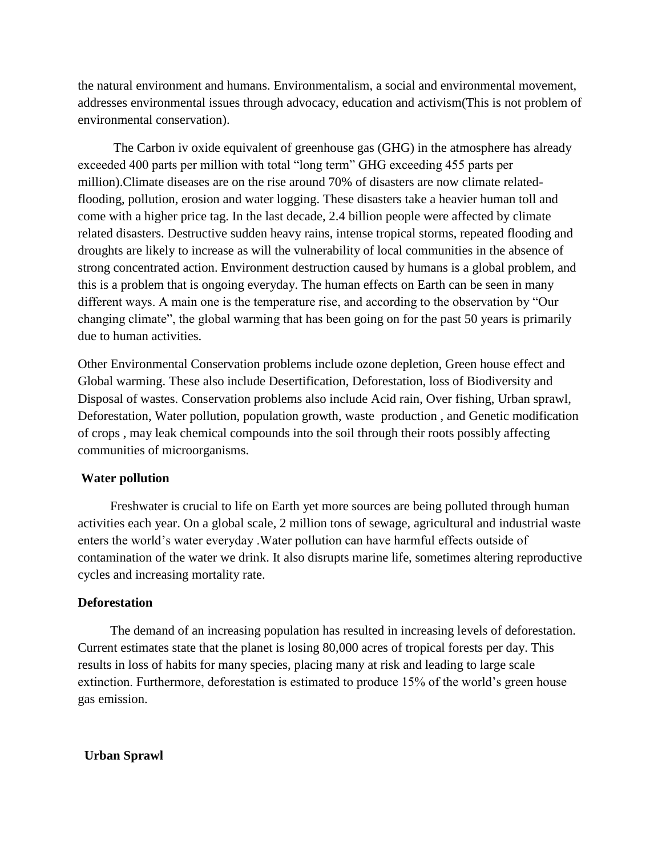the natural environment and humans. Environmentalism, a social and environmental movement, addresses environmental issues through advocacy, education and activism(This is not problem of environmental conservation).

 The Carbon iv oxide equivalent of greenhouse gas (GHG) in the atmosphere has already exceeded 400 parts per million with total "long term" GHG exceeding 455 parts per million).Climate diseases are on the rise around 70% of disasters are now climate relatedflooding, pollution, erosion and water logging. These disasters take a heavier human toll and come with a higher price tag. In the last decade, 2.4 billion people were affected by climate related disasters. Destructive sudden heavy rains, intense tropical storms, repeated flooding and droughts are likely to increase as will the vulnerability of local communities in the absence of strong concentrated action. Environment destruction caused by humans is a global problem, and this is a problem that is ongoing everyday. The human effects on Earth can be seen in many different ways. A main one is the temperature rise, and according to the observation by "Our changing climate", the global warming that has been going on for the past 50 years is primarily due to human activities.

Other Environmental Conservation problems include ozone depletion, Green house effect and Global warming. These also include Desertification, Deforestation, loss of Biodiversity and Disposal of wastes. Conservation problems also include Acid rain, Over fishing, Urban sprawl, Deforestation, Water pollution, population growth, waste production , and Genetic modification of crops , may leak chemical compounds into the soil through their roots possibly affecting communities of microorganisms.

### **Water pollution**

 Freshwater is crucial to life on Earth yet more sources are being polluted through human activities each year. On a global scale, 2 million tons of sewage, agricultural and industrial waste enters the world's water everyday .Water pollution can have harmful effects outside of contamination of the water we drink. It also disrupts marine life, sometimes altering reproductive cycles and increasing mortality rate.

#### **Deforestation**

 The demand of an increasing population has resulted in increasing levels of deforestation. Current estimates state that the planet is losing 80,000 acres of tropical forests per day. This results in loss of habits for many species, placing many at risk and leading to large scale extinction. Furthermore, deforestation is estimated to produce 15% of the world's green house gas emission.

 **Urban Sprawl**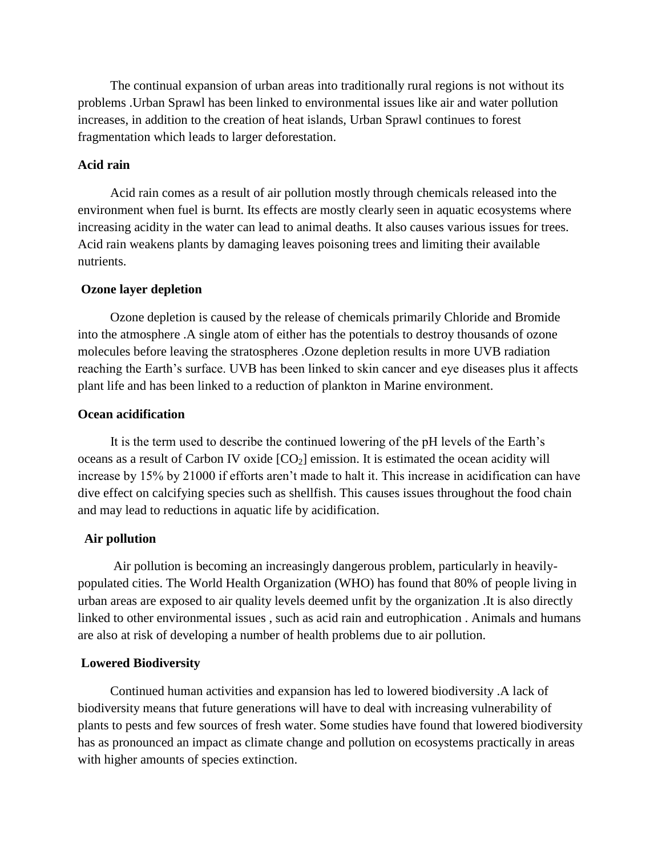The continual expansion of urban areas into traditionally rural regions is not without its problems .Urban Sprawl has been linked to environmental issues like air and water pollution increases, in addition to the creation of heat islands, Urban Sprawl continues to forest fragmentation which leads to larger deforestation.

#### **Acid rain**

 Acid rain comes as a result of air pollution mostly through chemicals released into the environment when fuel is burnt. Its effects are mostly clearly seen in aquatic ecosystems where increasing acidity in the water can lead to animal deaths. It also causes various issues for trees. Acid rain weakens plants by damaging leaves poisoning trees and limiting their available nutrients.

#### **Ozone layer depletion**

 Ozone depletion is caused by the release of chemicals primarily Chloride and Bromide into the atmosphere .A single atom of either has the potentials to destroy thousands of ozone molecules before leaving the stratospheres .Ozone depletion results in more UVB radiation reaching the Earth's surface. UVB has been linked to skin cancer and eye diseases plus it affects plant life and has been linked to a reduction of plankton in Marine environment.

#### **Ocean acidification**

 It is the term used to describe the continued lowering of the pH levels of the Earth's oceans as a result of Carbon IV oxide  $[CO<sub>2</sub>]$  emission. It is estimated the ocean acidity will increase by 15% by 21000 if efforts aren't made to halt it. This increase in acidification can have dive effect on calcifying species such as shellfish. This causes issues throughout the food chain and may lead to reductions in aquatic life by acidification.

#### **Air pollution**

 Air pollution is becoming an increasingly dangerous problem, particularly in heavilypopulated cities. The World Health Organization (WHO) has found that 80% of people living in urban areas are exposed to air quality levels deemed unfit by the organization .It is also directly linked to other environmental issues , such as acid rain and eutrophication . Animals and humans are also at risk of developing a number of health problems due to air pollution.

#### **Lowered Biodiversity**

Continued human activities and expansion has led to lowered biodiversity .A lack of biodiversity means that future generations will have to deal with increasing vulnerability of plants to pests and few sources of fresh water. Some studies have found that lowered biodiversity has as pronounced an impact as climate change and pollution on ecosystems practically in areas with higher amounts of species extinction.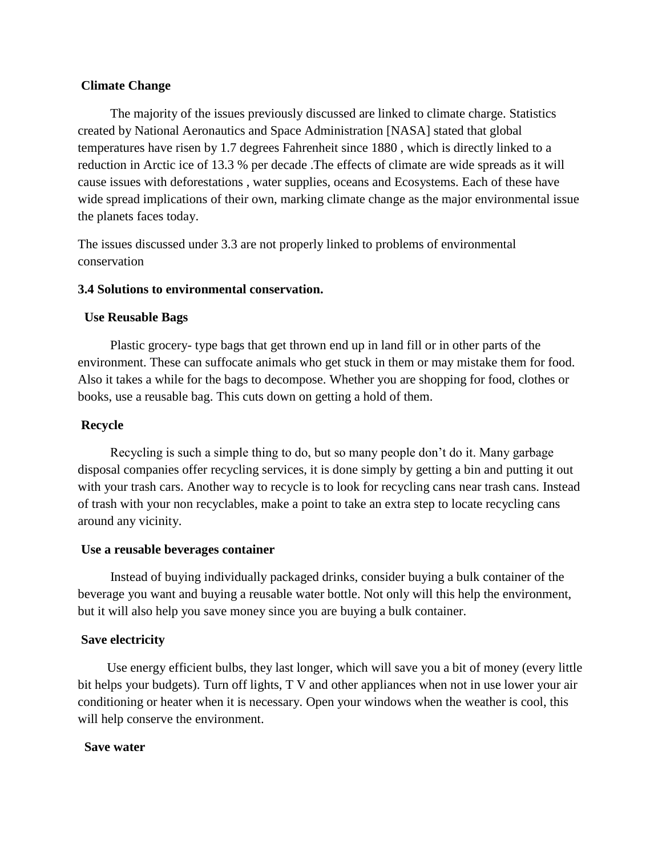### **Climate Change**

 The majority of the issues previously discussed are linked to climate charge. Statistics created by National Aeronautics and Space Administration [NASA] stated that global temperatures have risen by 1.7 degrees Fahrenheit since 1880 , which is directly linked to a reduction in Arctic ice of 13.3 % per decade .The effects of climate are wide spreads as it will cause issues with deforestations , water supplies, oceans and Ecosystems. Each of these have wide spread implications of their own, marking climate change as the major environmental issue the planets faces today.

The issues discussed under 3.3 are not properly linked to problems of environmental conservation

#### **3.4 Solutions to environmental conservation.**

#### **Use Reusable Bags**

 Plastic grocery- type bags that get thrown end up in land fill or in other parts of the environment. These can suffocate animals who get stuck in them or may mistake them for food. Also it takes a while for the bags to decompose. Whether you are shopping for food, clothes or books, use a reusable bag. This cuts down on getting a hold of them.

#### **Recycle**

Recycling is such a simple thing to do, but so many people don't do it. Many garbage disposal companies offer recycling services, it is done simply by getting a bin and putting it out with your trash cars. Another way to recycle is to look for recycling cans near trash cans. Instead of trash with your non recyclables, make a point to take an extra step to locate recycling cans around any vicinity.

#### **Use a reusable beverages container**

 Instead of buying individually packaged drinks, consider buying a bulk container of the beverage you want and buying a reusable water bottle. Not only will this help the environment, but it will also help you save money since you are buying a bulk container.

### **Save electricity**

Use energy efficient bulbs, they last longer, which will save you a bit of money (every little bit helps your budgets). Turn off lights, T V and other appliances when not in use lower your air conditioning or heater when it is necessary. Open your windows when the weather is cool, this will help conserve the environment.

#### **Save water**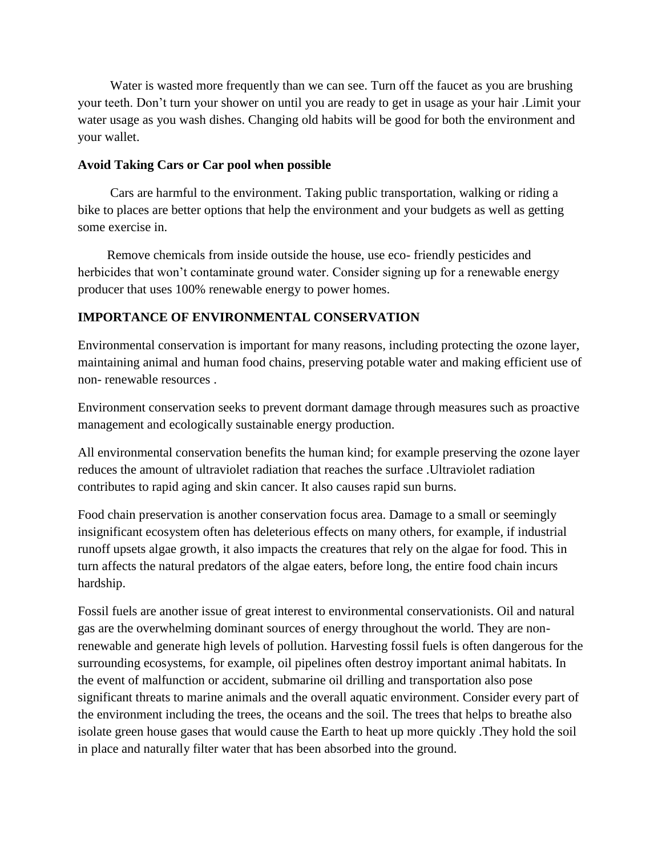Water is wasted more frequently than we can see. Turn off the faucet as you are brushing your teeth. Don't turn your shower on until you are ready to get in usage as your hair .Limit your water usage as you wash dishes. Changing old habits will be good for both the environment and your wallet.

### **Avoid Taking Cars or Car pool when possible**

Cars are harmful to the environment. Taking public transportation, walking or riding a bike to places are better options that help the environment and your budgets as well as getting some exercise in.

 Remove chemicals from inside outside the house, use eco- friendly pesticides and herbicides that won't contaminate ground water. Consider signing up for a renewable energy producer that uses 100% renewable energy to power homes.

## **IMPORTANCE OF ENVIRONMENTAL CONSERVATION**

Environmental conservation is important for many reasons, including protecting the ozone layer, maintaining animal and human food chains, preserving potable water and making efficient use of non- renewable resources .

Environment conservation seeks to prevent dormant damage through measures such as proactive management and ecologically sustainable energy production.

All environmental conservation benefits the human kind; for example preserving the ozone layer reduces the amount of ultraviolet radiation that reaches the surface .Ultraviolet radiation contributes to rapid aging and skin cancer. It also causes rapid sun burns.

Food chain preservation is another conservation focus area. Damage to a small or seemingly insignificant ecosystem often has deleterious effects on many others, for example, if industrial runoff upsets algae growth, it also impacts the creatures that rely on the algae for food. This in turn affects the natural predators of the algae eaters, before long, the entire food chain incurs hardship.

Fossil fuels are another issue of great interest to environmental conservationists. Oil and natural gas are the overwhelming dominant sources of energy throughout the world. They are nonrenewable and generate high levels of pollution. Harvesting fossil fuels is often dangerous for the surrounding ecosystems, for example, oil pipelines often destroy important animal habitats. In the event of malfunction or accident, submarine oil drilling and transportation also pose significant threats to marine animals and the overall aquatic environment. Consider every part of the environment including the trees, the oceans and the soil. The trees that helps to breathe also isolate green house gases that would cause the Earth to heat up more quickly .They hold the soil in place and naturally filter water that has been absorbed into the ground.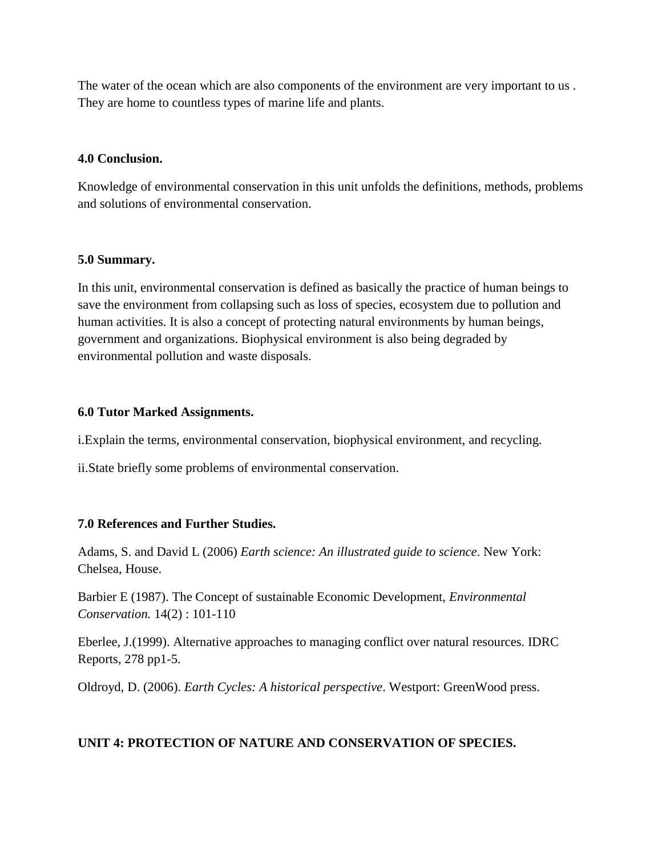The water of the ocean which are also components of the environment are very important to us . They are home to countless types of marine life and plants.

### **4.0 Conclusion.**

Knowledge of environmental conservation in this unit unfolds the definitions, methods, problems and solutions of environmental conservation.

#### **5.0 Summary.**

In this unit, environmental conservation is defined as basically the practice of human beings to save the environment from collapsing such as loss of species, ecosystem due to pollution and human activities. It is also a concept of protecting natural environments by human beings, government and organizations. Biophysical environment is also being degraded by environmental pollution and waste disposals.

#### **6.0 Tutor Marked Assignments.**

i.Explain the terms, environmental conservation, biophysical environment, and recycling.

ii.State briefly some problems of environmental conservation.

### **7.0 References and Further Studies.**

Adams, S. and David L (2006) *Earth science: An illustrated guide to science*. New York: Chelsea, House.

Barbier E (1987). The Concept of sustainable Economic Development, *Environmental Conservation.* 14(2) : 101-110

Eberlee, J.(1999). Alternative approaches to managing conflict over natural resources. IDRC Reports, 278 pp1-5.

Oldroyd, D. (2006). *Earth Cycles: A historical perspective*. Westport: GreenWood press.

### **UNIT 4: PROTECTION OF NATURE AND CONSERVATION OF SPECIES.**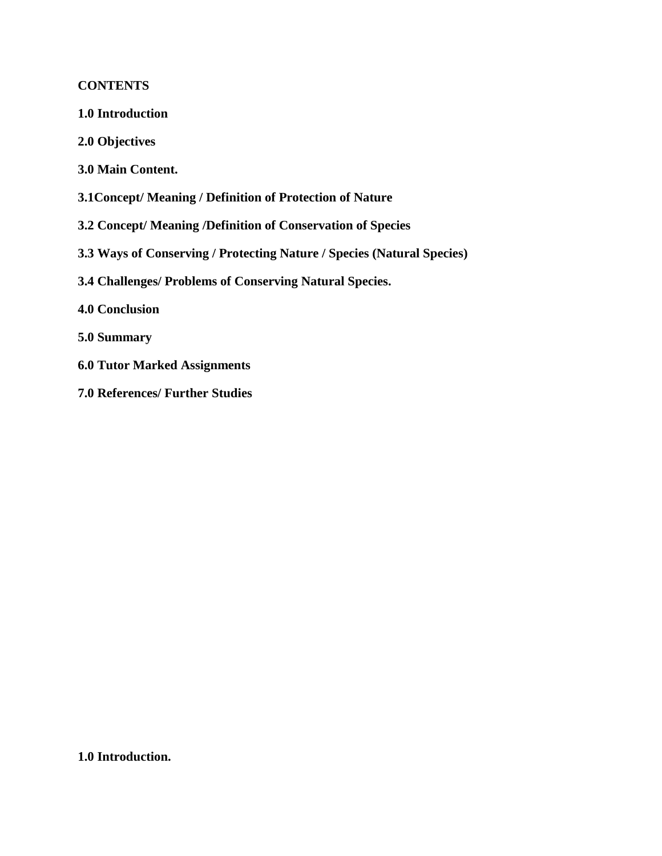## **CONTENTS**

- **1.0 Introduction**
- **2.0 Objectives**
- **3.0 Main Content.**
- **3.1Concept/ Meaning / Definition of Protection of Nature**
- **3.2 Concept/ Meaning /Definition of Conservation of Species**
- **3.3 Ways of Conserving / Protecting Nature / Species (Natural Species)**
- **3.4 Challenges/ Problems of Conserving Natural Species.**
- **4.0 Conclusion**
- **5.0 Summary**
- **6.0 Tutor Marked Assignments**
- **7.0 References/ Further Studies**

**1.0 Introduction.**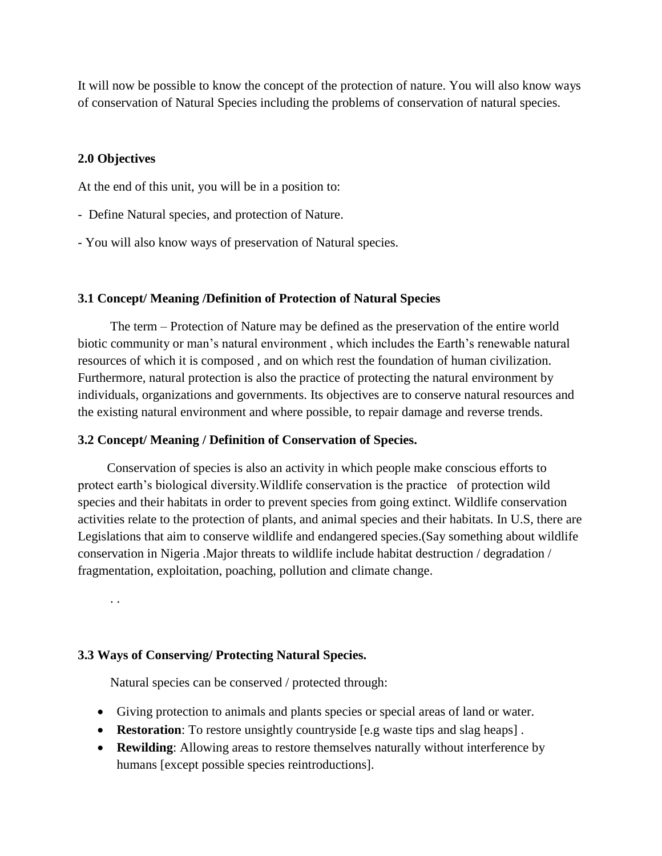It will now be possible to know the concept of the protection of nature. You will also know ways of conservation of Natural Species including the problems of conservation of natural species.

#### **2.0 Objectives**

At the end of this unit, you will be in a position to:

- Define Natural species, and protection of Nature.
- You will also know ways of preservation of Natural species.

#### **3.1 Concept/ Meaning /Definition of Protection of Natural Species**

 The term – Protection of Nature may be defined as the preservation of the entire world biotic community or man's natural environment , which includes the Earth's renewable natural resources of which it is composed , and on which rest the foundation of human civilization. Furthermore, natural protection is also the practice of protecting the natural environment by individuals, organizations and governments. Its objectives are to conserve natural resources and the existing natural environment and where possible, to repair damage and reverse trends.

#### **3.2 Concept/ Meaning / Definition of Conservation of Species.**

 Conservation of species is also an activity in which people make conscious efforts to protect earth's biological diversity.Wildlife conservation is the practice of protection wild species and their habitats in order to prevent species from going extinct. Wildlife conservation activities relate to the protection of plants, and animal species and their habitats. In U.S, there are Legislations that aim to conserve wildlife and endangered species.(Say something about wildlife conservation in Nigeria .Major threats to wildlife include habitat destruction / degradation / fragmentation, exploitation, poaching, pollution and climate change.

. .

#### **3.3 Ways of Conserving/ Protecting Natural Species.**

Natural species can be conserved / protected through:

- Giving protection to animals and plants species or special areas of land or water.
- **Restoration**: To restore unsightly countryside [e.g waste tips and slag heaps] .
- **Rewilding**: Allowing areas to restore themselves naturally without interference by humans [except possible species reintroductions].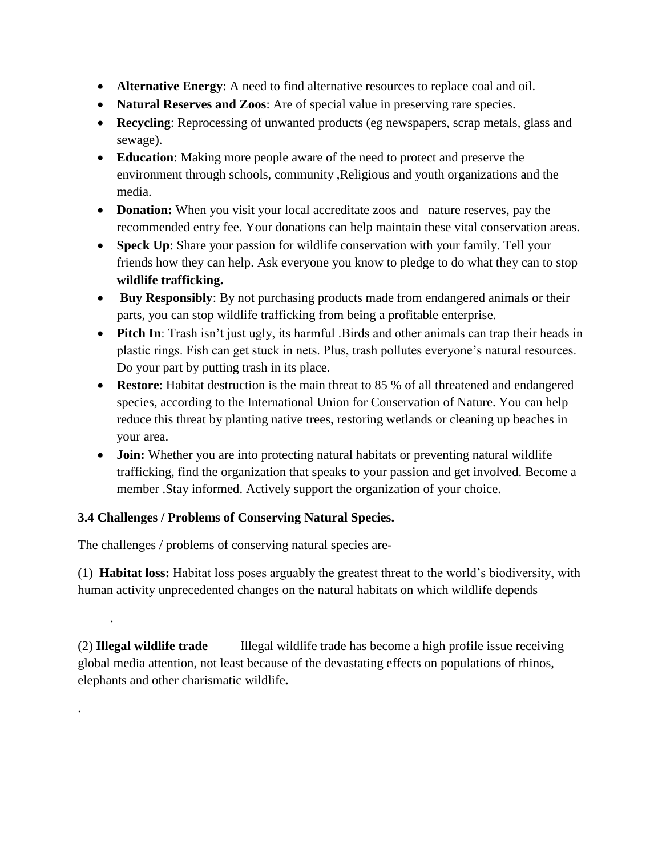- **Alternative Energy**: A need to find alternative resources to replace coal and oil.
- **Natural Reserves and Zoos**: Are of special value in preserving rare species.
- **Recycling**: Reprocessing of unwanted products (eg newspapers, scrap metals, glass and sewage).
- **Education**: Making more people aware of the need to protect and preserve the environment through schools, community ,Religious and youth organizations and the media.
- **Donation:** When you visit your local accreditate zoos and nature reserves, pay the recommended entry fee. Your donations can help maintain these vital conservation areas.
- **Speck Up**: Share your passion for wildlife conservation with your family. Tell your friends how they can help. Ask everyone you know to pledge to do what they can to stop **wildlife trafficking.**
- **Buy Responsibly**: By not purchasing products made from endangered animals or their parts, you can stop wildlife trafficking from being a profitable enterprise.
- **Pitch In**: Trash isn't just ugly, its harmful .Birds and other animals can trap their heads in plastic rings. Fish can get stuck in nets. Plus, trash pollutes everyone's natural resources. Do your part by putting trash in its place.
- **Restore**: Habitat destruction is the main threat to 85 % of all threatened and endangered species, according to the International Union for Conservation of Nature. You can help reduce this threat by planting native trees, restoring wetlands or cleaning up beaches in your area.
- **Join:** Whether you are into protecting natural habitats or preventing natural wildlife trafficking, find the organization that speaks to your passion and get involved. Become a member .Stay informed. Actively support the organization of your choice.

# **3.4 Challenges / Problems of Conserving Natural Species.**

The challenges / problems of conserving natural species are-

.

.

(1) **Habitat loss:** Habitat loss poses arguably the greatest threat to the world's biodiversity, with human activity unprecedented changes on the natural habitats on which wildlife depends

(2) **Illegal wildlife trade** Illegal wildlife trade has become a high profile issue receiving global media attention, not least because of the devastating effects on populations of rhinos, elephants and other charismatic wildlife**.**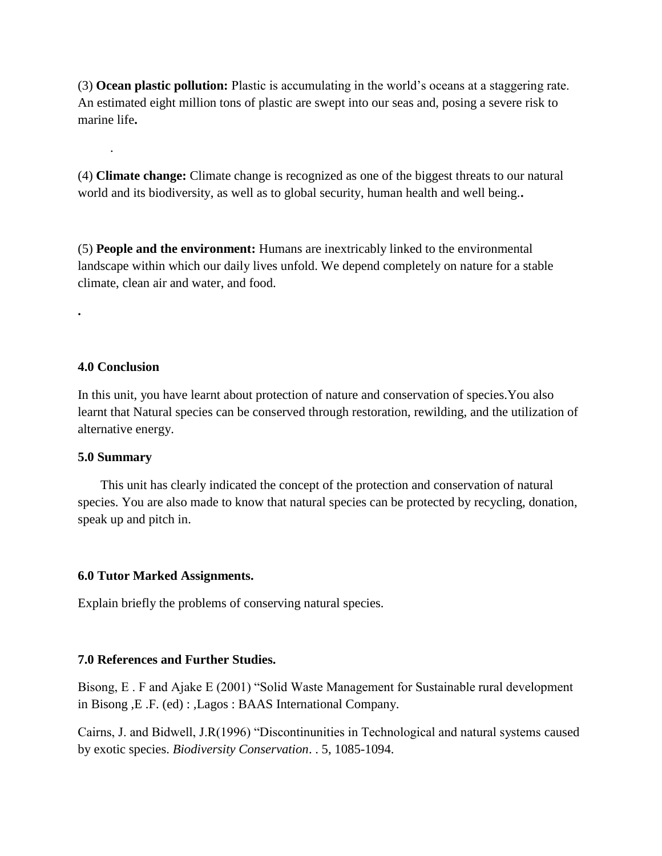(3) **Ocean plastic pollution:** Plastic is accumulating in the world's oceans at a staggering rate. An estimated eight million tons of plastic are swept into our seas and, posing a severe risk to marine life**.**

(4) **Climate change:** Climate change is recognized as one of the biggest threats to our natural world and its biodiversity, as well as to global security, human health and well being.**.**

(5) **People and the environment:** Humans are inextricably linked to the environmental landscape within which our daily lives unfold. We depend completely on nature for a stable climate, clean air and water, and food.

#### **4.0 Conclusion**

.

**.**

In this unit, you have learnt about protection of nature and conservation of species.You also learnt that Natural species can be conserved through restoration, rewilding, and the utilization of alternative energy.

#### **5.0 Summary**

 This unit has clearly indicated the concept of the protection and conservation of natural species. You are also made to know that natural species can be protected by recycling, donation, speak up and pitch in.

#### **6.0 Tutor Marked Assignments.**

Explain briefly the problems of conserving natural species.

### **7.0 References and Further Studies.**

Bisong, E . F and Ajake E (2001) "Solid Waste Management for Sustainable rural development in Bisong ,E .F. (ed) : *,*Lagos : BAAS International Company.

Cairns, J. and Bidwell, J.R(1996) "Discontinunities in Technological and natural systems caused by exotic species. *Biodiversity Conservation*. . 5, 1085-1094.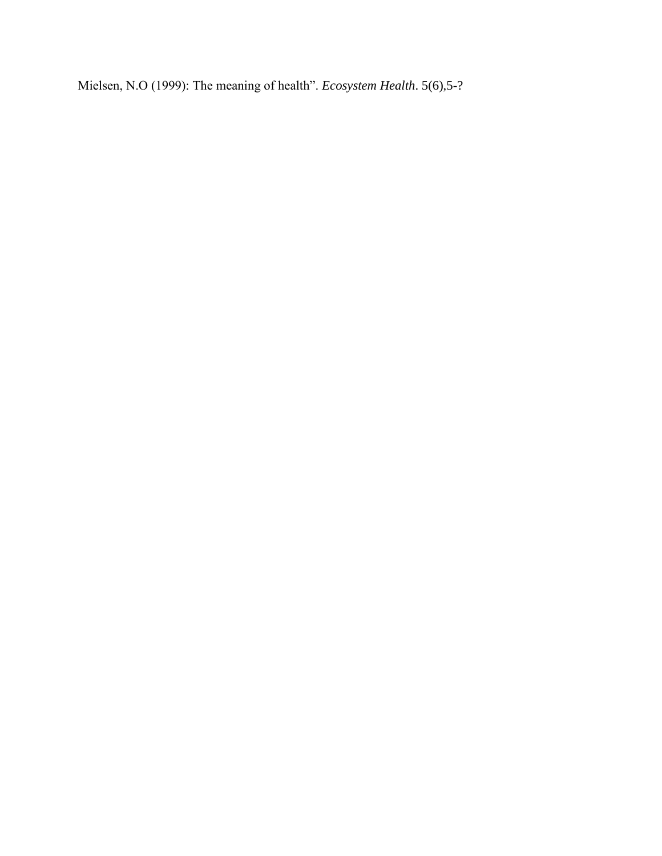Mielsen, N.O (1999): The meaning of health". *Ecosystem Health*. 5(6),5-?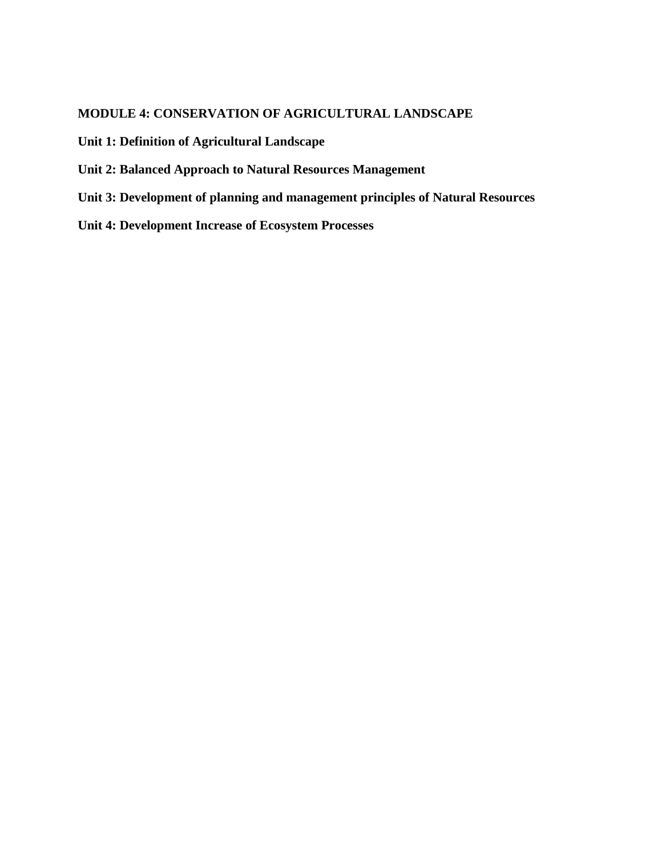## **MODULE 4: CONSERVATION OF AGRICULTURAL LANDSCAPE**

**Unit 1: Definition of Agricultural Landscape**

- **Unit 2: Balanced Approach to Natural Resources Management**
- **Unit 3: Development of planning and management principles of Natural Resources**
- **Unit 4: Development Increase of Ecosystem Processes**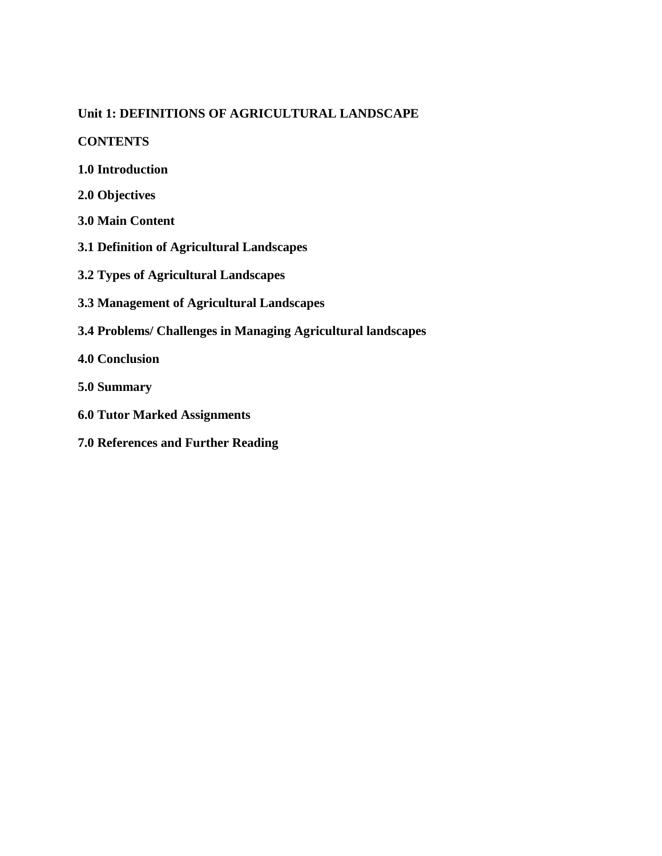# **Unit 1: DEFINITIONS OF AGRICULTURAL LANDSCAPE**

**CONTENTS**

- **1.0 Introduction**
- **2.0 Objectives**
- **3.0 Main Content**
- **3.1 Definition of Agricultural Landscapes**
- **3.2 Types of Agricultural Landscapes**
- **3.3 Management of Agricultural Landscapes**
- **3.4 Problems/ Challenges in Managing Agricultural landscapes**
- **4.0 Conclusion**
- **5.0 Summary**
- **6.0 Tutor Marked Assignments**
- **7.0 References and Further Reading**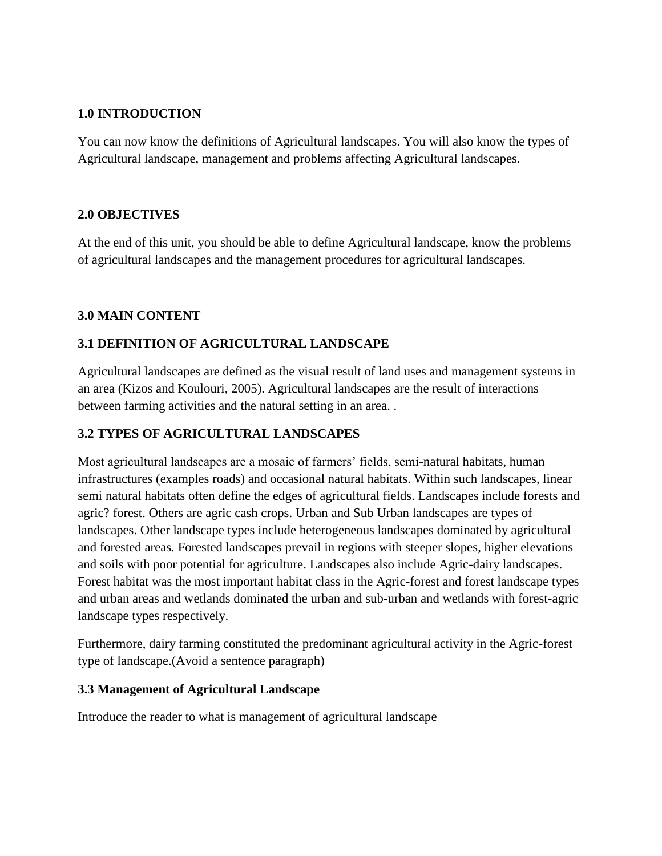## **1.0 INTRODUCTION**

You can now know the definitions of Agricultural landscapes. You will also know the types of Agricultural landscape, management and problems affecting Agricultural landscapes.

## **2.0 OBJECTIVES**

At the end of this unit, you should be able to define Agricultural landscape, know the problems of agricultural landscapes and the management procedures for agricultural landscapes.

# **3.0 MAIN CONTENT**

## **3.1 DEFINITION OF AGRICULTURAL LANDSCAPE**

Agricultural landscapes are defined as the visual result of land uses and management systems in an area (Kizos and Koulouri, 2005). Agricultural landscapes are the result of interactions between farming activities and the natural setting in an area. .

# **3.2 TYPES OF AGRICULTURAL LANDSCAPES**

Most agricultural landscapes are a mosaic of farmers' fields, semi-natural habitats, human infrastructures (examples roads) and occasional natural habitats. Within such landscapes, linear semi natural habitats often define the edges of agricultural fields. Landscapes include forests and agric? forest. Others are agric cash crops. Urban and Sub Urban landscapes are types of landscapes. Other landscape types include heterogeneous landscapes dominated by agricultural and forested areas. Forested landscapes prevail in regions with steeper slopes, higher elevations and soils with poor potential for agriculture. Landscapes also include Agric-dairy landscapes. Forest habitat was the most important habitat class in the Agric-forest and forest landscape types and urban areas and wetlands dominated the urban and sub-urban and wetlands with forest-agric landscape types respectively.

Furthermore, dairy farming constituted the predominant agricultural activity in the Agric-forest type of landscape.(Avoid a sentence paragraph)

## **3.3 Management of Agricultural Landscape**

Introduce the reader to what is management of agricultural landscape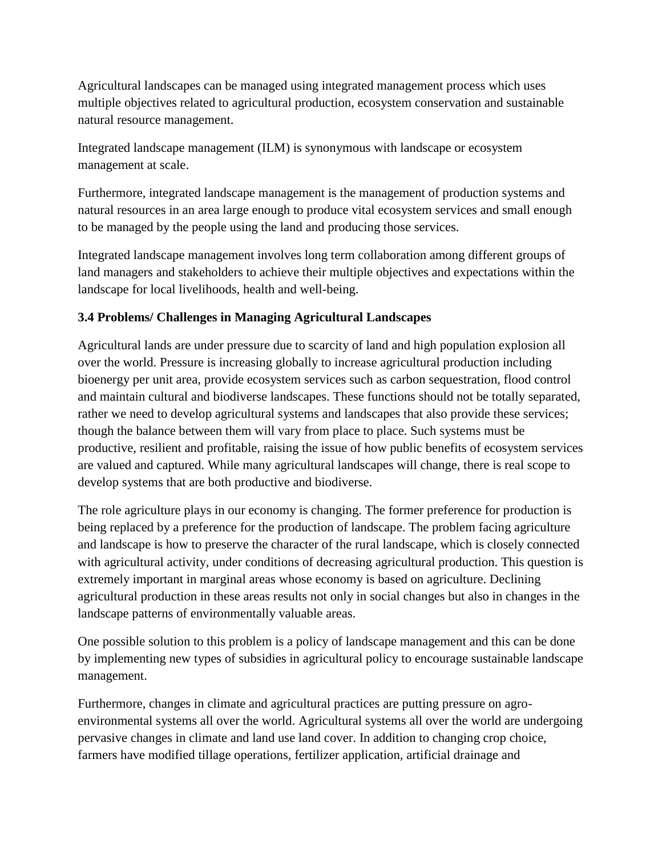Agricultural landscapes can be managed using integrated management process which uses multiple objectives related to agricultural production, ecosystem conservation and sustainable natural resource management.

Integrated landscape management (ILM) is synonymous with landscape or ecosystem management at scale.

Furthermore, integrated landscape management is the management of production systems and natural resources in an area large enough to produce vital ecosystem services and small enough to be managed by the people using the land and producing those services.

Integrated landscape management involves long term collaboration among different groups of land managers and stakeholders to achieve their multiple objectives and expectations within the landscape for local livelihoods, health and well-being.

# **3.4 Problems/ Challenges in Managing Agricultural Landscapes**

Agricultural lands are under pressure due to scarcity of land and high population explosion all over the world. Pressure is increasing globally to increase agricultural production including bioenergy per unit area, provide ecosystem services such as carbon sequestration, flood control and maintain cultural and biodiverse landscapes. These functions should not be totally separated, rather we need to develop agricultural systems and landscapes that also provide these services; though the balance between them will vary from place to place. Such systems must be productive, resilient and profitable, raising the issue of how public benefits of ecosystem services are valued and captured. While many agricultural landscapes will change, there is real scope to develop systems that are both productive and biodiverse.

The role agriculture plays in our economy is changing. The former preference for production is being replaced by a preference for the production of landscape. The problem facing agriculture and landscape is how to preserve the character of the rural landscape, which is closely connected with agricultural activity, under conditions of decreasing agricultural production. This question is extremely important in marginal areas whose economy is based on agriculture. Declining agricultural production in these areas results not only in social changes but also in changes in the landscape patterns of environmentally valuable areas.

One possible solution to this problem is a policy of landscape management and this can be done by implementing new types of subsidies in agricultural policy to encourage sustainable landscape management.

Furthermore, changes in climate and agricultural practices are putting pressure on agroenvironmental systems all over the world. Agricultural systems all over the world are undergoing pervasive changes in climate and land use land cover. In addition to changing crop choice, farmers have modified tillage operations, fertilizer application, artificial drainage and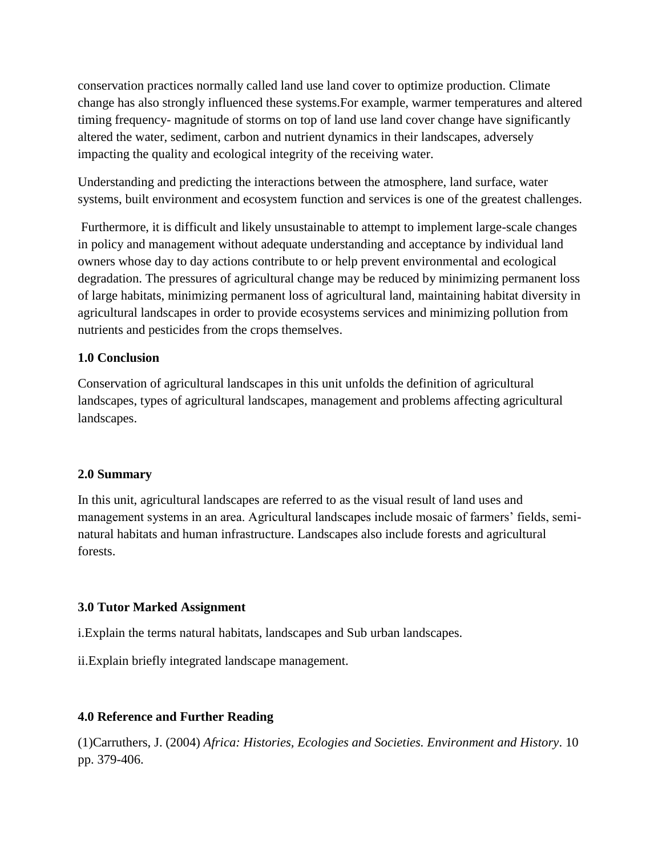conservation practices normally called land use land cover to optimize production. Climate change has also strongly influenced these systems.For example, warmer temperatures and altered timing frequency- magnitude of storms on top of land use land cover change have significantly altered the water, sediment, carbon and nutrient dynamics in their landscapes, adversely impacting the quality and ecological integrity of the receiving water.

Understanding and predicting the interactions between the atmosphere, land surface, water systems, built environment and ecosystem function and services is one of the greatest challenges.

Furthermore, it is difficult and likely unsustainable to attempt to implement large-scale changes in policy and management without adequate understanding and acceptance by individual land owners whose day to day actions contribute to or help prevent environmental and ecological degradation. The pressures of agricultural change may be reduced by minimizing permanent loss of large habitats, minimizing permanent loss of agricultural land, maintaining habitat diversity in agricultural landscapes in order to provide ecosystems services and minimizing pollution from nutrients and pesticides from the crops themselves.

## **1.0 Conclusion**

Conservation of agricultural landscapes in this unit unfolds the definition of agricultural landscapes, types of agricultural landscapes, management and problems affecting agricultural landscapes.

## **2.0 Summary**

In this unit, agricultural landscapes are referred to as the visual result of land uses and management systems in an area. Agricultural landscapes include mosaic of farmers' fields, seminatural habitats and human infrastructure. Landscapes also include forests and agricultural forests.

## **3.0 Tutor Marked Assignment**

i.Explain the terms natural habitats, landscapes and Sub urban landscapes.

ii.Explain briefly integrated landscape management.

## **4.0 Reference and Further Reading**

(1)Carruthers, J. (2004) *Africa: Histories, Ecologies and Societies. Environment and History*. 10 pp. 379-406.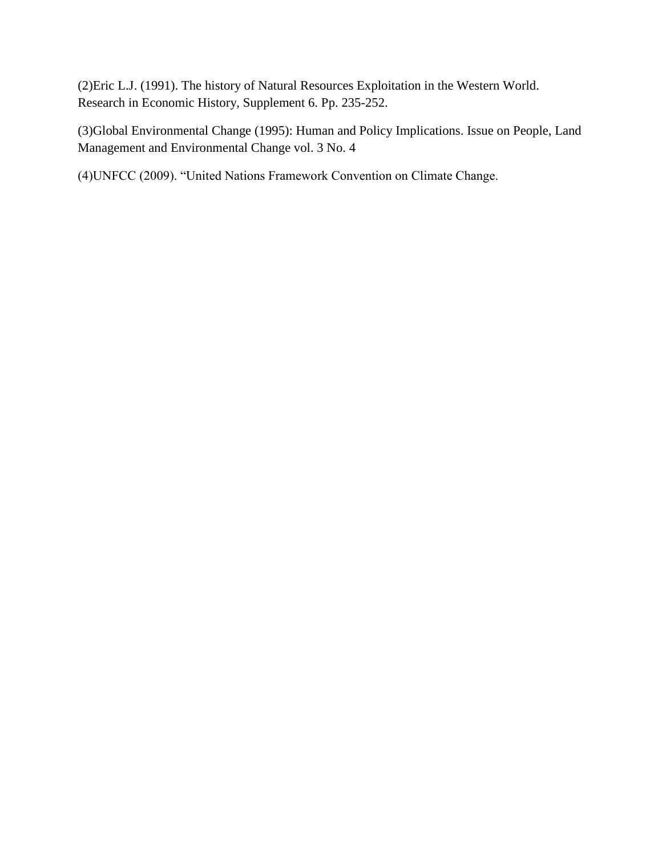(2)Eric L.J. (1991). The history of Natural Resources Exploitation in the Western World. Research in Economic History, Supplement 6. Pp. 235-252.

(3)Global Environmental Change (1995): Human and Policy Implications. Issue on People, Land Management and Environmental Change vol. 3 No. 4

(4)UNFCC (2009). "United Nations Framework Convention on Climate Change.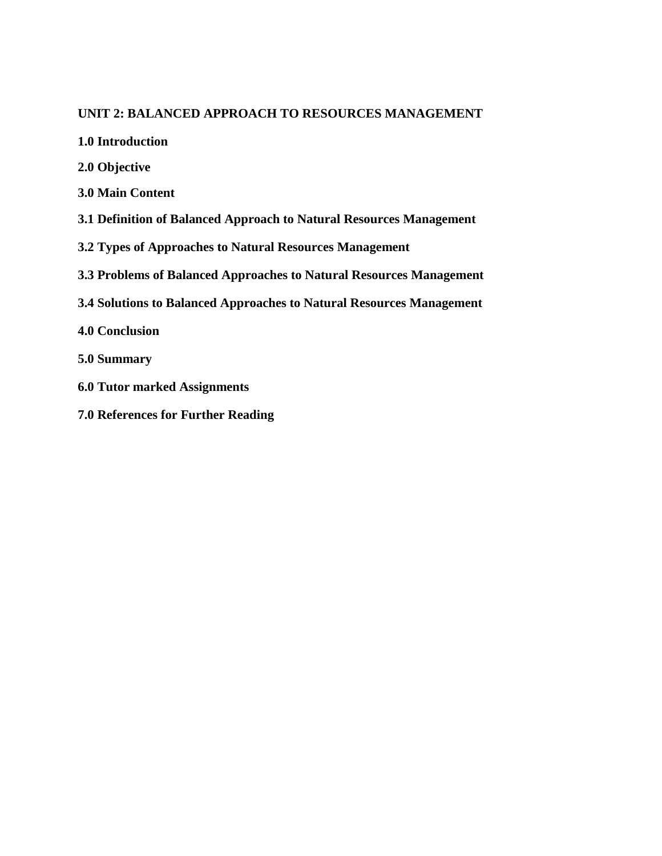### **UNIT 2: BALANCED APPROACH TO RESOURCES MANAGEMENT**

- **1.0 Introduction**
- **2.0 Objective**
- **3.0 Main Content**
- **3.1 Definition of Balanced Approach to Natural Resources Management**
- **3.2 Types of Approaches to Natural Resources Management**
- **3.3 Problems of Balanced Approaches to Natural Resources Management**
- **3.4 Solutions to Balanced Approaches to Natural Resources Management**
- **4.0 Conclusion**
- **5.0 Summary**
- **6.0 Tutor marked Assignments**
- **7.0 References for Further Reading**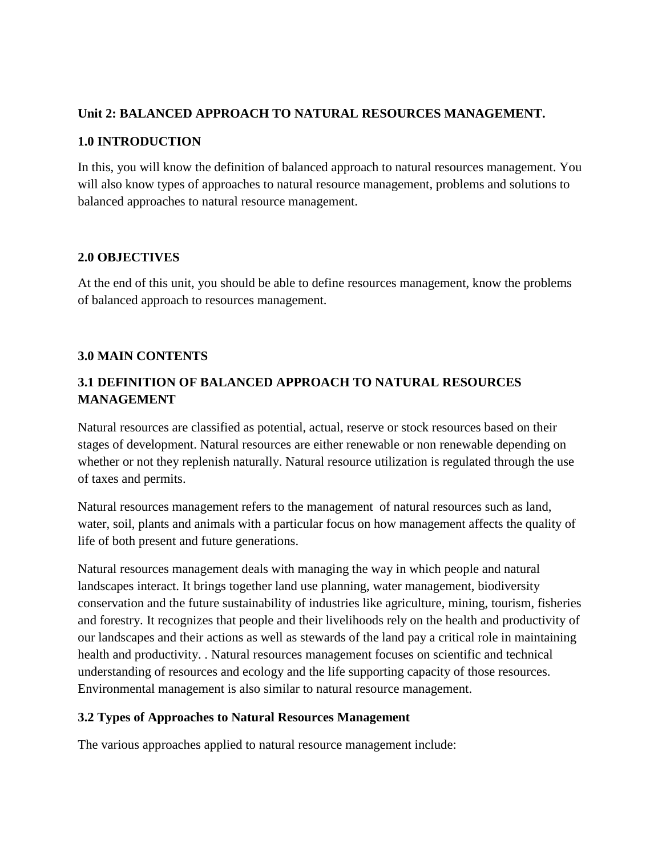### **Unit 2: BALANCED APPROACH TO NATURAL RESOURCES MANAGEMENT.**

## **1.0 INTRODUCTION**

In this, you will know the definition of balanced approach to natural resources management. You will also know types of approaches to natural resource management, problems and solutions to balanced approaches to natural resource management.

### **2.0 OBJECTIVES**

At the end of this unit, you should be able to define resources management, know the problems of balanced approach to resources management.

## **3.0 MAIN CONTENTS**

# **3.1 DEFINITION OF BALANCED APPROACH TO NATURAL RESOURCES MANAGEMENT**

Natural resources are classified as potential, actual, reserve or stock resources based on their stages of development. Natural resources are either renewable or non renewable depending on whether or not they replenish naturally. Natural resource utilization is regulated through the use of taxes and permits.

Natural resources management refers to the management of natural resources such as land, water, soil, plants and animals with a particular focus on how management affects the quality of life of both present and future generations.

Natural resources management deals with managing the way in which people and natural landscapes interact. It brings together land use planning, water management, biodiversity conservation and the future sustainability of industries like agriculture, mining, tourism, fisheries and forestry. It recognizes that people and their livelihoods rely on the health and productivity of our landscapes and their actions as well as stewards of the land pay a critical role in maintaining health and productivity. . Natural resources management focuses on scientific and technical understanding of resources and ecology and the life supporting capacity of those resources. Environmental management is also similar to natural resource management.

## **3.2 Types of Approaches to Natural Resources Management**

The various approaches applied to natural resource management include: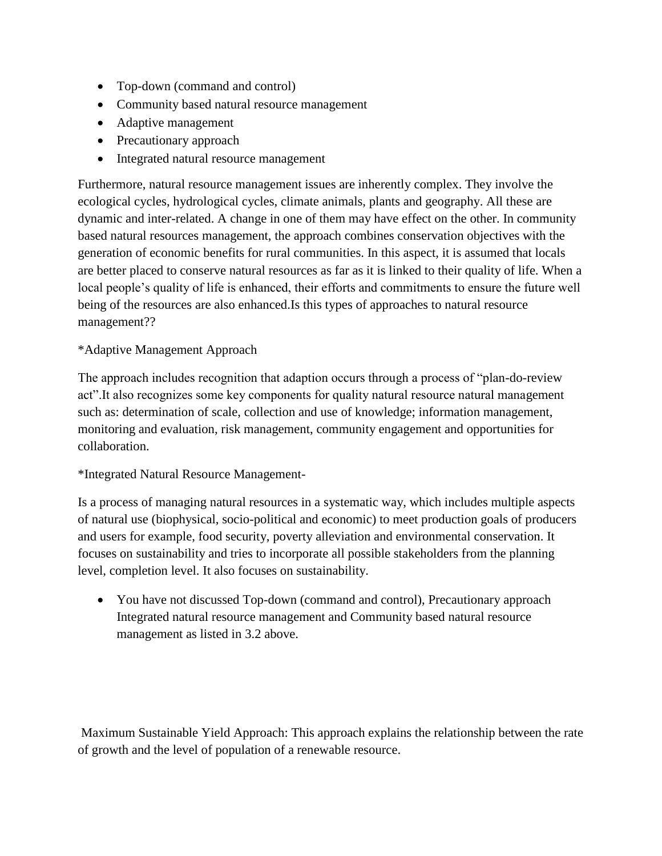- Top-down (command and control)
- Community based natural resource management
- Adaptive management
- Precautionary approach
- Integrated natural resource management

Furthermore, natural resource management issues are inherently complex. They involve the ecological cycles, hydrological cycles, climate animals, plants and geography. All these are dynamic and inter-related. A change in one of them may have effect on the other. In community based natural resources management, the approach combines conservation objectives with the generation of economic benefits for rural communities. In this aspect, it is assumed that locals are better placed to conserve natural resources as far as it is linked to their quality of life. When a local people's quality of life is enhanced, their efforts and commitments to ensure the future well being of the resources are also enhanced.Is this types of approaches to natural resource management??

## \*Adaptive Management Approach

The approach includes recognition that adaption occurs through a process of "plan-do-review act".It also recognizes some key components for quality natural resource natural management such as: determination of scale, collection and use of knowledge; information management, monitoring and evaluation, risk management, community engagement and opportunities for collaboration.

### \*Integrated Natural Resource Management-

Is a process of managing natural resources in a systematic way, which includes multiple aspects of natural use (biophysical, socio-political and economic) to meet production goals of producers and users for example, food security, poverty alleviation and environmental conservation. It focuses on sustainability and tries to incorporate all possible stakeholders from the planning level, completion level. It also focuses on sustainability.

 You have not discussed Top-down (command and control), Precautionary approach Integrated natural resource management and Community based natural resource management as listed in 3.2 above.

Maximum Sustainable Yield Approach: This approach explains the relationship between the rate of growth and the level of population of a renewable resource.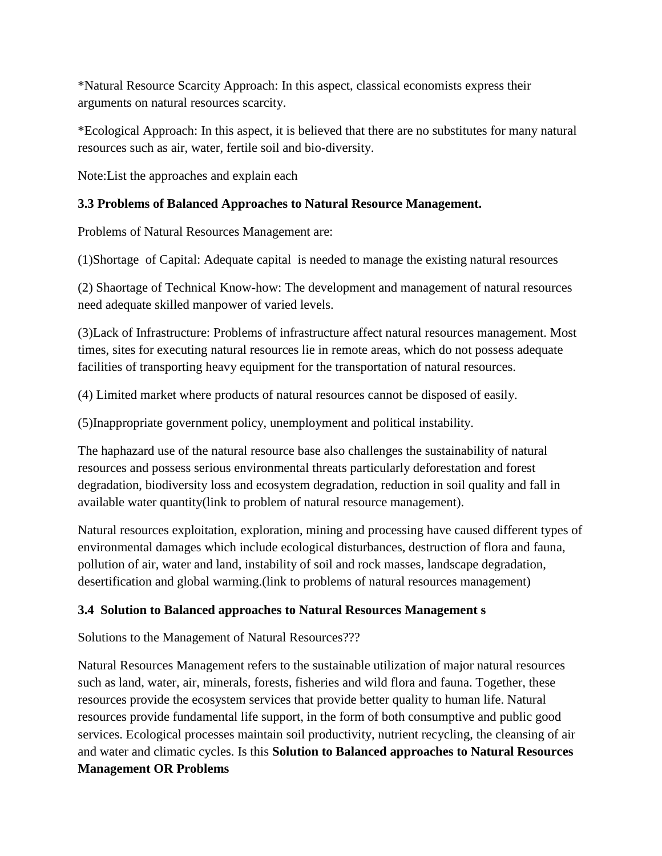\*Natural Resource Scarcity Approach: In this aspect, classical economists express their arguments on natural resources scarcity.

\*Ecological Approach: In this aspect, it is believed that there are no substitutes for many natural resources such as air, water, fertile soil and bio-diversity.

Note:List the approaches and explain each

# **3.3 Problems of Balanced Approaches to Natural Resource Management.**

Problems of Natural Resources Management are:

(1)Shortage of Capital: Adequate capital is needed to manage the existing natural resources

(2) Shaortage of Technical Know-how: The development and management of natural resources need adequate skilled manpower of varied levels.

(3)Lack of Infrastructure: Problems of infrastructure affect natural resources management. Most times, sites for executing natural resources lie in remote areas, which do not possess adequate facilities of transporting heavy equipment for the transportation of natural resources.

(4) Limited market where products of natural resources cannot be disposed of easily.

(5)Inappropriate government policy, unemployment and political instability.

The haphazard use of the natural resource base also challenges the sustainability of natural resources and possess serious environmental threats particularly deforestation and forest degradation, biodiversity loss and ecosystem degradation, reduction in soil quality and fall in available water quantity(link to problem of natural resource management).

Natural resources exploitation, exploration, mining and processing have caused different types of environmental damages which include ecological disturbances, destruction of flora and fauna, pollution of air, water and land, instability of soil and rock masses, landscape degradation, desertification and global warming.(link to problems of natural resources management)

# **3.4 Solution to Balanced approaches to Natural Resources Management s**

Solutions to the Management of Natural Resources???

Natural Resources Management refers to the sustainable utilization of major natural resources such as land, water, air, minerals, forests, fisheries and wild flora and fauna. Together, these resources provide the ecosystem services that provide better quality to human life. Natural resources provide fundamental life support, in the form of both consumptive and public good services. Ecological processes maintain soil productivity, nutrient recycling, the cleansing of air and water and climatic cycles. Is this **Solution to Balanced approaches to Natural Resources Management OR Problems**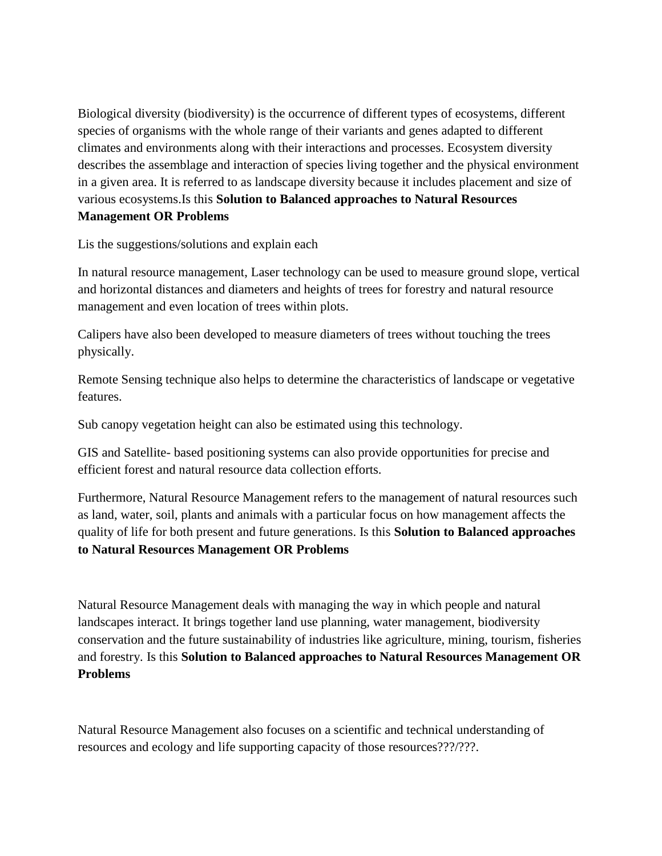Biological diversity (biodiversity) is the occurrence of different types of ecosystems, different species of organisms with the whole range of their variants and genes adapted to different climates and environments along with their interactions and processes. Ecosystem diversity describes the assemblage and interaction of species living together and the physical environment in a given area. It is referred to as landscape diversity because it includes placement and size of various ecosystems.Is this **Solution to Balanced approaches to Natural Resources Management OR Problems**

Lis the suggestions/solutions and explain each

In natural resource management, Laser technology can be used to measure ground slope, vertical and horizontal distances and diameters and heights of trees for forestry and natural resource management and even location of trees within plots.

Calipers have also been developed to measure diameters of trees without touching the trees physically.

Remote Sensing technique also helps to determine the characteristics of landscape or vegetative features.

Sub canopy vegetation height can also be estimated using this technology.

GIS and Satellite- based positioning systems can also provide opportunities for precise and efficient forest and natural resource data collection efforts.

Furthermore, Natural Resource Management refers to the management of natural resources such as land, water, soil, plants and animals with a particular focus on how management affects the quality of life for both present and future generations. Is this **Solution to Balanced approaches to Natural Resources Management OR Problems**

Natural Resource Management deals with managing the way in which people and natural landscapes interact. It brings together land use planning, water management, biodiversity conservation and the future sustainability of industries like agriculture, mining, tourism, fisheries and forestry. Is this **Solution to Balanced approaches to Natural Resources Management OR Problems**

Natural Resource Management also focuses on a scientific and technical understanding of resources and ecology and life supporting capacity of those resources???/???.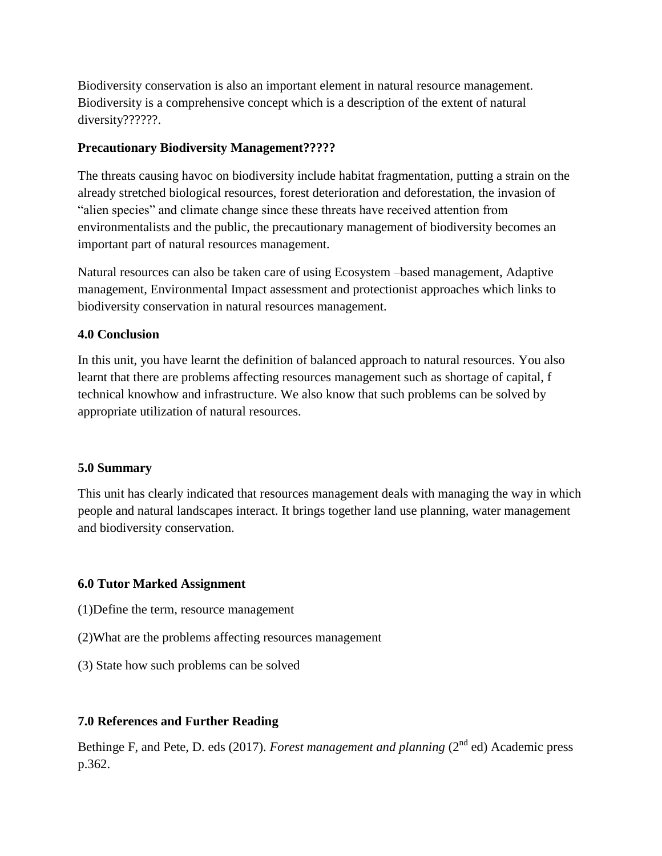Biodiversity conservation is also an important element in natural resource management. Biodiversity is a comprehensive concept which is a description of the extent of natural diversity??????.

## **Precautionary Biodiversity Management?????**

The threats causing havoc on biodiversity include habitat fragmentation, putting a strain on the already stretched biological resources, forest deterioration and deforestation, the invasion of "alien species" and climate change since these threats have received attention from environmentalists and the public, the precautionary management of biodiversity becomes an important part of natural resources management.

Natural resources can also be taken care of using Ecosystem –based management, Adaptive management, Environmental Impact assessment and protectionist approaches which links to biodiversity conservation in natural resources management.

## **4.0 Conclusion**

In this unit, you have learnt the definition of balanced approach to natural resources. You also learnt that there are problems affecting resources management such as shortage of capital, f technical knowhow and infrastructure. We also know that such problems can be solved by appropriate utilization of natural resources.

## **5.0 Summary**

This unit has clearly indicated that resources management deals with managing the way in which people and natural landscapes interact. It brings together land use planning, water management and biodiversity conservation.

# **6.0 Tutor Marked Assignment**

- (1)Define the term, resource management
- (2)What are the problems affecting resources management
- (3) State how such problems can be solved

# **7.0 References and Further Reading**

Bethinge F, and Pete, D. eds (2017). *Forest management and planning* (2<sup>nd</sup> ed) Academic press p.362.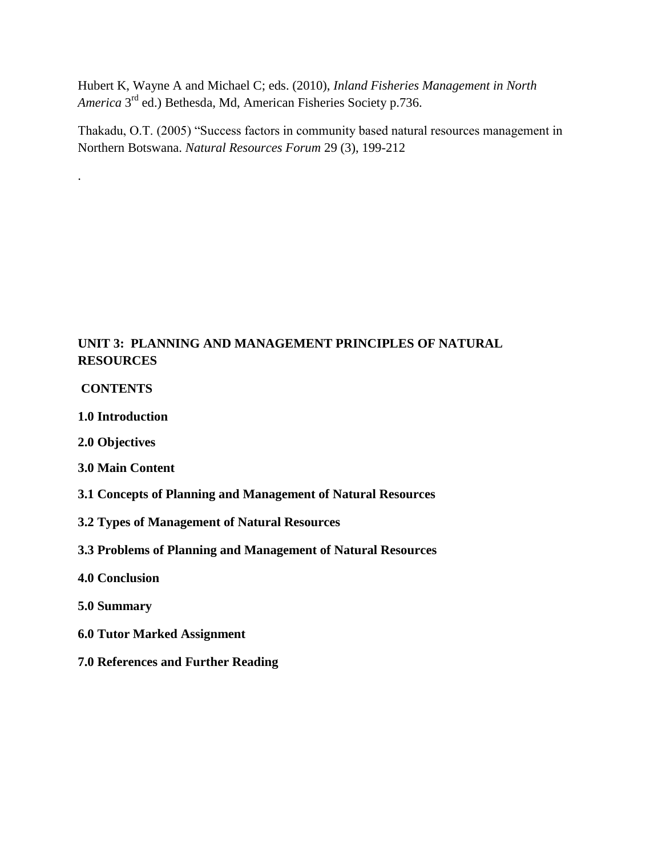Hubert K, Wayne A and Michael C; eds. (2010), *Inland Fisheries Management in North*  America 3<sup>rd</sup> ed.) Bethesda, Md, American Fisheries Society p.736.

Thakadu, O.T. (2005) "Success factors in community based natural resources management in Northern Botswana. *Natural Resources Forum* 29 (3), 199-212

# **UNIT 3: PLANNING AND MANAGEMENT PRINCIPLES OF NATURAL RESOURCES**

### **CONTENTS**

.

**1.0 Introduction**

- **2.0 Objectives**
- **3.0 Main Content**
- **3.1 Concepts of Planning and Management of Natural Resources**
- **3.2 Types of Management of Natural Resources**
- **3.3 Problems of Planning and Management of Natural Resources**
- **4.0 Conclusion**
- **5.0 Summary**
- **6.0 Tutor Marked Assignment**
- **7.0 References and Further Reading**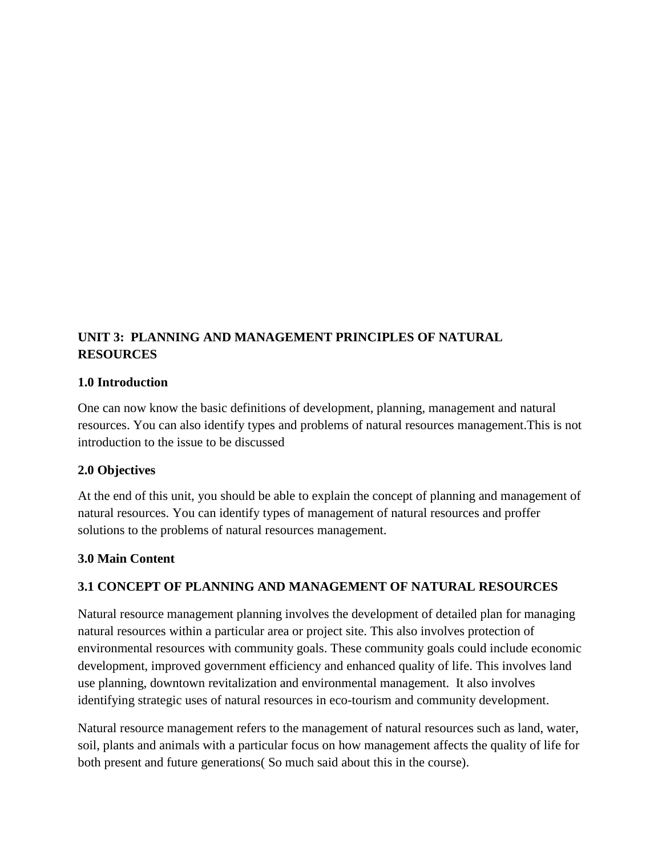# **UNIT 3: PLANNING AND MANAGEMENT PRINCIPLES OF NATURAL RESOURCES**

### **1.0 Introduction**

One can now know the basic definitions of development, planning, management and natural resources. You can also identify types and problems of natural resources management.This is not introduction to the issue to be discussed

## **2.0 Objectives**

At the end of this unit, you should be able to explain the concept of planning and management of natural resources. You can identify types of management of natural resources and proffer solutions to the problems of natural resources management.

## **3.0 Main Content**

## **3.1 CONCEPT OF PLANNING AND MANAGEMENT OF NATURAL RESOURCES**

Natural resource management planning involves the development of detailed plan for managing natural resources within a particular area or project site. This also involves protection of environmental resources with community goals. These community goals could include economic development, improved government efficiency and enhanced quality of life. This involves land use planning, downtown revitalization and environmental management. It also involves identifying strategic uses of natural resources in eco-tourism and community development.

Natural resource management refers to the management of natural resources such as land, water, soil, plants and animals with a particular focus on how management affects the quality of life for both present and future generations( So much said about this in the course).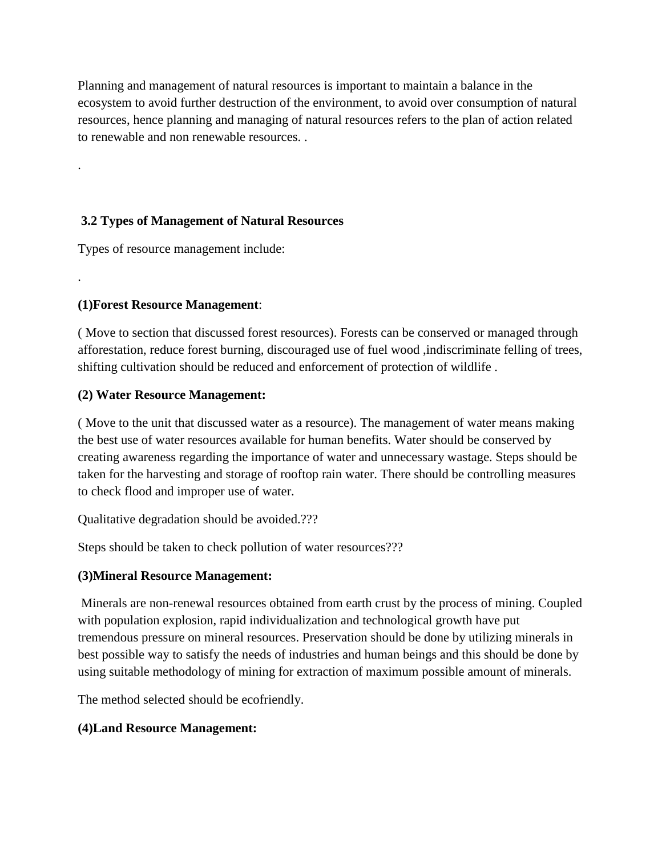Planning and management of natural resources is important to maintain a balance in the ecosystem to avoid further destruction of the environment, to avoid over consumption of natural resources, hence planning and managing of natural resources refers to the plan of action related to renewable and non renewable resources. .

## **3.2 Types of Management of Natural Resources**

Types of resource management include:

# **(1)Forest Resource Management**:

.

.

( Move to section that discussed forest resources). Forests can be conserved or managed through afforestation, reduce forest burning, discouraged use of fuel wood ,indiscriminate felling of trees, shifting cultivation should be reduced and enforcement of protection of wildlife .

## **(2) Water Resource Management:**

( Move to the unit that discussed water as a resource). The management of water means making the best use of water resources available for human benefits. Water should be conserved by creating awareness regarding the importance of water and unnecessary wastage. Steps should be taken for the harvesting and storage of rooftop rain water. There should be controlling measures to check flood and improper use of water.

Qualitative degradation should be avoided.???

Steps should be taken to check pollution of water resources???

# **(3)Mineral Resource Management:**

Minerals are non-renewal resources obtained from earth crust by the process of mining. Coupled with population explosion, rapid individualization and technological growth have put tremendous pressure on mineral resources. Preservation should be done by utilizing minerals in best possible way to satisfy the needs of industries and human beings and this should be done by using suitable methodology of mining for extraction of maximum possible amount of minerals.

The method selected should be ecofriendly.

# **(4)Land Resource Management:**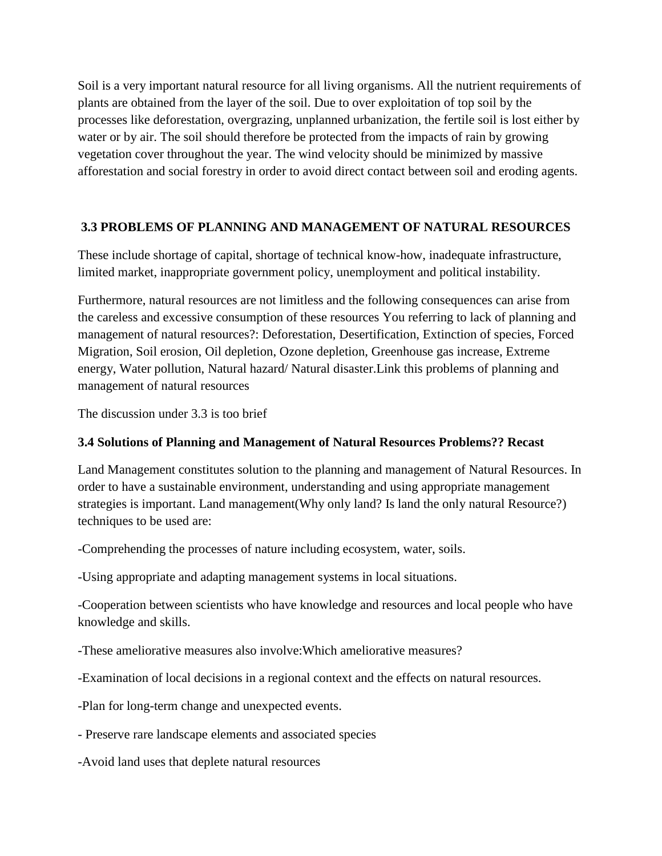Soil is a very important natural resource for all living organisms. All the nutrient requirements of plants are obtained from the layer of the soil. Due to over exploitation of top soil by the processes like deforestation, overgrazing, unplanned urbanization, the fertile soil is lost either by water or by air. The soil should therefore be protected from the impacts of rain by growing vegetation cover throughout the year. The wind velocity should be minimized by massive afforestation and social forestry in order to avoid direct contact between soil and eroding agents.

## **3.3 PROBLEMS OF PLANNING AND MANAGEMENT OF NATURAL RESOURCES**

These include shortage of capital, shortage of technical know-how, inadequate infrastructure, limited market, inappropriate government policy, unemployment and political instability.

Furthermore, natural resources are not limitless and the following consequences can arise from the careless and excessive consumption of these resources You referring to lack of planning and management of natural resources?: Deforestation, Desertification, Extinction of species, Forced Migration, Soil erosion, Oil depletion, Ozone depletion, Greenhouse gas increase, Extreme energy, Water pollution, Natural hazard/ Natural disaster.Link this problems of planning and management of natural resources

The discussion under 3.3 is too brief

# **3.4 Solutions of Planning and Management of Natural Resources Problems?? Recast**

Land Management constitutes solution to the planning and management of Natural Resources. In order to have a sustainable environment, understanding and using appropriate management strategies is important. Land management(Why only land? Is land the only natural Resource?) techniques to be used are:

-Comprehending the processes of nature including ecosystem, water, soils.

-Using appropriate and adapting management systems in local situations.

-Cooperation between scientists who have knowledge and resources and local people who have knowledge and skills.

-These ameliorative measures also involve:Which ameliorative measures?

-Examination of local decisions in a regional context and the effects on natural resources.

-Plan for long-term change and unexpected events.

- Preserve rare landscape elements and associated species

-Avoid land uses that deplete natural resources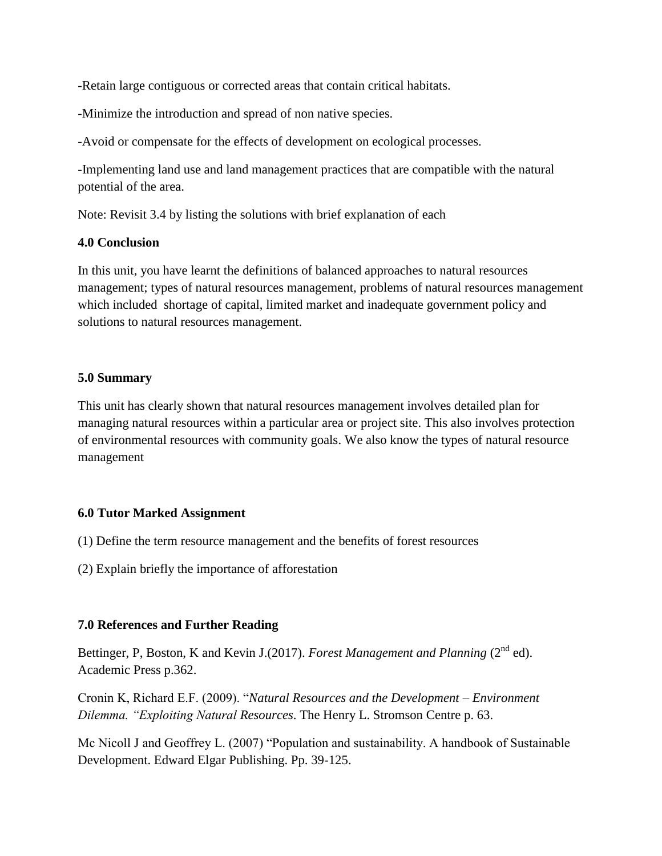-Retain large contiguous or corrected areas that contain critical habitats.

-Minimize the introduction and spread of non native species.

-Avoid or compensate for the effects of development on ecological processes.

-Implementing land use and land management practices that are compatible with the natural potential of the area.

Note: Revisit 3.4 by listing the solutions with brief explanation of each

### **4.0 Conclusion**

In this unit, you have learnt the definitions of balanced approaches to natural resources management; types of natural resources management, problems of natural resources management which included shortage of capital, limited market and inadequate government policy and solutions to natural resources management.

### **5.0 Summary**

This unit has clearly shown that natural resources management involves detailed plan for managing natural resources within a particular area or project site. This also involves protection of environmental resources with community goals. We also know the types of natural resource management

## **6.0 Tutor Marked Assignment**

(1) Define the term resource management and the benefits of forest resources

(2) Explain briefly the importance of afforestation

## **7.0 References and Further Reading**

Bettinger, P, Boston, K and Kevin J.(2017). *Forest Management and Planning* (2<sup>nd</sup> ed). Academic Press p.362.

Cronin K, Richard E.F. (2009). "*Natural Resources and the Development – Environment Dilemma. "Exploiting Natural Resources*. The Henry L. Stromson Centre p. 63.

Mc Nicoll J and Geoffrey L. (2007) "Population and sustainability. A handbook of Sustainable Development. Edward Elgar Publishing. Pp. 39-125.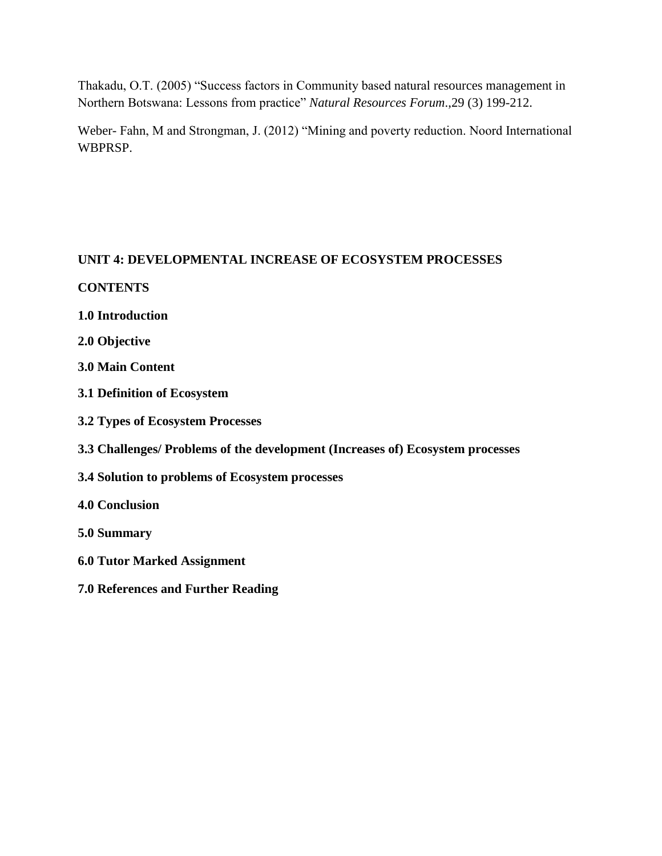Thakadu, O.T. (2005) "Success factors in Community based natural resources management in Northern Botswana: Lessons from practice" *Natural Resources Forum*.,29 (3) 199-212.

Weber- Fahn, M and Strongman, J. (2012) "Mining and poverty reduction. Noord International WBPRSP.

## **UNIT 4: DEVELOPMENTAL INCREASE OF ECOSYSTEM PROCESSES**

## **CONTENTS**

- **1.0 Introduction**
- **2.0 Objective**
- **3.0 Main Content**
- **3.1 Definition of Ecosystem**
- **3.2 Types of Ecosystem Processes**
- **3.3 Challenges/ Problems of the development (Increases of) Ecosystem processes**
- **3.4 Solution to problems of Ecosystem processes**
- **4.0 Conclusion**
- **5.0 Summary**
- **6.0 Tutor Marked Assignment**
- **7.0 References and Further Reading**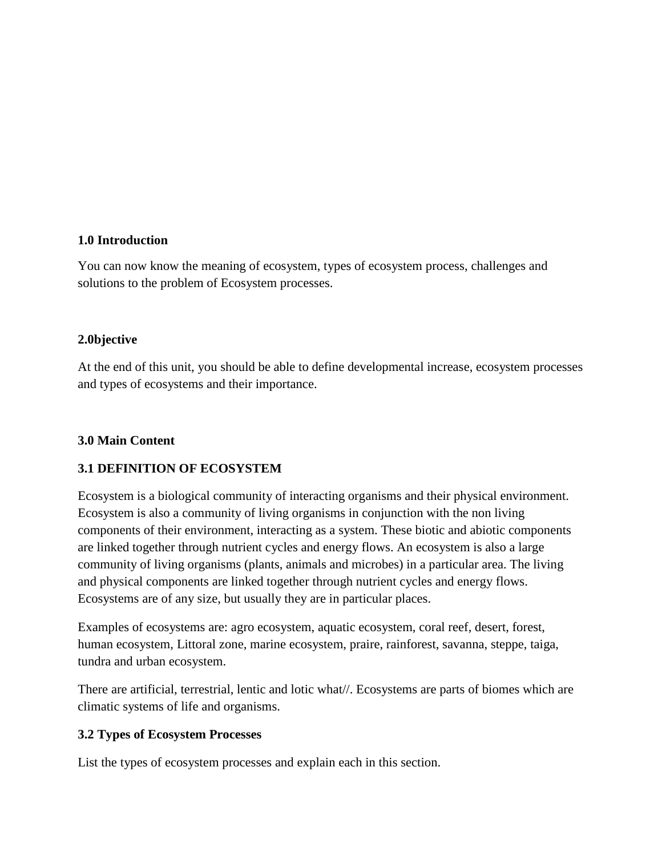## **1.0 Introduction**

You can now know the meaning of ecosystem, types of ecosystem process, challenges and solutions to the problem of Ecosystem processes.

## **2.0bjective**

At the end of this unit, you should be able to define developmental increase, ecosystem processes and types of ecosystems and their importance.

## **3.0 Main Content**

## **3.1 DEFINITION OF ECOSYSTEM**

Ecosystem is a biological community of interacting organisms and their physical environment. Ecosystem is also a community of living organisms in conjunction with the non living components of their environment, interacting as a system. These biotic and abiotic components are linked together through nutrient cycles and energy flows. An ecosystem is also a large community of living organisms (plants, animals and microbes) in a particular area. The living and physical components are linked together through nutrient cycles and energy flows. Ecosystems are of any size, but usually they are in particular places.

Examples of ecosystems are: agro ecosystem, aquatic ecosystem, coral reef, desert, forest, human ecosystem, Littoral zone, marine ecosystem, praire, rainforest, savanna, steppe, taiga, tundra and urban ecosystem.

There are artificial, terrestrial, lentic and lotic what//. Ecosystems are parts of biomes which are climatic systems of life and organisms.

## **3.2 Types of Ecosystem Processes**

List the types of ecosystem processes and explain each in this section.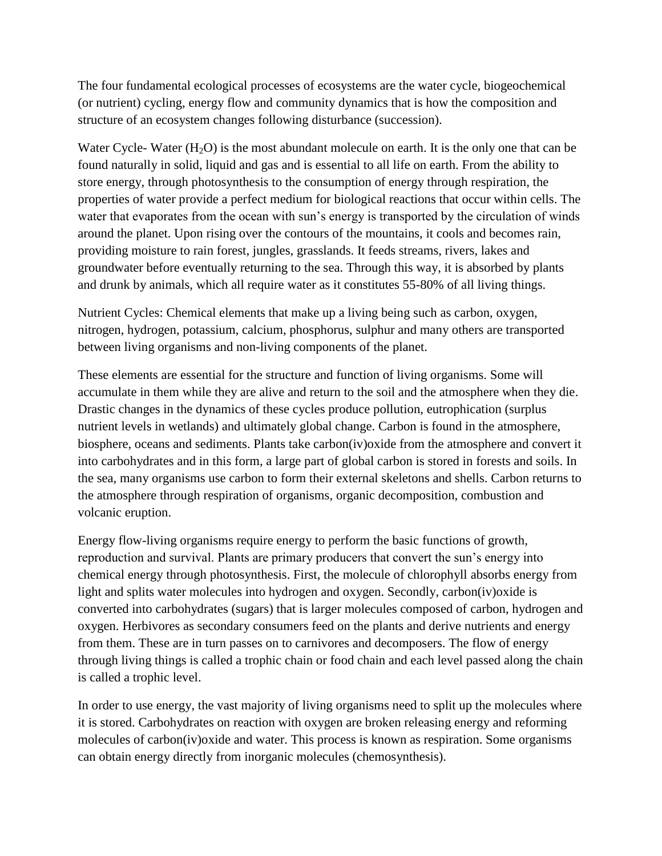The four fundamental ecological processes of ecosystems are the water cycle, biogeochemical (or nutrient) cycling, energy flow and community dynamics that is how the composition and structure of an ecosystem changes following disturbance (succession).

Water Cycle- Water  $(H_2O)$  is the most abundant molecule on earth. It is the only one that can be found naturally in solid, liquid and gas and is essential to all life on earth. From the ability to store energy, through photosynthesis to the consumption of energy through respiration, the properties of water provide a perfect medium for biological reactions that occur within cells. The water that evaporates from the ocean with sun's energy is transported by the circulation of winds around the planet. Upon rising over the contours of the mountains, it cools and becomes rain, providing moisture to rain forest, jungles, grasslands. It feeds streams, rivers, lakes and groundwater before eventually returning to the sea. Through this way, it is absorbed by plants and drunk by animals, which all require water as it constitutes 55-80% of all living things.

Nutrient Cycles: Chemical elements that make up a living being such as carbon, oxygen, nitrogen, hydrogen, potassium, calcium, phosphorus, sulphur and many others are transported between living organisms and non-living components of the planet.

These elements are essential for the structure and function of living organisms. Some will accumulate in them while they are alive and return to the soil and the atmosphere when they die. Drastic changes in the dynamics of these cycles produce pollution, eutrophication (surplus nutrient levels in wetlands) and ultimately global change. Carbon is found in the atmosphere, biosphere, oceans and sediments. Plants take carbon(iv)oxide from the atmosphere and convert it into carbohydrates and in this form, a large part of global carbon is stored in forests and soils. In the sea, many organisms use carbon to form their external skeletons and shells. Carbon returns to the atmosphere through respiration of organisms, organic decomposition, combustion and volcanic eruption.

Energy flow-living organisms require energy to perform the basic functions of growth, reproduction and survival. Plants are primary producers that convert the sun's energy into chemical energy through photosynthesis. First, the molecule of chlorophyll absorbs energy from light and splits water molecules into hydrogen and oxygen. Secondly, carbon(iv)oxide is converted into carbohydrates (sugars) that is larger molecules composed of carbon, hydrogen and oxygen. Herbivores as secondary consumers feed on the plants and derive nutrients and energy from them. These are in turn passes on to carnivores and decomposers. The flow of energy through living things is called a trophic chain or food chain and each level passed along the chain is called a trophic level.

In order to use energy, the vast majority of living organisms need to split up the molecules where it is stored. Carbohydrates on reaction with oxygen are broken releasing energy and reforming molecules of carbon(iv)oxide and water. This process is known as respiration. Some organisms can obtain energy directly from inorganic molecules (chemosynthesis).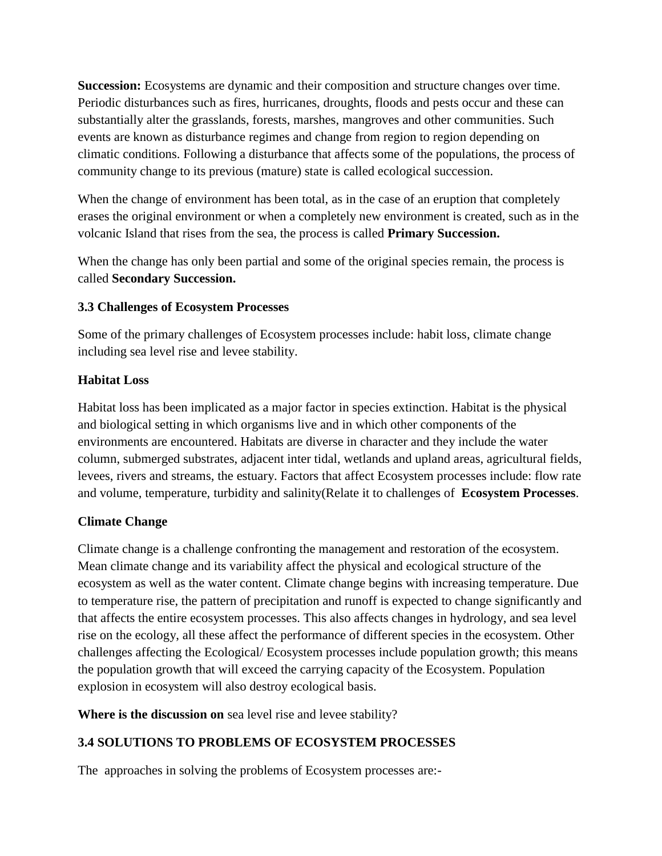**Succession:** Ecosystems are dynamic and their composition and structure changes over time. Periodic disturbances such as fires, hurricanes, droughts, floods and pests occur and these can substantially alter the grasslands, forests, marshes, mangroves and other communities. Such events are known as disturbance regimes and change from region to region depending on climatic conditions. Following a disturbance that affects some of the populations, the process of community change to its previous (mature) state is called ecological succession.

When the change of environment has been total, as in the case of an eruption that completely erases the original environment or when a completely new environment is created, such as in the volcanic Island that rises from the sea, the process is called **Primary Succession.**

When the change has only been partial and some of the original species remain, the process is called **Secondary Succession.**

## **3.3 Challenges of Ecosystem Processes**

Some of the primary challenges of Ecosystem processes include: habit loss, climate change including sea level rise and levee stability.

## **Habitat Loss**

Habitat loss has been implicated as a major factor in species extinction. Habitat is the physical and biological setting in which organisms live and in which other components of the environments are encountered. Habitats are diverse in character and they include the water column, submerged substrates, adjacent inter tidal, wetlands and upland areas, agricultural fields, levees, rivers and streams, the estuary. Factors that affect Ecosystem processes include: flow rate and volume, temperature, turbidity and salinity(Relate it to challenges of **Ecosystem Processes**.

# **Climate Change**

Climate change is a challenge confronting the management and restoration of the ecosystem. Mean climate change and its variability affect the physical and ecological structure of the ecosystem as well as the water content. Climate change begins with increasing temperature. Due to temperature rise, the pattern of precipitation and runoff is expected to change significantly and that affects the entire ecosystem processes. This also affects changes in hydrology, and sea level rise on the ecology, all these affect the performance of different species in the ecosystem. Other challenges affecting the Ecological/ Ecosystem processes include population growth; this means the population growth that will exceed the carrying capacity of the Ecosystem. Population explosion in ecosystem will also destroy ecological basis.

**Where is the discussion on** sea level rise and levee stability?

# **3.4 SOLUTIONS TO PROBLEMS OF ECOSYSTEM PROCESSES**

The approaches in solving the problems of Ecosystem processes are:-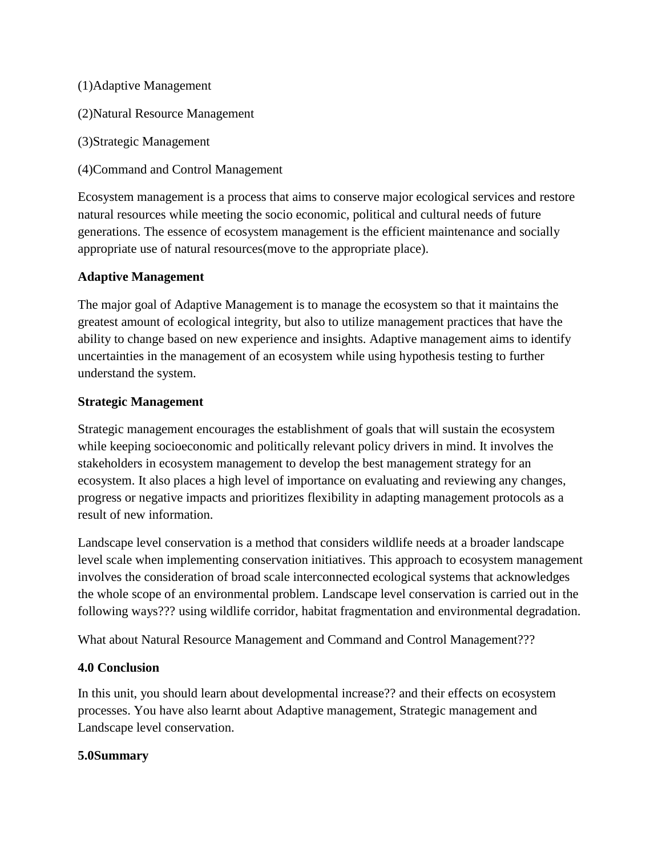- (1)Adaptive Management
- (2)Natural Resource Management
- (3)Strategic Management
- (4)Command and Control Management

Ecosystem management is a process that aims to conserve major ecological services and restore natural resources while meeting the socio economic, political and cultural needs of future generations. The essence of ecosystem management is the efficient maintenance and socially appropriate use of natural resources(move to the appropriate place).

### **Adaptive Management**

The major goal of Adaptive Management is to manage the ecosystem so that it maintains the greatest amount of ecological integrity, but also to utilize management practices that have the ability to change based on new experience and insights. Adaptive management aims to identify uncertainties in the management of an ecosystem while using hypothesis testing to further understand the system.

### **Strategic Management**

Strategic management encourages the establishment of goals that will sustain the ecosystem while keeping socioeconomic and politically relevant policy drivers in mind. It involves the stakeholders in ecosystem management to develop the best management strategy for an ecosystem. It also places a high level of importance on evaluating and reviewing any changes, progress or negative impacts and prioritizes flexibility in adapting management protocols as a result of new information.

Landscape level conservation is a method that considers wildlife needs at a broader landscape level scale when implementing conservation initiatives. This approach to ecosystem management involves the consideration of broad scale interconnected ecological systems that acknowledges the whole scope of an environmental problem. Landscape level conservation is carried out in the following ways??? using wildlife corridor, habitat fragmentation and environmental degradation.

What about Natural Resource Management and Command and Control Management???

## **4.0 Conclusion**

In this unit, you should learn about developmental increase?? and their effects on ecosystem processes. You have also learnt about Adaptive management, Strategic management and Landscape level conservation.

#### **5.0Summary**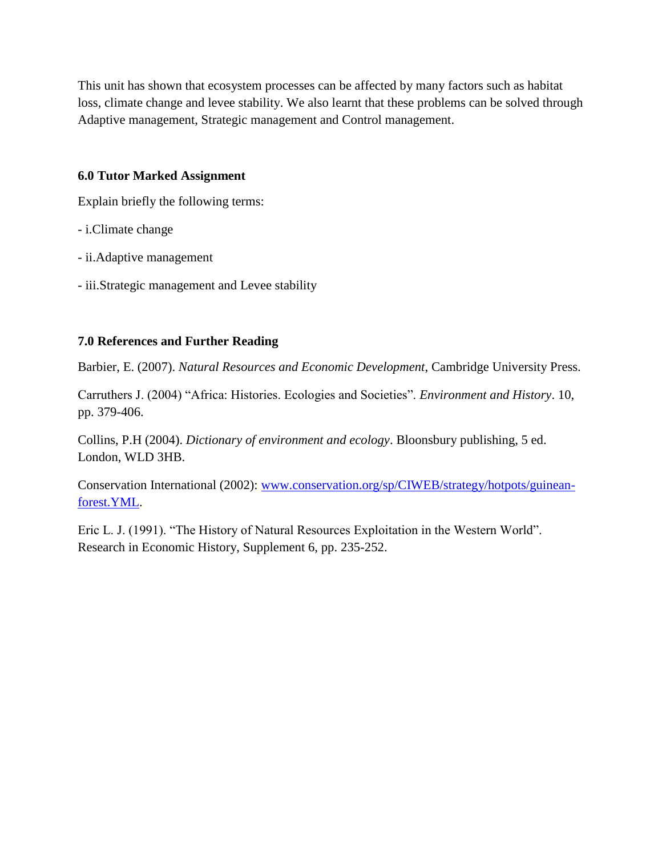This unit has shown that ecosystem processes can be affected by many factors such as habitat loss, climate change and levee stability. We also learnt that these problems can be solved through Adaptive management, Strategic management and Control management.

## **6.0 Tutor Marked Assignment**

Explain briefly the following terms:

- i.Climate change
- ii.Adaptive management
- iii.Strategic management and Levee stability

# **7.0 References and Further Reading**

Barbier, E. (2007). *Natural Resources and Economic Development*, Cambridge University Press.

Carruthers J. (2004) "Africa: Histories. Ecologies and Societies". *Environment and History*. 10, pp. 379-406.

Collins, P.H (2004). *Dictionary of environment and ecology*. Bloonsbury publishing, 5 ed. London, WLD 3HB.

Conservation International (2002): [www.conservation.org/sp/CIWEB/strategy/hotpots/guinean](http://www.conservation.org/sp/CIWEB/strategy/hotpots/guinean-forest.YML)[forest.YML.](http://www.conservation.org/sp/CIWEB/strategy/hotpots/guinean-forest.YML)

Eric L. J. (1991). "The History of Natural Resources Exploitation in the Western World". Research in Economic History, Supplement 6, pp. 235-252.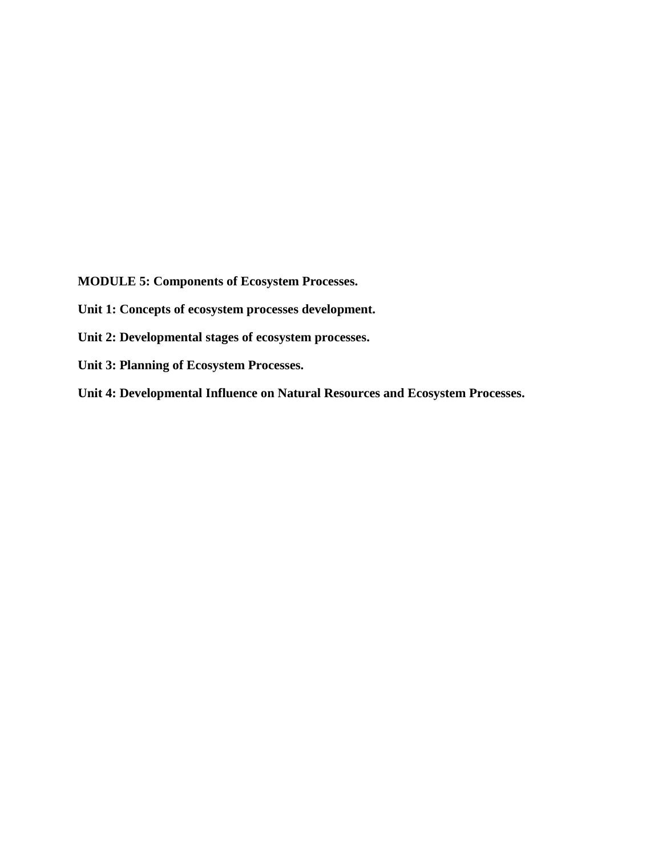**MODULE 5: Components of Ecosystem Processes.**

**Unit 1: Concepts of ecosystem processes development.**

**Unit 2: Developmental stages of ecosystem processes.**

**Unit 3: Planning of Ecosystem Processes.**

**Unit 4: Developmental Influence on Natural Resources and Ecosystem Processes.**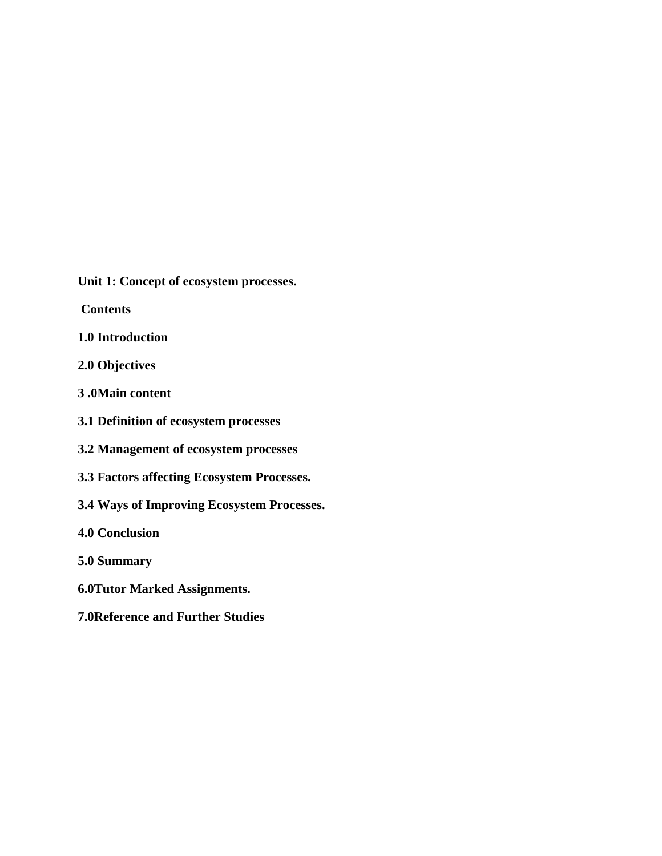**Unit 1: Concept of ecosystem processes.**

**Contents**

- **1.0 Introduction**
- **2.0 Objectives**
- **3 .0Main content**
- **3.1 Definition of ecosystem processes**
- **3.2 Management of ecosystem processes**
- **3.3 Factors affecting Ecosystem Processes.**
- **3.4 Ways of Improving Ecosystem Processes.**
- **4.0 Conclusion**
- **5.0 Summary**
- **6.0Tutor Marked Assignments.**
- **7.0Reference and Further Studies**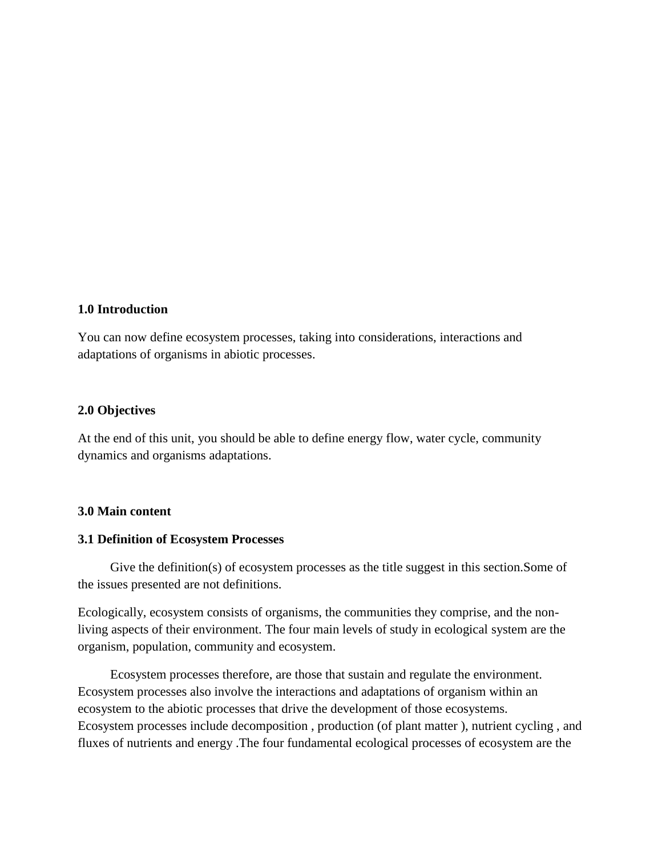### **1.0 Introduction**

You can now define ecosystem processes, taking into considerations, interactions and adaptations of organisms in abiotic processes.

#### **2.0 Objectives**

At the end of this unit, you should be able to define energy flow, water cycle, community dynamics and organisms adaptations.

#### **3.0 Main content**

#### **3.1 Definition of Ecosystem Processes**

 Give the definition(s) of ecosystem processes as the title suggest in this section.Some of the issues presented are not definitions.

Ecologically, ecosystem consists of organisms, the communities they comprise, and the nonliving aspects of their environment. The four main levels of study in ecological system are the organism, population, community and ecosystem.

 Ecosystem processes therefore, are those that sustain and regulate the environment. Ecosystem processes also involve the interactions and adaptations of organism within an ecosystem to the abiotic processes that drive the development of those ecosystems. Ecosystem processes include decomposition , production (of plant matter ), nutrient cycling , and fluxes of nutrients and energy .The four fundamental ecological processes of ecosystem are the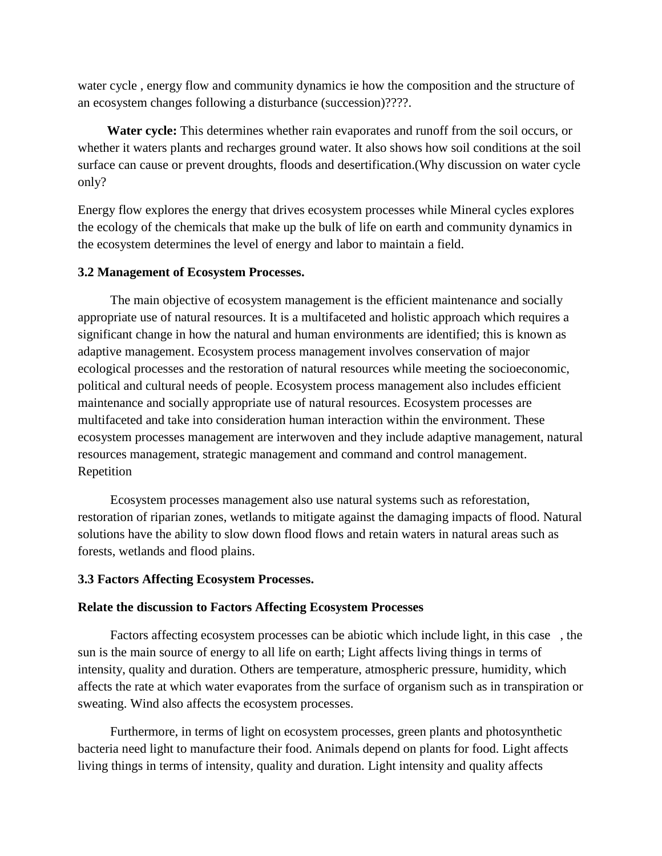water cycle , energy flow and community dynamics ie how the composition and the structure of an ecosystem changes following a disturbance (succession)????.

 **Water cycle:** This determines whether rain evaporates and runoff from the soil occurs, or whether it waters plants and recharges ground water. It also shows how soil conditions at the soil surface can cause or prevent droughts, floods and desertification.(Why discussion on water cycle only?

Energy flow explores the energy that drives ecosystem processes while Mineral cycles explores the ecology of the chemicals that make up the bulk of life on earth and community dynamics in the ecosystem determines the level of energy and labor to maintain a field.

#### **3.2 Management of Ecosystem Processes.**

 The main objective of ecosystem management is the efficient maintenance and socially appropriate use of natural resources. It is a multifaceted and holistic approach which requires a significant change in how the natural and human environments are identified; this is known as adaptive management. Ecosystem process management involves conservation of major ecological processes and the restoration of natural resources while meeting the socioeconomic, political and cultural needs of people. Ecosystem process management also includes efficient maintenance and socially appropriate use of natural resources. Ecosystem processes are multifaceted and take into consideration human interaction within the environment. These ecosystem processes management are interwoven and they include adaptive management, natural resources management, strategic management and command and control management. Repetition

 Ecosystem processes management also use natural systems such as reforestation, restoration of riparian zones, wetlands to mitigate against the damaging impacts of flood. Natural solutions have the ability to slow down flood flows and retain waters in natural areas such as forests, wetlands and flood plains.

#### **3.3 Factors Affecting Ecosystem Processes.**

#### **Relate the discussion to Factors Affecting Ecosystem Processes**

 Factors affecting ecosystem processes can be abiotic which include light, in this case , the sun is the main source of energy to all life on earth; Light affects living things in terms of intensity, quality and duration. Others are temperature, atmospheric pressure, humidity, which affects the rate at which water evaporates from the surface of organism such as in transpiration or sweating. Wind also affects the ecosystem processes.

 Furthermore, in terms of light on ecosystem processes, green plants and photosynthetic bacteria need light to manufacture their food. Animals depend on plants for food. Light affects living things in terms of intensity, quality and duration. Light intensity and quality affects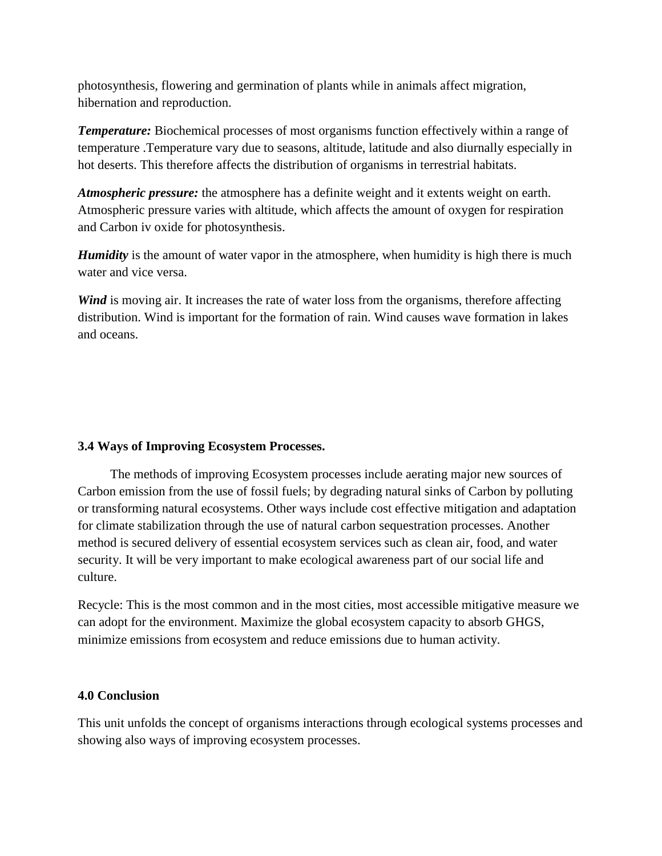photosynthesis, flowering and germination of plants while in animals affect migration, hibernation and reproduction.

**Temperature:** Biochemical processes of most organisms function effectively within a range of temperature .Temperature vary due to seasons, altitude, latitude and also diurnally especially in hot deserts. This therefore affects the distribution of organisms in terrestrial habitats.

*Atmospheric pressure:* the atmosphere has a definite weight and it extents weight on earth. Atmospheric pressure varies with altitude, which affects the amount of oxygen for respiration and Carbon iv oxide for photosynthesis.

*Humidity* is the amount of water vapor in the atmosphere, when humidity is high there is much water and vice versa.

*Wind* is moving air. It increases the rate of water loss from the organisms, therefore affecting distribution. Wind is important for the formation of rain. Wind causes wave formation in lakes and oceans.

## **3.4 Ways of Improving Ecosystem Processes.**

 The methods of improving Ecosystem processes include aerating major new sources of Carbon emission from the use of fossil fuels; by degrading natural sinks of Carbon by polluting or transforming natural ecosystems. Other ways include cost effective mitigation and adaptation for climate stabilization through the use of natural carbon sequestration processes. Another method is secured delivery of essential ecosystem services such as clean air, food, and water security. It will be very important to make ecological awareness part of our social life and culture.

Recycle: This is the most common and in the most cities, most accessible mitigative measure we can adopt for the environment. Maximize the global ecosystem capacity to absorb GHGS, minimize emissions from ecosystem and reduce emissions due to human activity.

## **4.0 Conclusion**

This unit unfolds the concept of organisms interactions through ecological systems processes and showing also ways of improving ecosystem processes.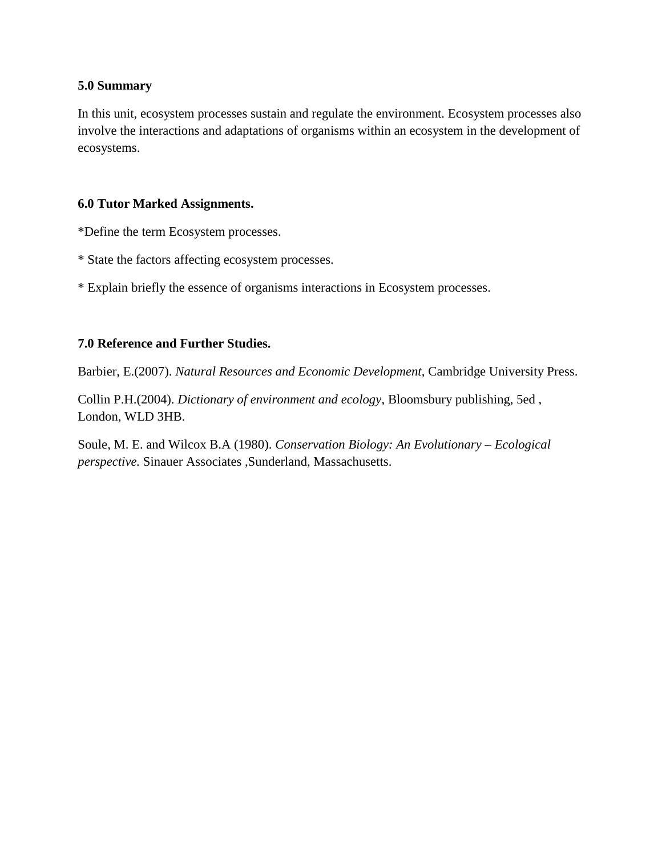## **5.0 Summary**

In this unit, ecosystem processes sustain and regulate the environment. Ecosystem processes also involve the interactions and adaptations of organisms within an ecosystem in the development of ecosystems.

## **6.0 Tutor Marked Assignments.**

\*Define the term Ecosystem processes.

- \* State the factors affecting ecosystem processes.
- \* Explain briefly the essence of organisms interactions in Ecosystem processes.

## **7.0 Reference and Further Studies.**

Barbier, E.(2007). *Natural Resources and Economic Development*, Cambridge University Press.

Collin P.H.(2004). *Dictionary of environment and ecology*, Bloomsbury publishing, 5ed , London, WLD 3HB.

Soule, M. E. and Wilcox B.A (1980). *Conservation Biology: An Evolutionary – Ecological perspective.* Sinauer Associates ,Sunderland, Massachusetts.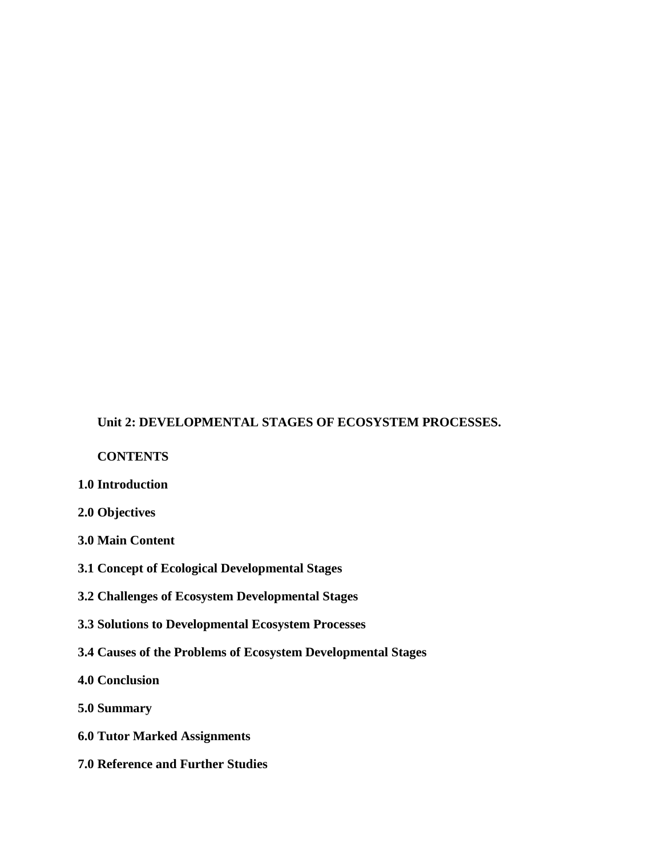## **Unit 2: DEVELOPMENTAL STAGES OF ECOSYSTEM PROCESSES.**

### **CONTENTS**

- **1.0 Introduction**
- **2.0 Objectives**
- **3.0 Main Content**
- **3.1 Concept of Ecological Developmental Stages**
- **3.2 Challenges of Ecosystem Developmental Stages**
- **3.3 Solutions to Developmental Ecosystem Processes**
- **3.4 Causes of the Problems of Ecosystem Developmental Stages**
- **4.0 Conclusion**
- **5.0 Summary**
- **6.0 Tutor Marked Assignments**
- **7.0 Reference and Further Studies**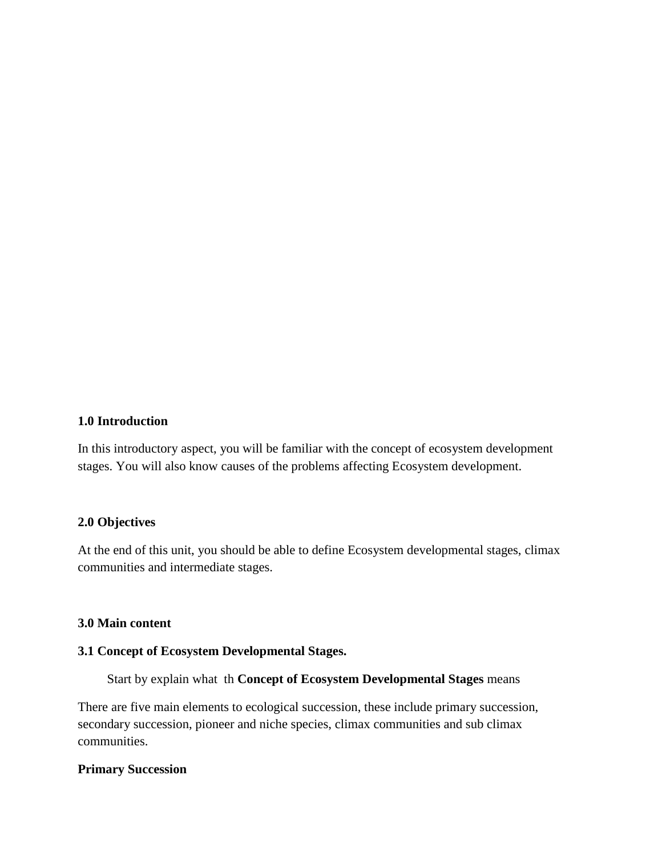#### **1.0 Introduction**

In this introductory aspect, you will be familiar with the concept of ecosystem development stages. You will also know causes of the problems affecting Ecosystem development.

### **2.0 Objectives**

At the end of this unit, you should be able to define Ecosystem developmental stages, climax communities and intermediate stages.

#### **3.0 Main content**

#### **3.1 Concept of Ecosystem Developmental Stages.**

Start by explain what th **Concept of Ecosystem Developmental Stages** means

There are five main elements to ecological succession, these include primary succession, secondary succession, pioneer and niche species, climax communities and sub climax communities.

## **Primary Succession**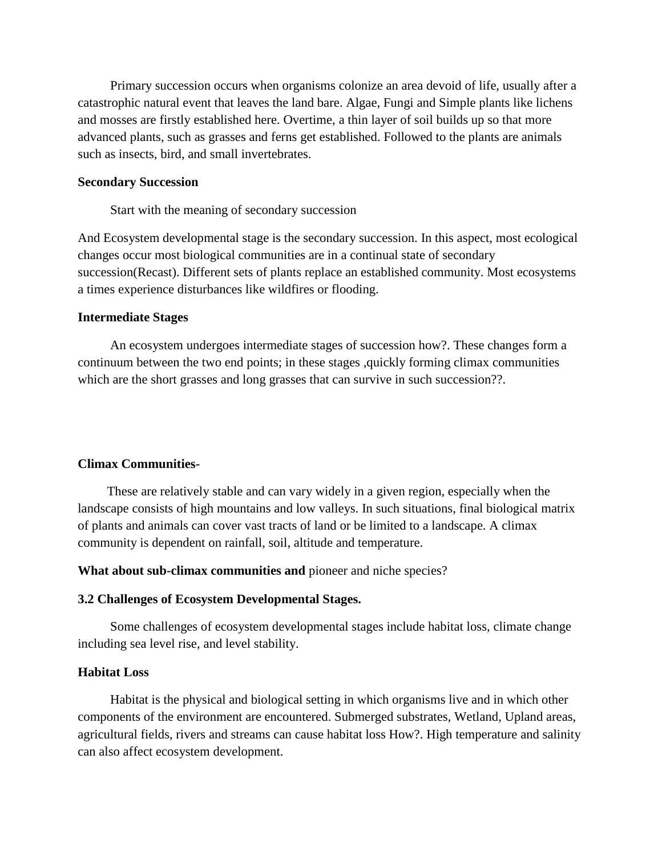Primary succession occurs when organisms colonize an area devoid of life, usually after a catastrophic natural event that leaves the land bare. Algae, Fungi and Simple plants like lichens and mosses are firstly established here. Overtime, a thin layer of soil builds up so that more advanced plants, such as grasses and ferns get established. Followed to the plants are animals such as insects, bird, and small invertebrates.

#### **Secondary Succession**

Start with the meaning of secondary succession

And Ecosystem developmental stage is the secondary succession. In this aspect, most ecological changes occur most biological communities are in a continual state of secondary succession(Recast). Different sets of plants replace an established community. Most ecosystems a times experience disturbances like wildfires or flooding.

#### **Intermediate Stages**

 An ecosystem undergoes intermediate stages of succession how?. These changes form a continuum between the two end points; in these stages ,quickly forming climax communities which are the short grasses and long grasses that can survive in such succession??.

## **Climax Communities-**

 These are relatively stable and can vary widely in a given region, especially when the landscape consists of high mountains and low valleys. In such situations, final biological matrix of plants and animals can cover vast tracts of land or be limited to a landscape. A climax community is dependent on rainfall, soil, altitude and temperature.

**What about sub-climax communities and** pioneer and niche species?

#### **3.2 Challenges of Ecosystem Developmental Stages.**

 Some challenges of ecosystem developmental stages include habitat loss, climate change including sea level rise, and level stability.

#### **Habitat Loss**

 Habitat is the physical and biological setting in which organisms live and in which other components of the environment are encountered. Submerged substrates, Wetland, Upland areas, agricultural fields, rivers and streams can cause habitat loss How?. High temperature and salinity can also affect ecosystem development.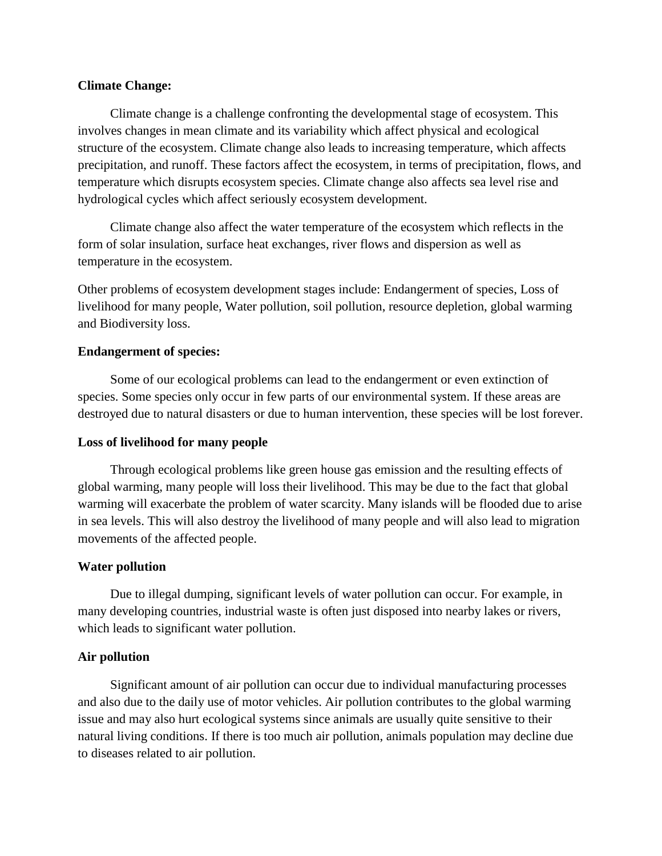## **Climate Change:**

 Climate change is a challenge confronting the developmental stage of ecosystem. This involves changes in mean climate and its variability which affect physical and ecological structure of the ecosystem. Climate change also leads to increasing temperature, which affects precipitation, and runoff. These factors affect the ecosystem, in terms of precipitation, flows, and temperature which disrupts ecosystem species. Climate change also affects sea level rise and hydrological cycles which affect seriously ecosystem development.

 Climate change also affect the water temperature of the ecosystem which reflects in the form of solar insulation, surface heat exchanges, river flows and dispersion as well as temperature in the ecosystem.

Other problems of ecosystem development stages include: Endangerment of species, Loss of livelihood for many people, Water pollution, soil pollution, resource depletion, global warming and Biodiversity loss.

## **Endangerment of species:**

 Some of our ecological problems can lead to the endangerment or even extinction of species. Some species only occur in few parts of our environmental system. If these areas are destroyed due to natural disasters or due to human intervention, these species will be lost forever.

#### **Loss of livelihood for many people**

 Through ecological problems like green house gas emission and the resulting effects of global warming, many people will loss their livelihood. This may be due to the fact that global warming will exacerbate the problem of water scarcity. Many islands will be flooded due to arise in sea levels. This will also destroy the livelihood of many people and will also lead to migration movements of the affected people.

## **Water pollution**

 Due to illegal dumping, significant levels of water pollution can occur. For example, in many developing countries, industrial waste is often just disposed into nearby lakes or rivers, which leads to significant water pollution.

#### **Air pollution**

 Significant amount of air pollution can occur due to individual manufacturing processes and also due to the daily use of motor vehicles. Air pollution contributes to the global warming issue and may also hurt ecological systems since animals are usually quite sensitive to their natural living conditions. If there is too much air pollution, animals population may decline due to diseases related to air pollution.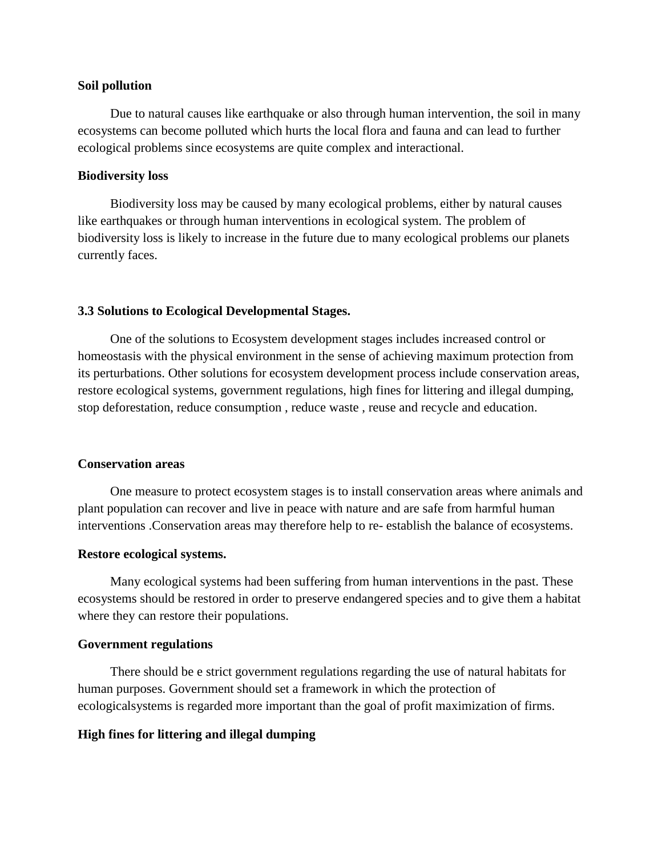#### **Soil pollution**

 Due to natural causes like earthquake or also through human intervention, the soil in many ecosystems can become polluted which hurts the local flora and fauna and can lead to further ecological problems since ecosystems are quite complex and interactional.

#### **Biodiversity loss**

 Biodiversity loss may be caused by many ecological problems, either by natural causes like earthquakes or through human interventions in ecological system. The problem of biodiversity loss is likely to increase in the future due to many ecological problems our planets currently faces.

### **3.3 Solutions to Ecological Developmental Stages.**

 One of the solutions to Ecosystem development stages includes increased control or homeostasis with the physical environment in the sense of achieving maximum protection from its perturbations. Other solutions for ecosystem development process include conservation areas, restore ecological systems, government regulations, high fines for littering and illegal dumping, stop deforestation, reduce consumption , reduce waste , reuse and recycle and education.

### **Conservation areas**

 One measure to protect ecosystem stages is to install conservation areas where animals and plant population can recover and live in peace with nature and are safe from harmful human interventions .Conservation areas may therefore help to re- establish the balance of ecosystems.

#### **Restore ecological systems.**

 Many ecological systems had been suffering from human interventions in the past. These ecosystems should be restored in order to preserve endangered species and to give them a habitat where they can restore their populations.

#### **Government regulations**

 There should be e strict government regulations regarding the use of natural habitats for human purposes. Government should set a framework in which the protection of ecologicalsystems is regarded more important than the goal of profit maximization of firms.

#### **High fines for littering and illegal dumping**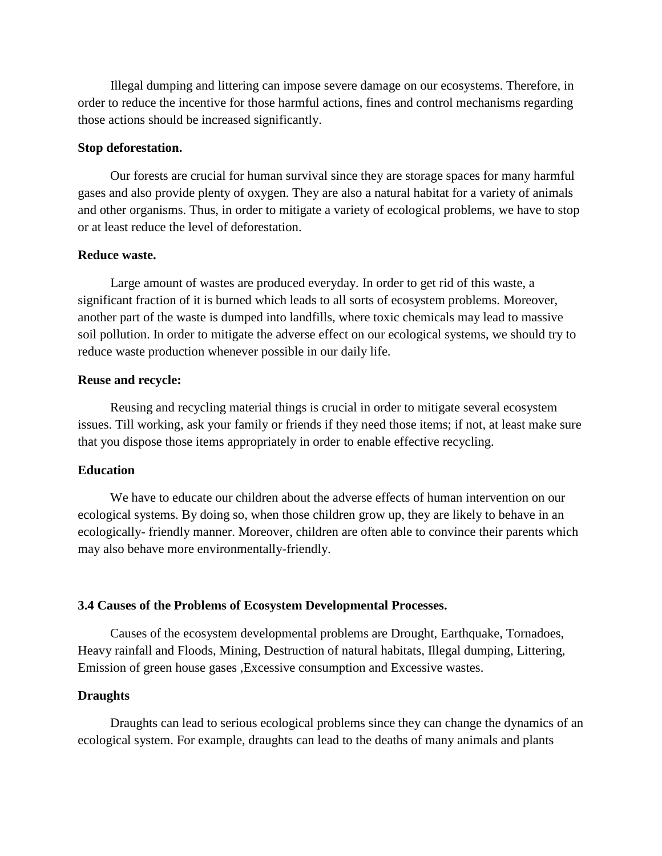Illegal dumping and littering can impose severe damage on our ecosystems. Therefore, in order to reduce the incentive for those harmful actions, fines and control mechanisms regarding those actions should be increased significantly.

#### **Stop deforestation.**

 Our forests are crucial for human survival since they are storage spaces for many harmful gases and also provide plenty of oxygen. They are also a natural habitat for a variety of animals and other organisms. Thus, in order to mitigate a variety of ecological problems, we have to stop or at least reduce the level of deforestation.

#### **Reduce waste.**

 Large amount of wastes are produced everyday. In order to get rid of this waste, a significant fraction of it is burned which leads to all sorts of ecosystem problems. Moreover, another part of the waste is dumped into landfills, where toxic chemicals may lead to massive soil pollution. In order to mitigate the adverse effect on our ecological systems, we should try to reduce waste production whenever possible in our daily life.

#### **Reuse and recycle:**

 Reusing and recycling material things is crucial in order to mitigate several ecosystem issues. Till working, ask your family or friends if they need those items; if not, at least make sure that you dispose those items appropriately in order to enable effective recycling.

### **Education**

 We have to educate our children about the adverse effects of human intervention on our ecological systems. By doing so, when those children grow up, they are likely to behave in an ecologically- friendly manner. Moreover, children are often able to convince their parents which may also behave more environmentally-friendly.

#### **3.4 Causes of the Problems of Ecosystem Developmental Processes.**

 Causes of the ecosystem developmental problems are Drought, Earthquake, Tornadoes, Heavy rainfall and Floods, Mining, Destruction of natural habitats, Illegal dumping, Littering, Emission of green house gases ,Excessive consumption and Excessive wastes.

#### **Draughts**

 Draughts can lead to serious ecological problems since they can change the dynamics of an ecological system. For example, draughts can lead to the deaths of many animals and plants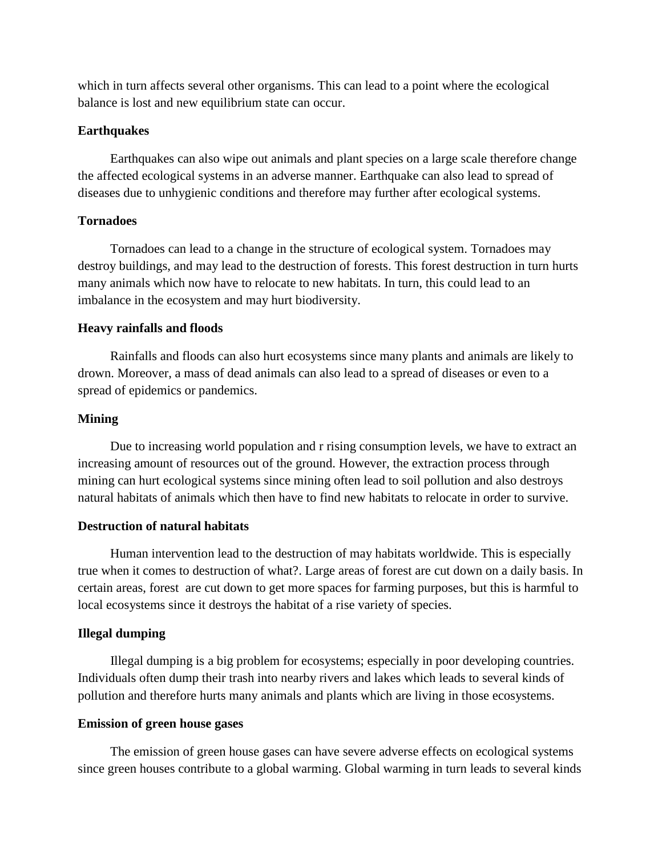which in turn affects several other organisms. This can lead to a point where the ecological balance is lost and new equilibrium state can occur.

#### **Earthquakes**

 Earthquakes can also wipe out animals and plant species on a large scale therefore change the affected ecological systems in an adverse manner. Earthquake can also lead to spread of diseases due to unhygienic conditions and therefore may further after ecological systems.

### **Tornadoes**

 Tornadoes can lead to a change in the structure of ecological system. Tornadoes may destroy buildings, and may lead to the destruction of forests. This forest destruction in turn hurts many animals which now have to relocate to new habitats. In turn, this could lead to an imbalance in the ecosystem and may hurt biodiversity.

### **Heavy rainfalls and floods**

 Rainfalls and floods can also hurt ecosystems since many plants and animals are likely to drown. Moreover, a mass of dead animals can also lead to a spread of diseases or even to a spread of epidemics or pandemics.

### **Mining**

 Due to increasing world population and r rising consumption levels, we have to extract an increasing amount of resources out of the ground. However, the extraction process through mining can hurt ecological systems since mining often lead to soil pollution and also destroys natural habitats of animals which then have to find new habitats to relocate in order to survive.

#### **Destruction of natural habitats**

 Human intervention lead to the destruction of may habitats worldwide. This is especially true when it comes to destruction of what?. Large areas of forest are cut down on a daily basis. In certain areas, forest are cut down to get more spaces for farming purposes, but this is harmful to local ecosystems since it destroys the habitat of a rise variety of species.

## **Illegal dumping**

 Illegal dumping is a big problem for ecosystems; especially in poor developing countries. Individuals often dump their trash into nearby rivers and lakes which leads to several kinds of pollution and therefore hurts many animals and plants which are living in those ecosystems.

#### **Emission of green house gases**

 The emission of green house gases can have severe adverse effects on ecological systems since green houses contribute to a global warming. Global warming in turn leads to several kinds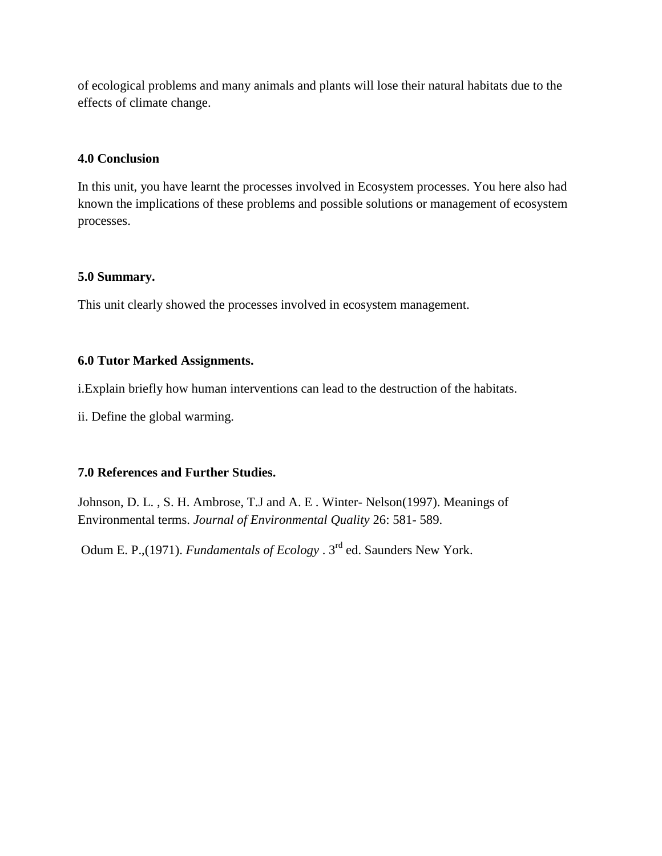of ecological problems and many animals and plants will lose their natural habitats due to the effects of climate change.

## **4.0 Conclusion**

In this unit, you have learnt the processes involved in Ecosystem processes. You here also had known the implications of these problems and possible solutions or management of ecosystem processes.

## **5.0 Summary.**

This unit clearly showed the processes involved in ecosystem management.

## **6.0 Tutor Marked Assignments.**

i.Explain briefly how human interventions can lead to the destruction of the habitats.

ii. Define the global warming.

## **7.0 References and Further Studies.**

Johnson, D. L. , S. H. Ambrose, T.J and A. E . Winter- Nelson(1997). Meanings of Environmental terms. *Journal of Environmental Quality* 26: 581- 589.

Odum E. P.,(1971). *Fundamentals of Ecology* . 3<sup>rd</sup> ed. Saunders New York.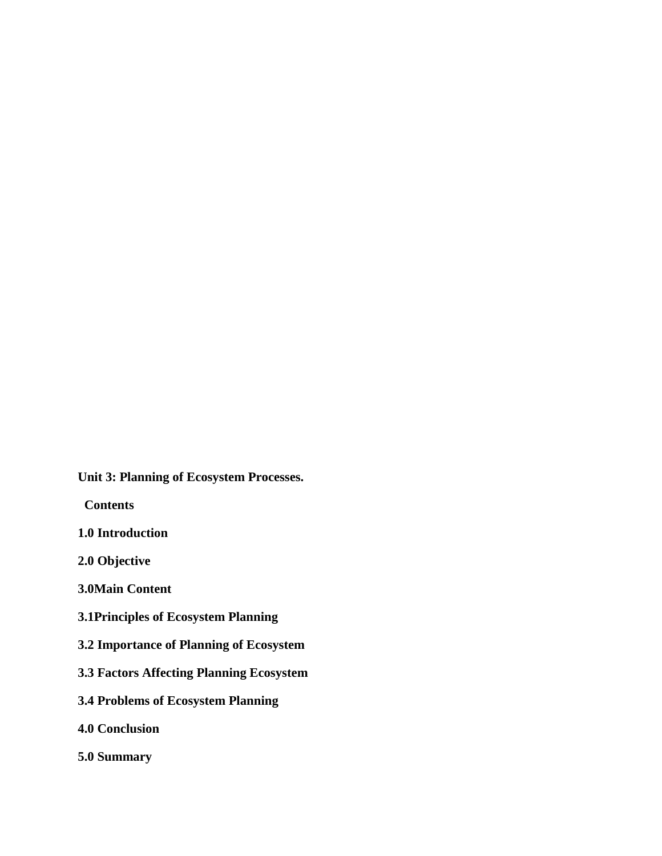**Unit 3: Planning of Ecosystem Processes.**

 **Contents**

**1.0 Introduction**

**2.0 Objective**

**3.0Main Content**

- **3.1Principles of Ecosystem Planning**
- **3.2 Importance of Planning of Ecosystem**
- **3.3 Factors Affecting Planning Ecosystem**
- **3.4 Problems of Ecosystem Planning**
- **4.0 Conclusion**
- **5.0 Summary**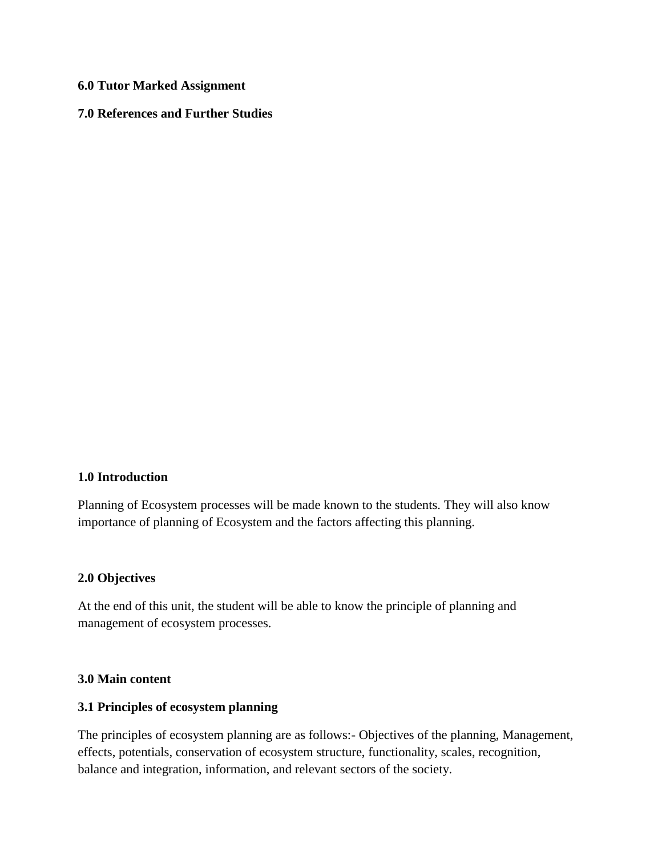## **6.0 Tutor Marked Assignment**

## **7.0 References and Further Studies**

## **1.0 Introduction**

Planning of Ecosystem processes will be made known to the students. They will also know importance of planning of Ecosystem and the factors affecting this planning.

## **2.0 Objectives**

At the end of this unit, the student will be able to know the principle of planning and management of ecosystem processes.

### **3.0 Main content**

### **3.1 Principles of ecosystem planning**

The principles of ecosystem planning are as follows:- Objectives of the planning, Management, effects, potentials, conservation of ecosystem structure, functionality, scales, recognition, balance and integration, information, and relevant sectors of the society.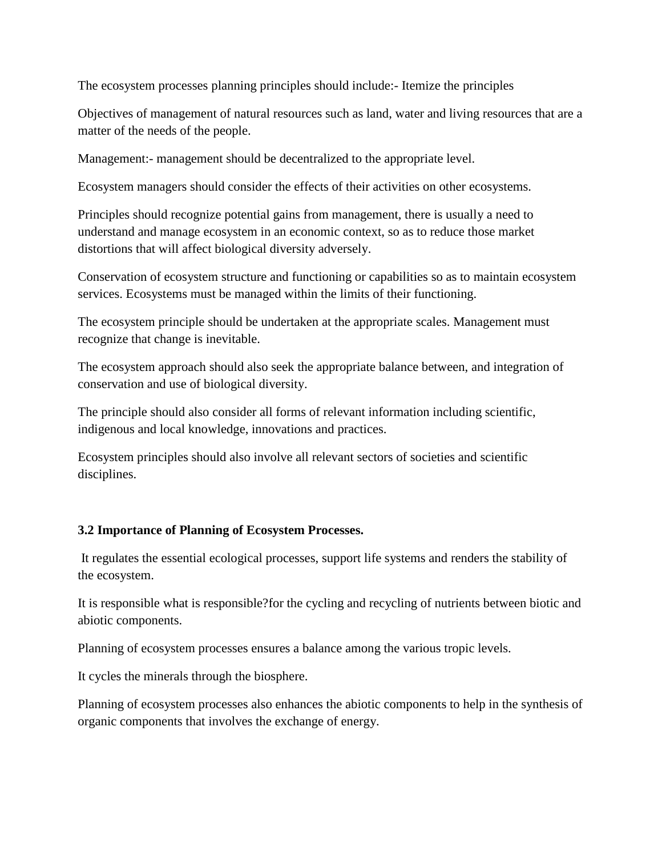The ecosystem processes planning principles should include:- Itemize the principles

Objectives of management of natural resources such as land, water and living resources that are a matter of the needs of the people.

Management:- management should be decentralized to the appropriate level.

Ecosystem managers should consider the effects of their activities on other ecosystems.

Principles should recognize potential gains from management, there is usually a need to understand and manage ecosystem in an economic context, so as to reduce those market distortions that will affect biological diversity adversely.

Conservation of ecosystem structure and functioning or capabilities so as to maintain ecosystem services. Ecosystems must be managed within the limits of their functioning.

The ecosystem principle should be undertaken at the appropriate scales. Management must recognize that change is inevitable.

The ecosystem approach should also seek the appropriate balance between, and integration of conservation and use of biological diversity.

The principle should also consider all forms of relevant information including scientific, indigenous and local knowledge, innovations and practices.

Ecosystem principles should also involve all relevant sectors of societies and scientific disciplines.

## **3.2 Importance of Planning of Ecosystem Processes.**

It regulates the essential ecological processes, support life systems and renders the stability of the ecosystem.

It is responsible what is responsible?for the cycling and recycling of nutrients between biotic and abiotic components.

Planning of ecosystem processes ensures a balance among the various tropic levels.

It cycles the minerals through the biosphere.

Planning of ecosystem processes also enhances the abiotic components to help in the synthesis of organic components that involves the exchange of energy.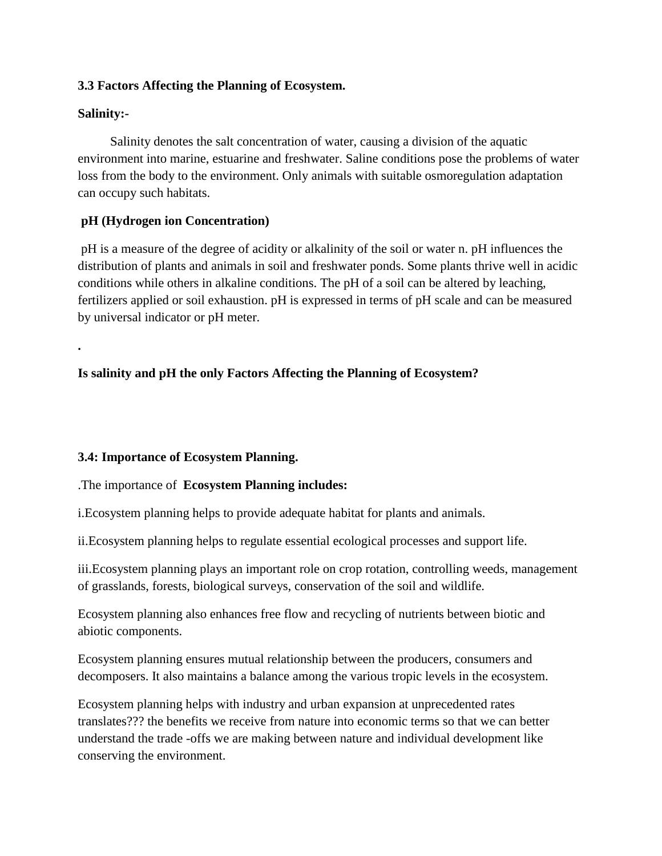## **3.3 Factors Affecting the Planning of Ecosystem.**

## **Salinity:-**

**.**

 Salinity denotes the salt concentration of water, causing a division of the aquatic environment into marine, estuarine and freshwater. Saline conditions pose the problems of water loss from the body to the environment. Only animals with suitable osmoregulation adaptation can occupy such habitats.

# **pH (Hydrogen ion Concentration)**

pH is a measure of the degree of acidity or alkalinity of the soil or water n. pH influences the distribution of plants and animals in soil and freshwater ponds. Some plants thrive well in acidic conditions while others in alkaline conditions. The pH of a soil can be altered by leaching, fertilizers applied or soil exhaustion. pH is expressed in terms of pH scale and can be measured by universal indicator or pH meter.

# **Is salinity and pH the only Factors Affecting the Planning of Ecosystem?**

## **3.4: Importance of Ecosystem Planning.**

.The importance of **Ecosystem Planning includes:**

i.Ecosystem planning helps to provide adequate habitat for plants and animals.

ii.Ecosystem planning helps to regulate essential ecological processes and support life.

iii.Ecosystem planning plays an important role on crop rotation, controlling weeds, management of grasslands, forests, biological surveys, conservation of the soil and wildlife.

Ecosystem planning also enhances free flow and recycling of nutrients between biotic and abiotic components.

Ecosystem planning ensures mutual relationship between the producers, consumers and decomposers. It also maintains a balance among the various tropic levels in the ecosystem.

Ecosystem planning helps with industry and urban expansion at unprecedented rates translates??? the benefits we receive from nature into economic terms so that we can better understand the trade -offs we are making between nature and individual development like conserving the environment.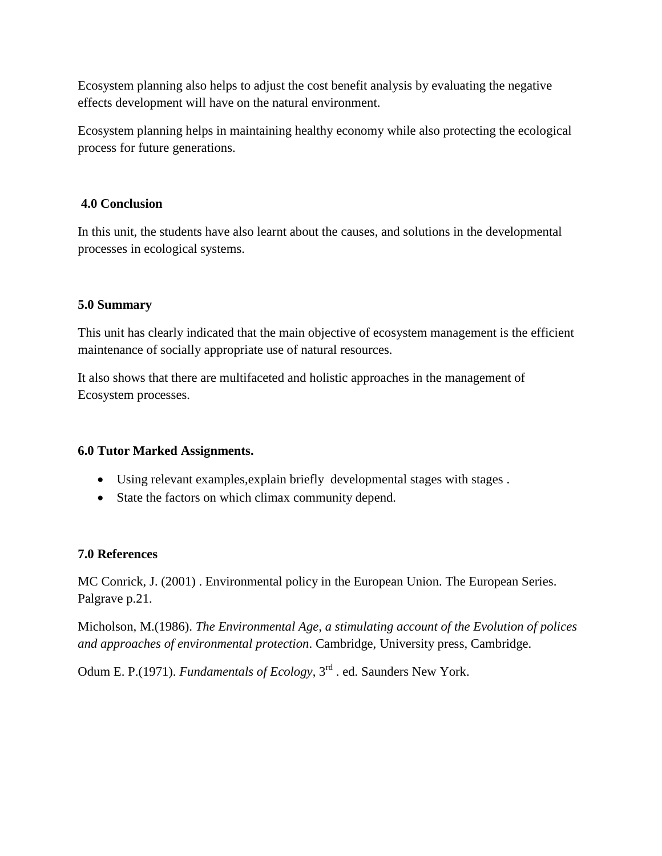Ecosystem planning also helps to adjust the cost benefit analysis by evaluating the negative effects development will have on the natural environment.

Ecosystem planning helps in maintaining healthy economy while also protecting the ecological process for future generations.

## **4.0 Conclusion**

In this unit, the students have also learnt about the causes, and solutions in the developmental processes in ecological systems.

## **5.0 Summary**

This unit has clearly indicated that the main objective of ecosystem management is the efficient maintenance of socially appropriate use of natural resources.

It also shows that there are multifaceted and holistic approaches in the management of Ecosystem processes.

## **6.0 Tutor Marked Assignments.**

- Using relevant examples,explain briefly developmental stages with stages .
- State the factors on which climax community depend.

## **7.0 References**

MC Conrick, J. (2001) . Environmental policy in the European Union. The European Series. Palgrave p.21.

Micholson, M.(1986). *The Environmental Age, a stimulating account of the Evolution of polices and approaches of environmental protection*. Cambridge, University press, Cambridge.

Odum E. P.(1971). *Fundamentals of Ecology*, 3<sup>rd</sup> . ed. Saunders New York.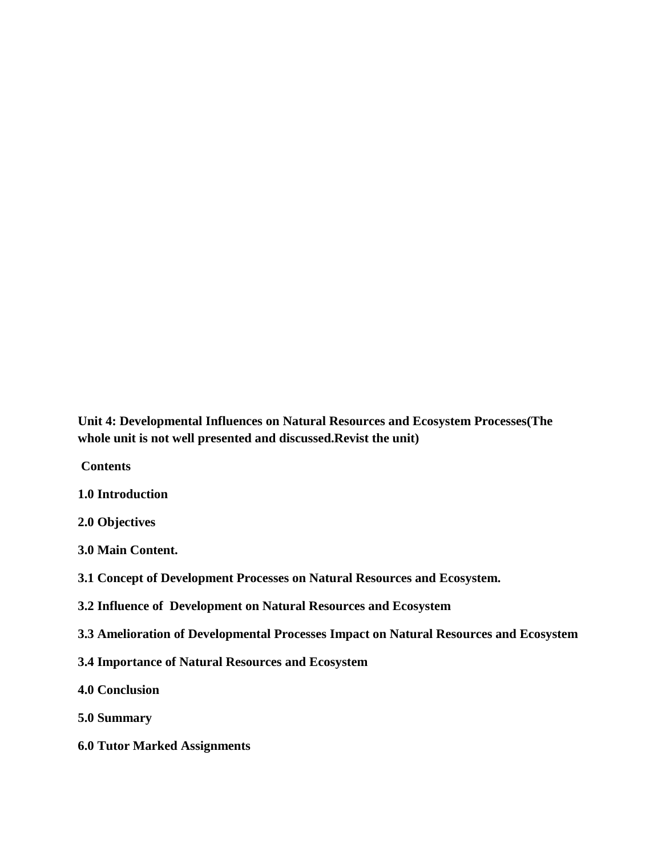**Unit 4: Developmental Influences on Natural Resources and Ecosystem Processes(The whole unit is not well presented and discussed.Revist the unit)**

**Contents**

**1.0 Introduction**

**2.0 Objectives**

**3.0 Main Content.**

**3.1 Concept of Development Processes on Natural Resources and Ecosystem.**

**3.2 Influence of Development on Natural Resources and Ecosystem** 

**3.3 Amelioration of Developmental Processes Impact on Natural Resources and Ecosystem**

**3.4 Importance of Natural Resources and Ecosystem**

**4.0 Conclusion** 

**5.0 Summary**

**6.0 Tutor Marked Assignments**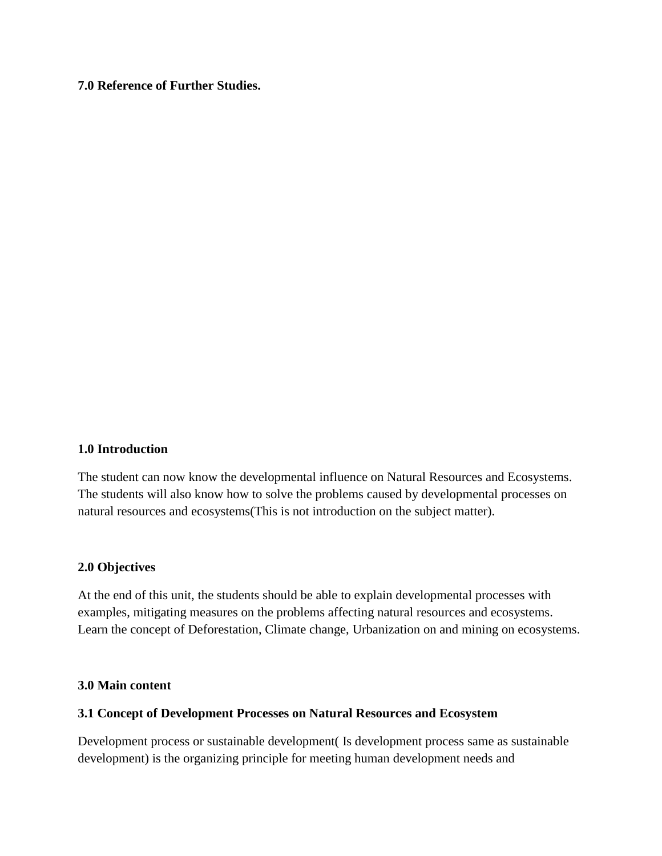## **7.0 Reference of Further Studies.**

#### **1.0 Introduction**

The student can now know the developmental influence on Natural Resources and Ecosystems. The students will also know how to solve the problems caused by developmental processes on natural resources and ecosystems(This is not introduction on the subject matter).

#### **2.0 Objectives**

At the end of this unit, the students should be able to explain developmental processes with examples, mitigating measures on the problems affecting natural resources and ecosystems. Learn the concept of Deforestation, Climate change, Urbanization on and mining on ecosystems.

### **3.0 Main content**

#### **3.1 Concept of Development Processes on Natural Resources and Ecosystem**

Development process or sustainable development( Is development process same as sustainable development) is the organizing principle for meeting human development needs and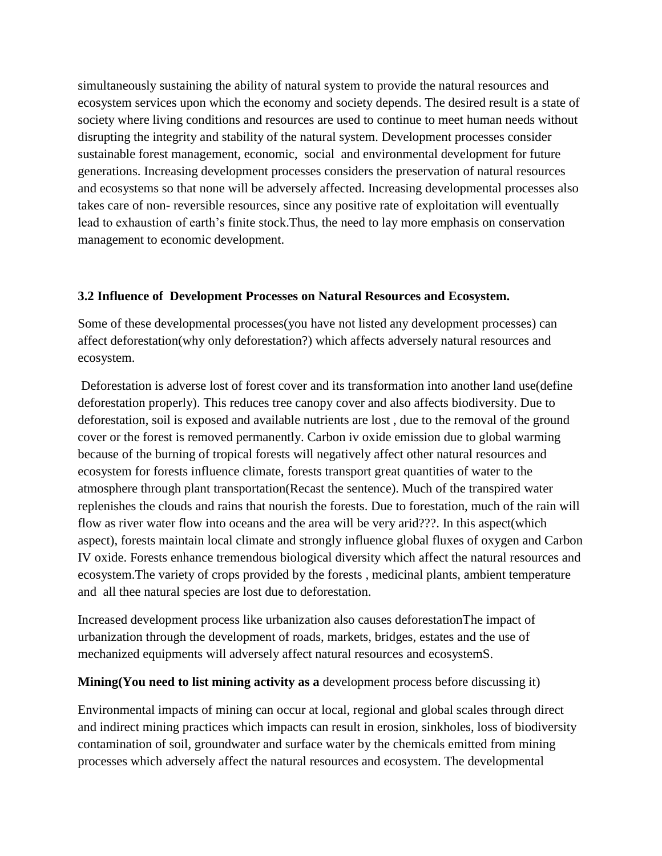simultaneously sustaining the ability of natural system to provide the natural resources and ecosystem services upon which the economy and society depends. The desired result is a state of society where living conditions and resources are used to continue to meet human needs without disrupting the integrity and stability of the natural system. Development processes consider sustainable forest management, economic, social and environmental development for future generations. Increasing development processes considers the preservation of natural resources and ecosystems so that none will be adversely affected. Increasing developmental processes also takes care of non- reversible resources, since any positive rate of exploitation will eventually lead to exhaustion of earth's finite stock.Thus, the need to lay more emphasis on conservation management to economic development.

## **3.2 Influence of Development Processes on Natural Resources and Ecosystem.**

Some of these developmental processes(you have not listed any development processes) can affect deforestation(why only deforestation?) which affects adversely natural resources and ecosystem.

Deforestation is adverse lost of forest cover and its transformation into another land use(define deforestation properly). This reduces tree canopy cover and also affects biodiversity. Due to deforestation, soil is exposed and available nutrients are lost , due to the removal of the ground cover or the forest is removed permanently. Carbon iv oxide emission due to global warming because of the burning of tropical forests will negatively affect other natural resources and ecosystem for forests influence climate, forests transport great quantities of water to the atmosphere through plant transportation(Recast the sentence). Much of the transpired water replenishes the clouds and rains that nourish the forests. Due to forestation, much of the rain will flow as river water flow into oceans and the area will be very arid???. In this aspect(which aspect), forests maintain local climate and strongly influence global fluxes of oxygen and Carbon IV oxide. Forests enhance tremendous biological diversity which affect the natural resources and ecosystem.The variety of crops provided by the forests , medicinal plants, ambient temperature and all thee natural species are lost due to deforestation.

Increased development process like urbanization also causes deforestationThe impact of urbanization through the development of roads, markets, bridges, estates and the use of mechanized equipments will adversely affect natural resources and ecosystemS.

## **Mining(You need to list mining activity as a** development process before discussing it)

Environmental impacts of mining can occur at local, regional and global scales through direct and indirect mining practices which impacts can result in erosion, sinkholes, loss of biodiversity contamination of soil, groundwater and surface water by the chemicals emitted from mining processes which adversely affect the natural resources and ecosystem. The developmental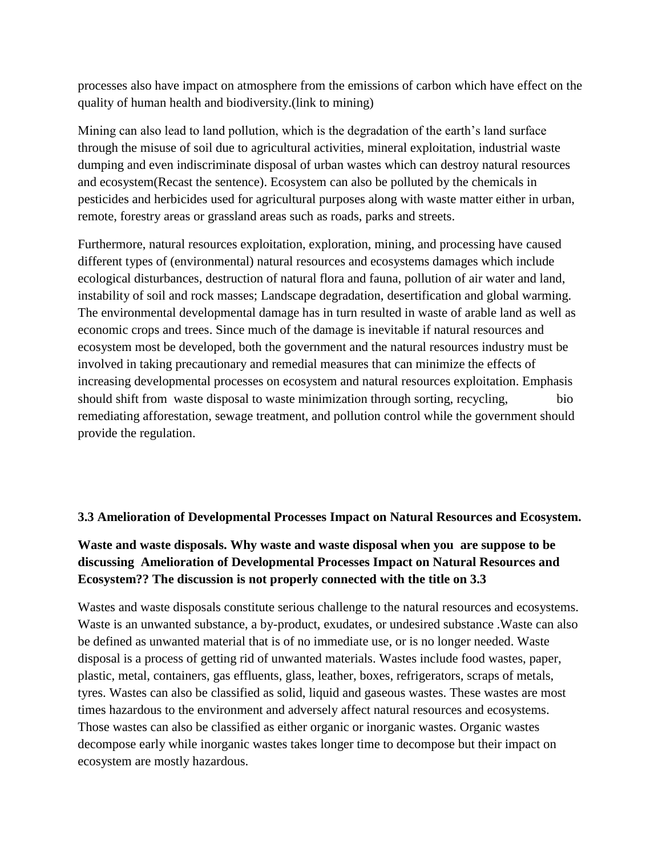processes also have impact on atmosphere from the emissions of carbon which have effect on the quality of human health and biodiversity.(link to mining)

Mining can also lead to land pollution, which is the degradation of the earth's land surface through the misuse of soil due to agricultural activities, mineral exploitation, industrial waste dumping and even indiscriminate disposal of urban wastes which can destroy natural resources and ecosystem(Recast the sentence). Ecosystem can also be polluted by the chemicals in pesticides and herbicides used for agricultural purposes along with waste matter either in urban, remote, forestry areas or grassland areas such as roads, parks and streets.

Furthermore, natural resources exploitation, exploration, mining, and processing have caused different types of (environmental) natural resources and ecosystems damages which include ecological disturbances, destruction of natural flora and fauna, pollution of air water and land, instability of soil and rock masses; Landscape degradation, desertification and global warming. The environmental developmental damage has in turn resulted in waste of arable land as well as economic crops and trees. Since much of the damage is inevitable if natural resources and ecosystem most be developed, both the government and the natural resources industry must be involved in taking precautionary and remedial measures that can minimize the effects of increasing developmental processes on ecosystem and natural resources exploitation. Emphasis should shift from waste disposal to waste minimization through sorting, recycling, bio remediating afforestation, sewage treatment, and pollution control while the government should provide the regulation.

## **3.3 Amelioration of Developmental Processes Impact on Natural Resources and Ecosystem.**

# **Waste and waste disposals. Why waste and waste disposal when you are suppose to be discussing Amelioration of Developmental Processes Impact on Natural Resources and Ecosystem?? The discussion is not properly connected with the title on 3.3**

Wastes and waste disposals constitute serious challenge to the natural resources and ecosystems. Waste is an unwanted substance, a by-product, exudates, or undesired substance .Waste can also be defined as unwanted material that is of no immediate use, or is no longer needed. Waste disposal is a process of getting rid of unwanted materials. Wastes include food wastes, paper, plastic, metal, containers, gas effluents, glass, leather, boxes, refrigerators, scraps of metals, tyres. Wastes can also be classified as solid, liquid and gaseous wastes. These wastes are most times hazardous to the environment and adversely affect natural resources and ecosystems. Those wastes can also be classified as either organic or inorganic wastes. Organic wastes decompose early while inorganic wastes takes longer time to decompose but their impact on ecosystem are mostly hazardous.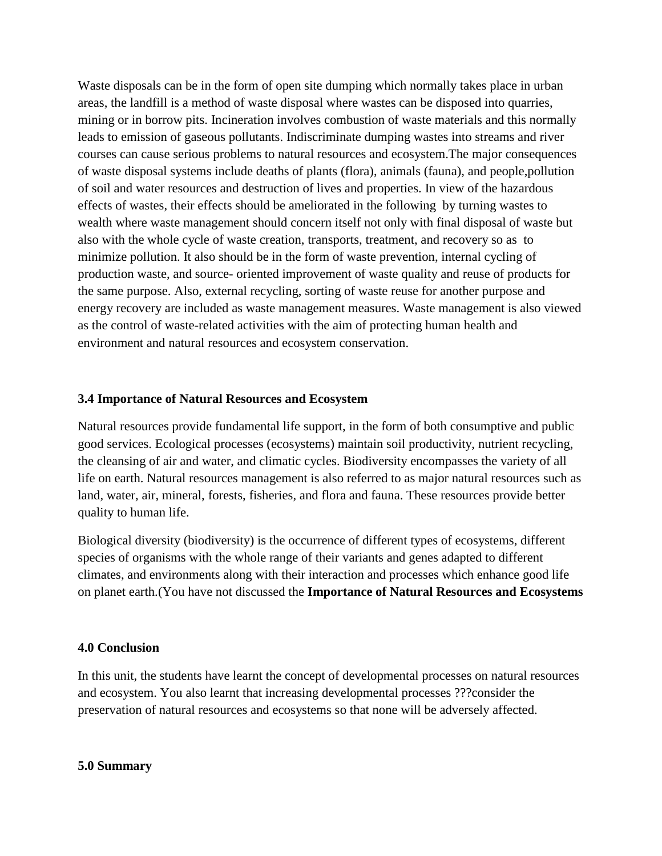Waste disposals can be in the form of open site dumping which normally takes place in urban areas, the landfill is a method of waste disposal where wastes can be disposed into quarries, mining or in borrow pits. Incineration involves combustion of waste materials and this normally leads to emission of gaseous pollutants. Indiscriminate dumping wastes into streams and river courses can cause serious problems to natural resources and ecosystem.The major consequences of waste disposal systems include deaths of plants (flora), animals (fauna), and people,pollution of soil and water resources and destruction of lives and properties. In view of the hazardous effects of wastes, their effects should be ameliorated in the following by turning wastes to wealth where waste management should concern itself not only with final disposal of waste but also with the whole cycle of waste creation, transports, treatment, and recovery so as to minimize pollution. It also should be in the form of waste prevention, internal cycling of production waste, and source- oriented improvement of waste quality and reuse of products for the same purpose. Also, external recycling, sorting of waste reuse for another purpose and energy recovery are included as waste management measures. Waste management is also viewed as the control of waste-related activities with the aim of protecting human health and environment and natural resources and ecosystem conservation.

### **3.4 Importance of Natural Resources and Ecosystem**

Natural resources provide fundamental life support, in the form of both consumptive and public good services. Ecological processes (ecosystems) maintain soil productivity, nutrient recycling, the cleansing of air and water, and climatic cycles. Biodiversity encompasses the variety of all life on earth. Natural resources management is also referred to as major natural resources such as land, water, air, mineral, forests, fisheries, and flora and fauna. These resources provide better quality to human life.

Biological diversity (biodiversity) is the occurrence of different types of ecosystems, different species of organisms with the whole range of their variants and genes adapted to different climates, and environments along with their interaction and processes which enhance good life on planet earth.(You have not discussed the **Importance of Natural Resources and Ecosystems**

#### **4.0 Conclusion**

In this unit, the students have learnt the concept of developmental processes on natural resources and ecosystem. You also learnt that increasing developmental processes ???consider the preservation of natural resources and ecosystems so that none will be adversely affected.

#### **5.0 Summary**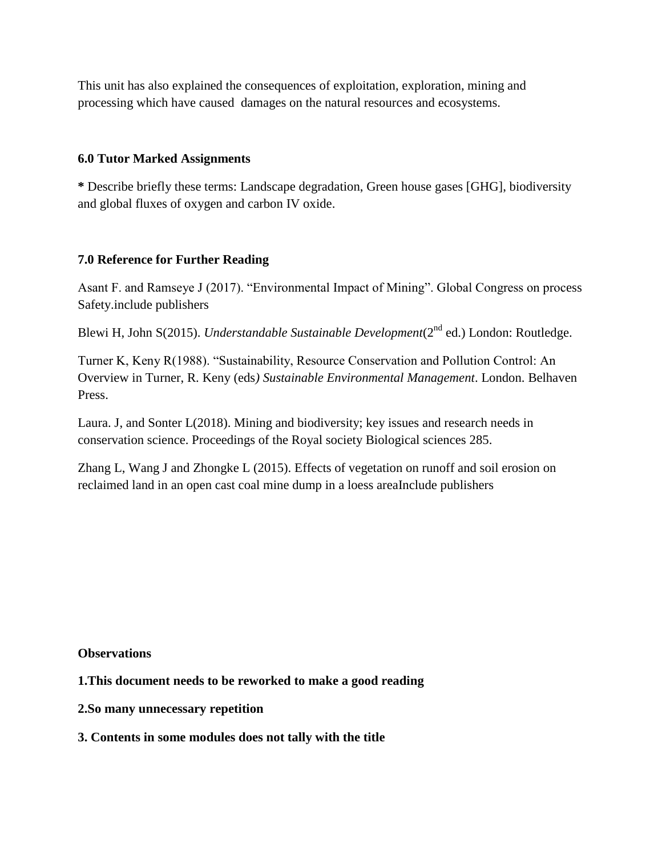This unit has also explained the consequences of exploitation, exploration, mining and processing which have caused damages on the natural resources and ecosystems.

## **6.0 Tutor Marked Assignments**

**\*** Describe briefly these terms: Landscape degradation, Green house gases [GHG], biodiversity and global fluxes of oxygen and carbon IV oxide.

## **7.0 Reference for Further Reading**

Asant F. and Ramseye J (2017). "Environmental Impact of Mining". Global Congress on process Safety.include publishers

Blewi H, John S(2015). *Understandable Sustainable Development*(2<sup>nd</sup> ed.) London: Routledge.

Turner K, Keny R(1988). "Sustainability, Resource Conservation and Pollution Control: An Overview in Turner, R. Keny (eds*) Sustainable Environmental Management*. London. Belhaven Press.

Laura. J, and Sonter L(2018). Mining and biodiversity; key issues and research needs in conservation science. Proceedings of the Royal society Biological sciences 285.

Zhang L, Wang J and Zhongke L (2015). Effects of vegetation on runoff and soil erosion on reclaimed land in an open cast coal mine dump in a loess areaInclude publishers

**Observations**

- **1.This document needs to be reworked to make a good reading**
- **2.So many unnecessary repetition**

**3. Contents in some modules does not tally with the title**